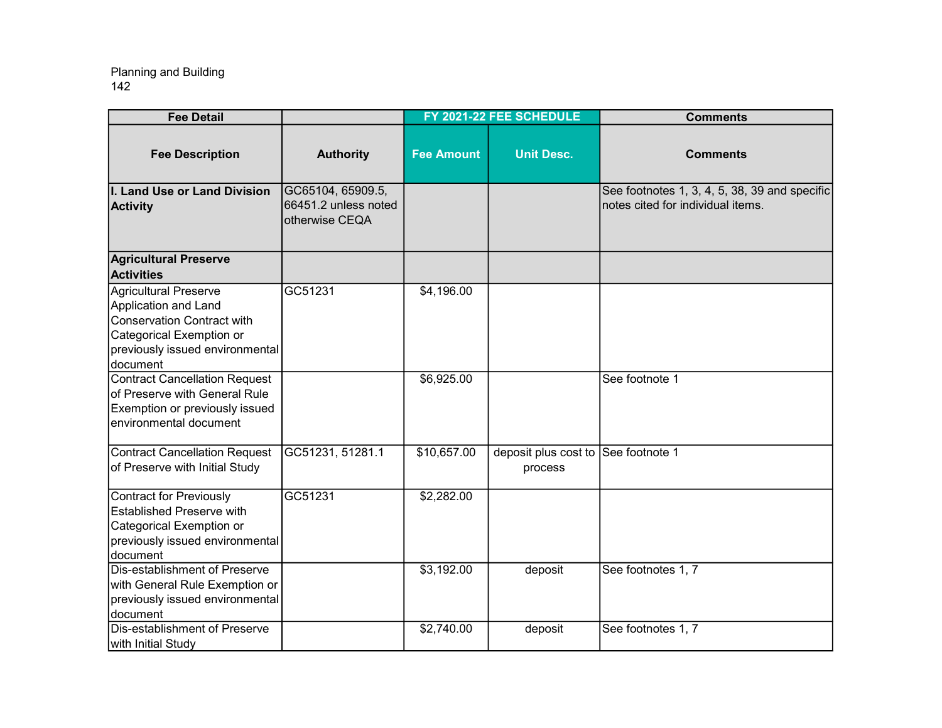| <b>Fee Detail</b>                                                                                                                                                       |                                                             |                          | FY 2021-22 FEE SCHEDULE                        | <b>Comments</b>                                                                    |
|-------------------------------------------------------------------------------------------------------------------------------------------------------------------------|-------------------------------------------------------------|--------------------------|------------------------------------------------|------------------------------------------------------------------------------------|
| <b>Fee Description</b>                                                                                                                                                  | <b>Authority</b>                                            | <b>Fee Amount</b>        | <b>Unit Desc.</b>                              | <b>Comments</b>                                                                    |
| I. Land Use or Land Division<br><b>Activity</b>                                                                                                                         | GC65104, 65909.5,<br>66451.2 unless noted<br>otherwise CEQA |                          |                                                | See footnotes 1, 3, 4, 5, 38, 39 and specific<br>notes cited for individual items. |
| <b>Agricultural Preserve</b><br><b>Activities</b>                                                                                                                       |                                                             |                          |                                                |                                                                                    |
| <b>Agricultural Preserve</b><br>Application and Land<br><b>Conservation Contract with</b><br>Categorical Exemption or<br>previously issued environmental<br>document    | GC51231                                                     | \$4,196.00               |                                                |                                                                                    |
| <b>Contract Cancellation Request</b><br>of Preserve with General Rule<br>Exemption or previously issued<br>environmental document                                       |                                                             | \$6,925.00               |                                                | See footnote 1                                                                     |
| <b>Contract Cancellation Request</b><br>of Preserve with Initial Study                                                                                                  | GC51231, 51281.1                                            | \$10,657.00              | deposit plus cost to See footnote 1<br>process |                                                                                    |
| Contract for Previously<br><b>Established Preserve with</b><br>Categorical Exemption or<br>previously issued environmental<br>document<br>Dis-establishment of Preserve | GC51231                                                     | \$2,282.00<br>\$3,192.00 | deposit                                        | See footnotes 1, 7                                                                 |
| with General Rule Exemption or<br>previously issued environmental<br>document                                                                                           |                                                             |                          |                                                |                                                                                    |
| Dis-establishment of Preserve<br>with Initial Study                                                                                                                     |                                                             | \$2,740.00               | deposit                                        | See footnotes 1, 7                                                                 |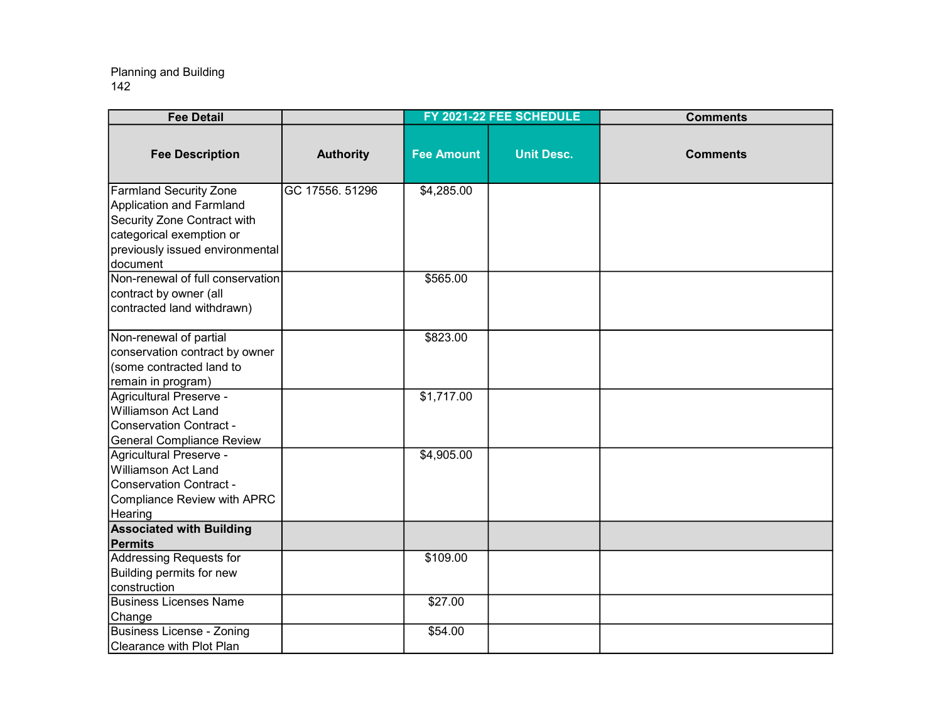| <b>Fee Detail</b>                                                                                                                                                   |                  |                   | FY 2021-22 FEE SCHEDULE | <b>Comments</b> |
|---------------------------------------------------------------------------------------------------------------------------------------------------------------------|------------------|-------------------|-------------------------|-----------------|
| <b>Fee Description</b>                                                                                                                                              | <b>Authority</b> | <b>Fee Amount</b> | <b>Unit Desc.</b>       | <b>Comments</b> |
| <b>Farmland Security Zone</b><br>Application and Farmland<br>Security Zone Contract with<br>categorical exemption or<br>previously issued environmental<br>document | GC 17556. 51296  | \$4,285.00        |                         |                 |
| Non-renewal of full conservation<br>contract by owner (all<br>contracted land withdrawn)                                                                            |                  | \$565.00          |                         |                 |
| Non-renewal of partial<br>conservation contract by owner<br>(some contracted land to<br>remain in program)                                                          |                  | \$823.00          |                         |                 |
| Agricultural Preserve -<br>Williamson Act Land<br>Conservation Contract -<br><b>General Compliance Review</b>                                                       |                  | \$1,717.00        |                         |                 |
| Agricultural Preserve -<br>Williamson Act Land<br>Conservation Contract -<br>Compliance Review with APRC<br>Hearing                                                 |                  | \$4,905.00        |                         |                 |
| <b>Associated with Building</b><br>Permits                                                                                                                          |                  |                   |                         |                 |
| <b>Addressing Requests for</b><br>Building permits for new<br>construction                                                                                          |                  | \$109.00          |                         |                 |
| <b>Business Licenses Name</b><br>Change                                                                                                                             |                  | \$27.00           |                         |                 |
| Business License - Zoning<br>Clearance with Plot Plan                                                                                                               |                  | \$54.00           |                         |                 |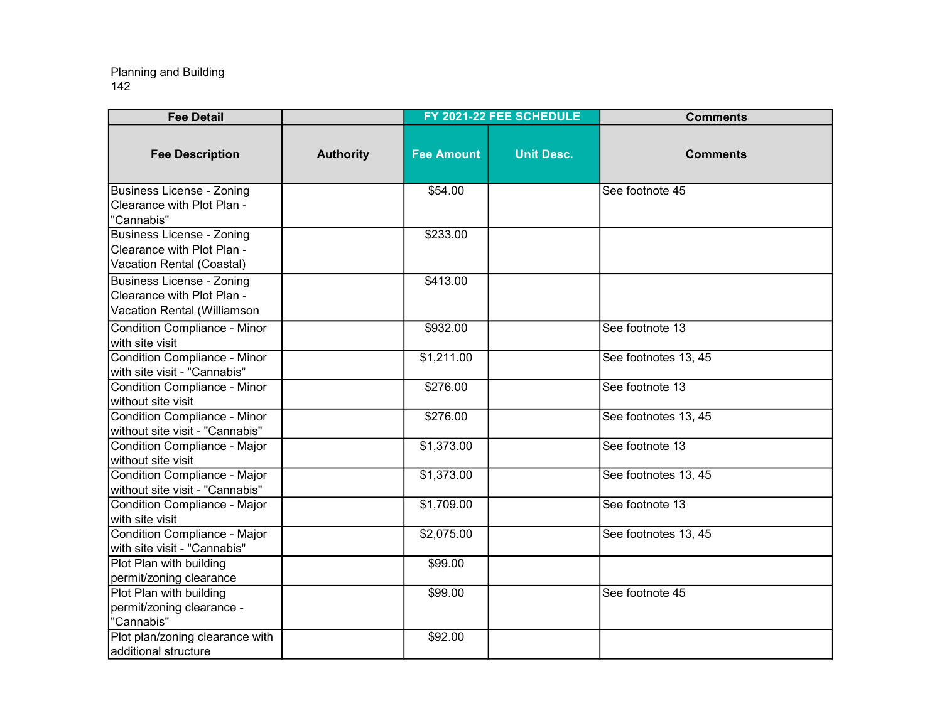| <b>Fee Detail</b>                                                                             |                  |                   | FY 2021-22 FEE SCHEDULE | <b>Comments</b>      |
|-----------------------------------------------------------------------------------------------|------------------|-------------------|-------------------------|----------------------|
| <b>Fee Description</b>                                                                        | <b>Authority</b> | <b>Fee Amount</b> | <b>Unit Desc.</b>       | <b>Comments</b>      |
| <b>Business License - Zoning</b><br>Clearance with Plot Plan -<br>"Cannabis"                  |                  | \$54.00           |                         | See footnote 45      |
| <b>Business License - Zoning</b><br>Clearance with Plot Plan -<br>Vacation Rental (Coastal)   |                  | \$233.00          |                         |                      |
| <b>Business License - Zoning</b><br>Clearance with Plot Plan -<br>Vacation Rental (Williamson |                  | \$413.00          |                         |                      |
| Condition Compliance - Minor<br>with site visit                                               |                  | \$932.00          |                         | See footnote 13      |
| Condition Compliance - Minor<br>with site visit - "Cannabis"                                  |                  | \$1,211.00        |                         | See footnotes 13, 45 |
| Condition Compliance - Minor<br>without site visit                                            |                  | \$276.00          |                         | See footnote 13      |
| Condition Compliance - Minor<br>without site visit - "Cannabis"                               |                  | \$276.00          |                         | See footnotes 13, 45 |
| Condition Compliance - Major<br>without site visit                                            |                  | \$1,373.00        |                         | See footnote 13      |
| Condition Compliance - Major<br>without site visit - "Cannabis"                               |                  | \$1,373.00        |                         | See footnotes 13, 45 |
| Condition Compliance - Major<br>with site visit                                               |                  | \$1,709.00        |                         | See footnote 13      |
| Condition Compliance - Major<br>with site visit - "Cannabis"                                  |                  | \$2,075.00        |                         | See footnotes 13, 45 |
| Plot Plan with building<br>permit/zoning clearance                                            |                  | \$99.00           |                         |                      |
| Plot Plan with building<br>permit/zoning clearance -<br>"Cannabis"                            |                  | \$99.00           |                         | See footnote 45      |
| Plot plan/zoning clearance with<br>additional structure                                       |                  | \$92.00           |                         |                      |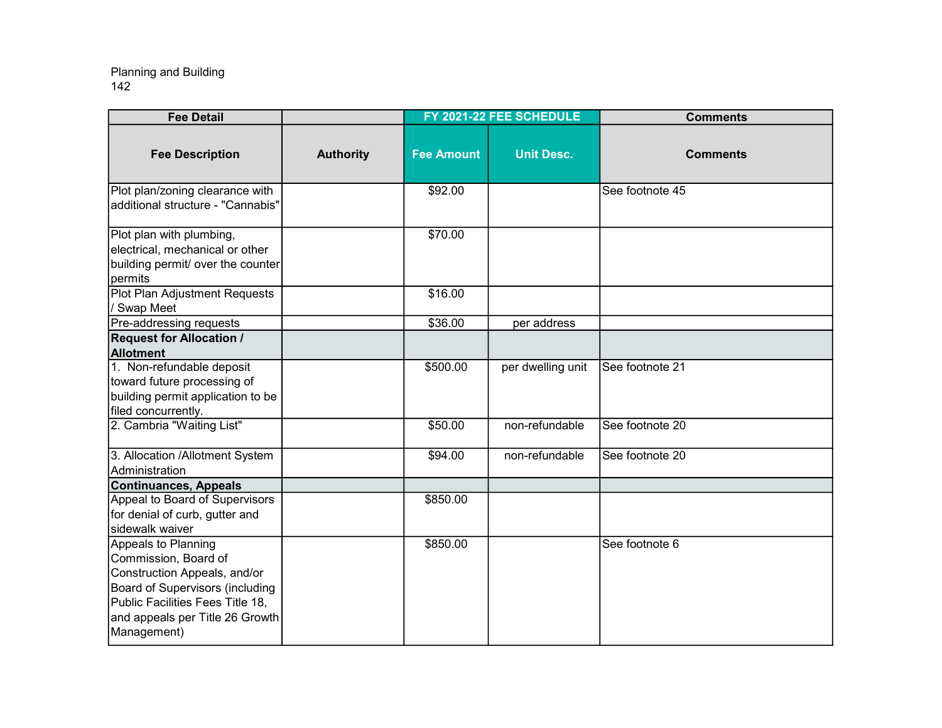| <b>Fee Detail</b>                                                                                                                                                                                    |                  |                   | FY 2021-22 FEE SCHEDULE | <b>Comments</b> |
|------------------------------------------------------------------------------------------------------------------------------------------------------------------------------------------------------|------------------|-------------------|-------------------------|-----------------|
| <b>Fee Description</b>                                                                                                                                                                               | <b>Authority</b> | <b>Fee Amount</b> | <b>Unit Desc.</b>       | <b>Comments</b> |
| Plot plan/zoning clearance with<br>additional structure - "Cannabis"                                                                                                                                 |                  | \$92.00           |                         | See footnote 45 |
| Plot plan with plumbing,<br>electrical, mechanical or other<br>building permit/ over the counter<br>permits                                                                                          |                  | \$70.00           |                         |                 |
| Plot Plan Adjustment Requests<br>/ Swap Meet                                                                                                                                                         |                  | \$16.00           |                         |                 |
| Pre-addressing requests                                                                                                                                                                              |                  | \$36.00           | per address             |                 |
| <b>Request for Allocation /</b><br><b>Allotment</b>                                                                                                                                                  |                  |                   |                         |                 |
| 1. Non-refundable deposit<br>toward future processing of<br>building permit application to be<br>filed concurrently.                                                                                 |                  | \$500.00          | per dwelling unit       | See footnote 21 |
| 2. Cambria "Waiting List"                                                                                                                                                                            |                  | \$50.00           | non-refundable          | See footnote 20 |
| 3. Allocation /Allotment System<br>Administration                                                                                                                                                    |                  | \$94.00           | non-refundable          | See footnote 20 |
| <b>Continuances, Appeals</b>                                                                                                                                                                         |                  |                   |                         |                 |
| Appeal to Board of Supervisors<br>for denial of curb, gutter and<br>sidewalk waiver                                                                                                                  |                  | \$850.00          |                         |                 |
| Appeals to Planning<br>Commission, Board of<br>Construction Appeals, and/or<br>Board of Supervisors (including<br>Public Facilities Fees Title 18,<br>and appeals per Title 26 Growth<br>Management) |                  | \$850.00          |                         | See footnote 6  |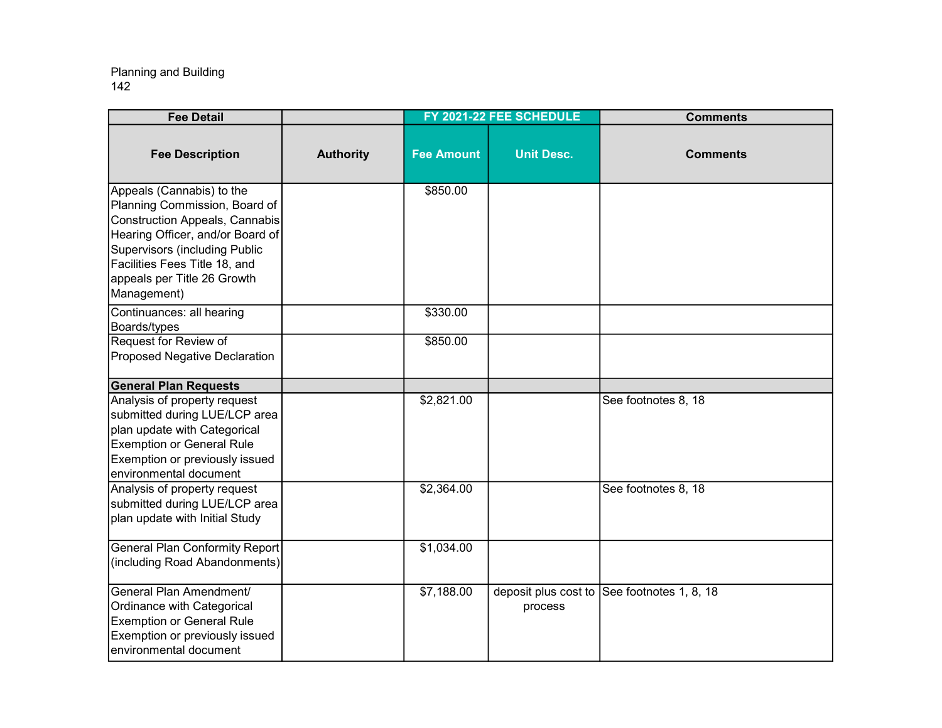| <b>Fee Detail</b>                                                                                                                                                                                                                                |                  |                   | FY 2021-22 FEE SCHEDULE         | <b>Comments</b>        |
|--------------------------------------------------------------------------------------------------------------------------------------------------------------------------------------------------------------------------------------------------|------------------|-------------------|---------------------------------|------------------------|
| <b>Fee Description</b>                                                                                                                                                                                                                           | <b>Authority</b> | <b>Fee Amount</b> | <b>Unit Desc.</b>               | <b>Comments</b>        |
| Appeals (Cannabis) to the<br>Planning Commission, Board of<br>Construction Appeals, Cannabis<br>Hearing Officer, and/or Board of<br>Supervisors (including Public<br>Facilities Fees Title 18, and<br>appeals per Title 26 Growth<br>Management) |                  | \$850.00          |                                 |                        |
| Continuances: all hearing<br>Boards/types                                                                                                                                                                                                        |                  | \$330.00          |                                 |                        |
| Request for Review of<br>Proposed Negative Declaration                                                                                                                                                                                           |                  | \$850.00          |                                 |                        |
| <b>General Plan Requests</b>                                                                                                                                                                                                                     |                  |                   |                                 |                        |
| Analysis of property request<br>submitted during LUE/LCP area<br>plan update with Categorical<br><b>Exemption or General Rule</b><br>Exemption or previously issued<br>environmental document                                                    |                  | \$2,821.00        |                                 | See footnotes 8, 18    |
| Analysis of property request<br>submitted during LUE/LCP area<br>plan update with Initial Study                                                                                                                                                  |                  | \$2,364.00        |                                 | See footnotes 8, 18    |
| <b>General Plan Conformity Report</b><br>(including Road Abandonments)                                                                                                                                                                           |                  | \$1,034.00        |                                 |                        |
| │General Plan Amendment/<br>Ordinance with Categorical<br><b>Exemption or General Rule</b><br>Exemption or previously issued<br>environmental document                                                                                           |                  | \$7,188.00        | deposit plus cost to<br>process | See footnotes 1, 8, 18 |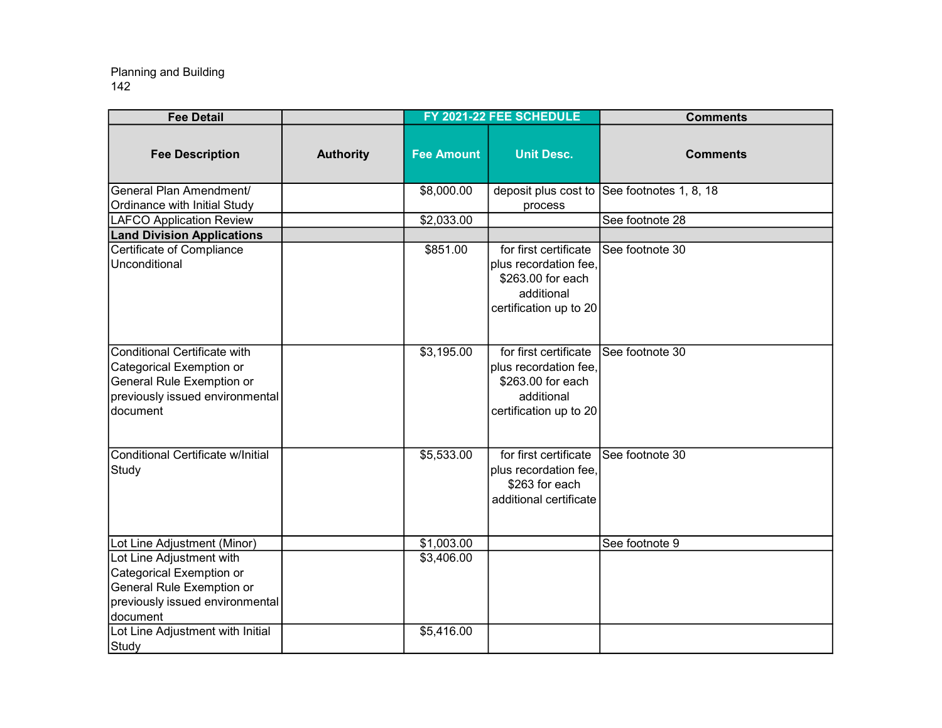| <b>Fee Detail</b>                                                                                                                    |                  |                   | FY 2021-22 FEE SCHEDULE                                                                                     | <b>Comments</b>        |
|--------------------------------------------------------------------------------------------------------------------------------------|------------------|-------------------|-------------------------------------------------------------------------------------------------------------|------------------------|
| <b>Fee Description</b>                                                                                                               | <b>Authority</b> | <b>Fee Amount</b> | <b>Unit Desc.</b>                                                                                           | <b>Comments</b>        |
| General Plan Amendment/                                                                                                              |                  | \$8,000.00        | deposit plus cost to                                                                                        | See footnotes 1, 8, 18 |
| Ordinance with Initial Study                                                                                                         |                  | \$2,033.00        | process                                                                                                     | See footnote 28        |
| <b>LAFCO Application Review</b><br><b>Land Division Applications</b>                                                                 |                  |                   |                                                                                                             |                        |
| Certificate of Compliance                                                                                                            |                  | \$851.00          | for first certificate                                                                                       | See footnote 30        |
| Unconditional                                                                                                                        |                  |                   | plus recordation fee,<br>\$263.00 for each<br>additional<br>certification up to 20                          |                        |
| Conditional Certificate with<br>Categorical Exemption or<br>General Rule Exemption or<br>previously issued environmental<br>document |                  | \$3,195.00        | for first certificate<br>plus recordation fee,<br>\$263.00 for each<br>additional<br>certification up to 20 | See footnote 30        |
| Conditional Certificate w/Initial<br>Study                                                                                           |                  | \$5,533.00        | for first certificate<br>plus recordation fee,<br>\$263 for each<br>additional certificate                  | See footnote 30        |
| Lot Line Adjustment (Minor)                                                                                                          |                  | \$1,003.00        |                                                                                                             | See footnote 9         |
| Lot Line Adjustment with<br>Categorical Exemption or<br>General Rule Exemption or<br>previously issued environmental<br>document     |                  | \$3,406.00        |                                                                                                             |                        |
| Lot Line Adjustment with Initial<br>Study                                                                                            |                  | \$5,416.00        |                                                                                                             |                        |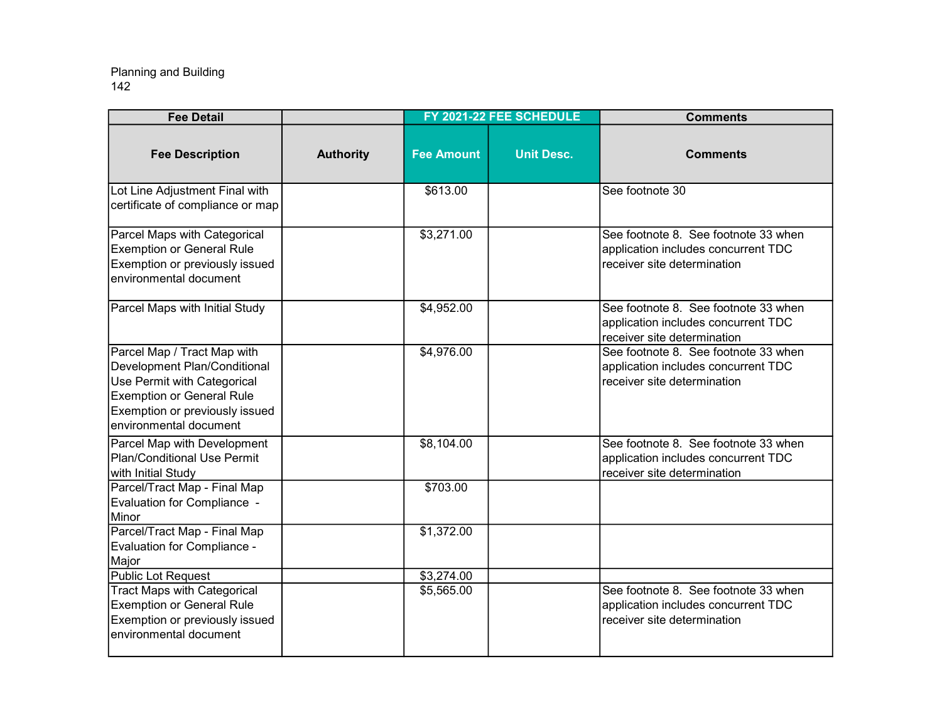| <b>Fee Detail</b>                                                                                                                                                                          |                  |                   | FY 2021-22 FEE SCHEDULE | <b>Comments</b>                                                                                            |
|--------------------------------------------------------------------------------------------------------------------------------------------------------------------------------------------|------------------|-------------------|-------------------------|------------------------------------------------------------------------------------------------------------|
| <b>Fee Description</b>                                                                                                                                                                     | <b>Authority</b> | <b>Fee Amount</b> | <b>Unit Desc.</b>       | <b>Comments</b>                                                                                            |
| Lot Line Adjustment Final with<br>certificate of compliance or map                                                                                                                         |                  | \$613.00          |                         | See footnote 30                                                                                            |
| Parcel Maps with Categorical<br><b>Exemption or General Rule</b><br>Exemption or previously issued<br>environmental document                                                               |                  | \$3,271.00        |                         | See footnote 8. See footnote 33 when<br>application includes concurrent TDC<br>receiver site determination |
| Parcel Maps with Initial Study                                                                                                                                                             |                  | \$4,952.00        |                         | See footnote 8. See footnote 33 when<br>application includes concurrent TDC<br>receiver site determination |
| Parcel Map / Tract Map with<br>Development Plan/Conditional<br>Use Permit with Categorical<br><b>Exemption or General Rule</b><br>Exemption or previously issued<br>environmental document |                  | \$4,976.00        |                         | See footnote 8. See footnote 33 when<br>application includes concurrent TDC<br>receiver site determination |
| Parcel Map with Development<br>Plan/Conditional Use Permit<br>with Initial Study                                                                                                           |                  | \$8,104.00        |                         | See footnote 8. See footnote 33 when<br>application includes concurrent TDC<br>receiver site determination |
| Parcel/Tract Map - Final Map<br>Evaluation for Compliance -<br>Minor                                                                                                                       |                  | \$703.00          |                         |                                                                                                            |
| Parcel/Tract Map - Final Map<br>Evaluation for Compliance -<br>Major                                                                                                                       |                  | \$1,372.00        |                         |                                                                                                            |
| <b>Public Lot Request</b>                                                                                                                                                                  |                  | \$3,274.00        |                         |                                                                                                            |
| <b>Tract Maps with Categorical</b><br><b>Exemption or General Rule</b><br>Exemption or previously issued<br>environmental document                                                         |                  | \$5,565.00        |                         | See footnote 8. See footnote 33 when<br>application includes concurrent TDC<br>receiver site determination |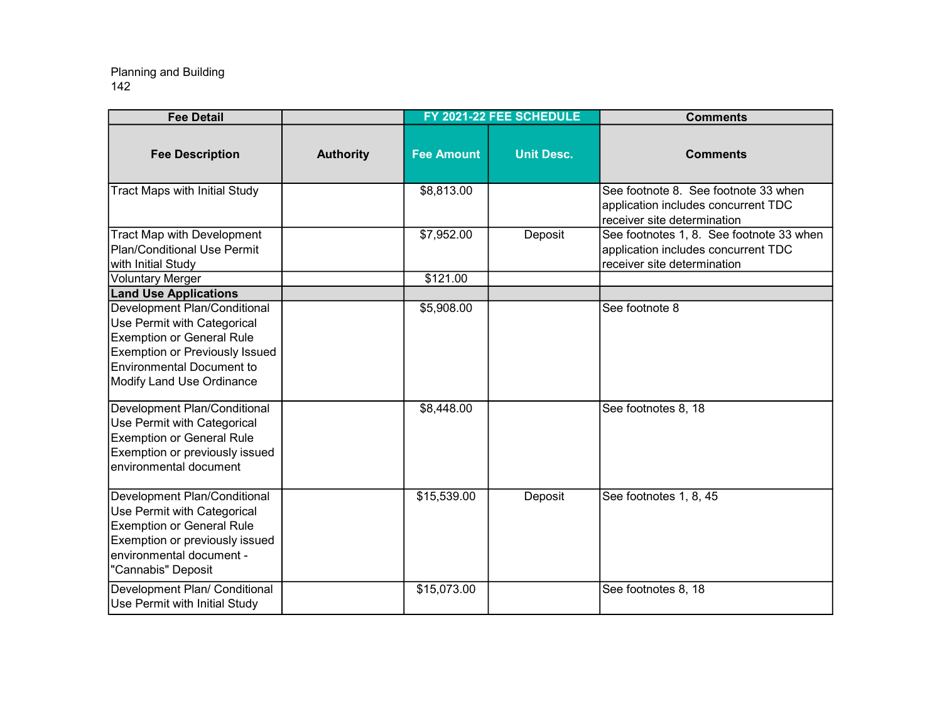| <b>Fee Detail</b>                                                                                                                                                                                  |                  |                   | FY 2021-22 FEE SCHEDULE | <b>Comments</b>                                                                                                |
|----------------------------------------------------------------------------------------------------------------------------------------------------------------------------------------------------|------------------|-------------------|-------------------------|----------------------------------------------------------------------------------------------------------------|
| <b>Fee Description</b>                                                                                                                                                                             | <b>Authority</b> | <b>Fee Amount</b> | <b>Unit Desc.</b>       | <b>Comments</b>                                                                                                |
| Tract Maps with Initial Study                                                                                                                                                                      |                  | \$8,813.00        |                         | See footnote 8. See footnote 33 when<br>application includes concurrent TDC<br>receiver site determination     |
| <b>Tract Map with Development</b><br><b>Plan/Conditional Use Permit</b><br>with Initial Study                                                                                                      |                  | \$7,952.00        | Deposit                 | See footnotes 1, 8. See footnote 33 when<br>application includes concurrent TDC<br>receiver site determination |
| <b>Voluntary Merger</b>                                                                                                                                                                            |                  | \$121.00          |                         |                                                                                                                |
| <b>Land Use Applications</b>                                                                                                                                                                       |                  |                   |                         |                                                                                                                |
| Development Plan/Conditional<br>Use Permit with Categorical<br><b>Exemption or General Rule</b><br>Exemption or Previously Issued<br><b>Environmental Document to</b><br>Modify Land Use Ordinance |                  | \$5,908.00        |                         | See footnote 8                                                                                                 |
| Development Plan/Conditional<br>Use Permit with Categorical<br><b>Exemption or General Rule</b><br>Exemption or previously issued<br>environmental document                                        |                  | \$8,448.00        |                         | See footnotes 8, 18                                                                                            |
| Development Plan/Conditional<br>Use Permit with Categorical<br><b>Exemption or General Rule</b><br>Exemption or previously issued<br>environmental document -<br>"Cannabis" Deposit                |                  | \$15,539.00       | Deposit                 | See footnotes 1, 8, 45                                                                                         |
| Development Plan/ Conditional<br>Use Permit with Initial Study                                                                                                                                     |                  | \$15,073.00       |                         | See footnotes 8, 18                                                                                            |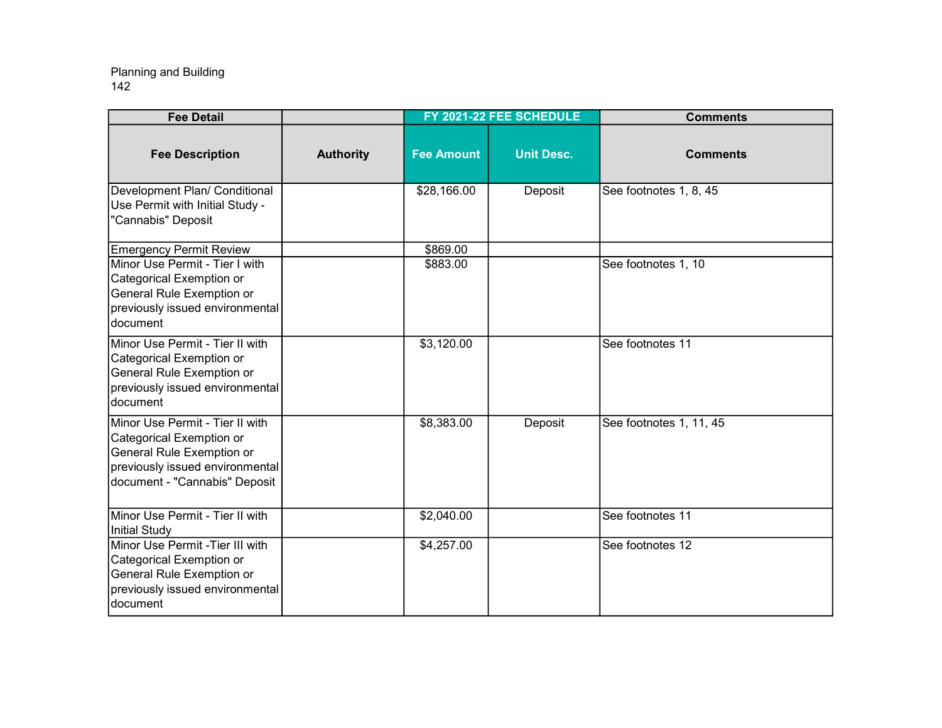| <b>Fee Detail</b>                                                                                                                                                        |                  |                      | FY 2021-22 FEE SCHEDULE | <b>Comments</b>         |
|--------------------------------------------------------------------------------------------------------------------------------------------------------------------------|------------------|----------------------|-------------------------|-------------------------|
| <b>Fee Description</b>                                                                                                                                                   | <b>Authority</b> | <b>Fee Amount</b>    | <b>Unit Desc.</b>       | <b>Comments</b>         |
| Development Plan/ Conditional<br>Use Permit with Initial Study -<br>"Cannabis" Deposit                                                                                   |                  | \$28,166.00          | Deposit                 | See footnotes 1, 8, 45  |
| <b>Emergency Permit Review</b><br>Minor Use Permit - Tier I with<br>Categorical Exemption or<br>General Rule Exemption or<br>previously issued environmental<br>document |                  | \$869.00<br>\$883.00 |                         | See footnotes 1, 10     |
| Minor Use Permit - Tier II with<br>Categorical Exemption or<br>General Rule Exemption or<br>previously issued environmental<br>Idocument                                 |                  | \$3,120.00           |                         | See footnotes 11        |
| Minor Use Permit - Tier II with<br>Categorical Exemption or<br>General Rule Exemption or<br>previously issued environmental<br>document - "Cannabis" Deposit             |                  | \$8,383.00           | Deposit                 | See footnotes 1, 11, 45 |
| Minor Use Permit - Tier II with<br>Initial Study                                                                                                                         |                  | \$2,040.00           |                         | See footnotes 11        |
| Minor Use Permit - Tier III with<br>Categorical Exemption or<br>General Rule Exemption or<br>previously issued environmental<br>document                                 |                  | \$4,257.00           |                         | See footnotes 12        |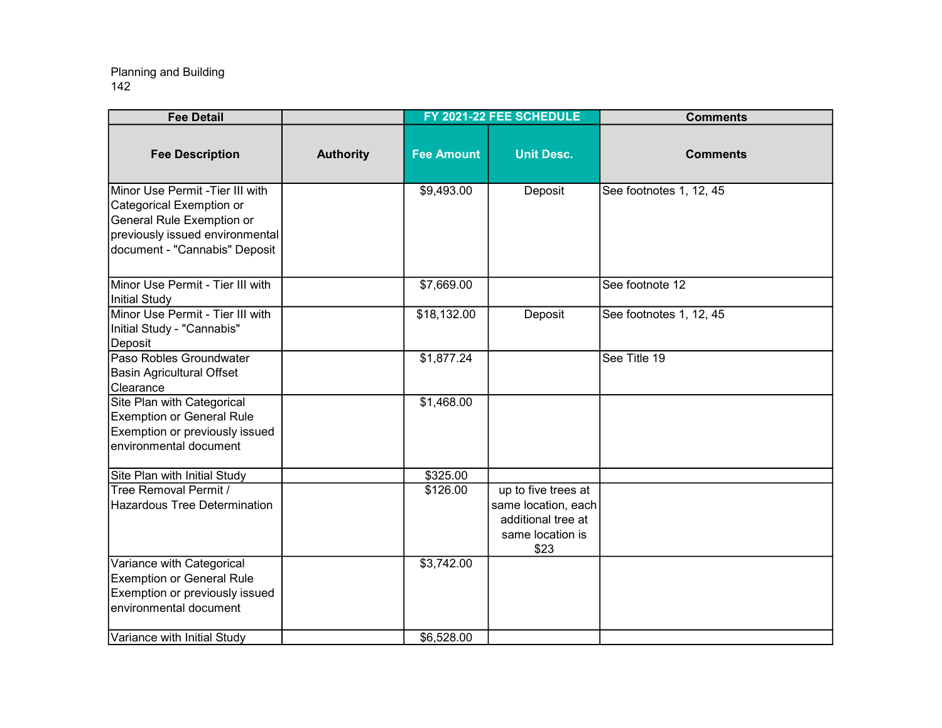| <b>Fee Detail</b>                                                                                                                                            |                  |                   | FY 2021-22 FEE SCHEDULE                                                                      | <b>Comments</b>         |
|--------------------------------------------------------------------------------------------------------------------------------------------------------------|------------------|-------------------|----------------------------------------------------------------------------------------------|-------------------------|
| <b>Fee Description</b>                                                                                                                                       | <b>Authority</b> | <b>Fee Amount</b> | <b>Unit Desc.</b>                                                                            | <b>Comments</b>         |
| Minor Use Permit -Tier III with<br>Categorical Exemption or<br>General Rule Exemption or<br>previously issued environmental<br>document - "Cannabis" Deposit |                  | \$9,493.00        | Deposit                                                                                      | See footnotes 1, 12, 45 |
| Minor Use Permit - Tier III with<br>Initial Study                                                                                                            |                  | \$7,669.00        |                                                                                              | See footnote 12         |
| Minor Use Permit - Tier III with<br>Initial Study - "Cannabis"<br>Deposit                                                                                    |                  | \$18,132.00       | Deposit                                                                                      | See footnotes 1, 12, 45 |
| Paso Robles Groundwater<br><b>Basin Agricultural Offset</b><br>Clearance                                                                                     |                  | \$1,877.24        |                                                                                              | See Title 19            |
| Site Plan with Categorical<br><b>Exemption or General Rule</b><br>Exemption or previously issued<br>environmental document                                   |                  | \$1,468.00        |                                                                                              |                         |
| Site Plan with Initial Study                                                                                                                                 |                  | \$325.00          |                                                                                              |                         |
| Tree Removal Permit /<br><b>Hazardous Tree Determination</b>                                                                                                 |                  | \$126.00          | up to five trees at<br>same location, each<br>additional tree at<br>same location is<br>\$23 |                         |
| Variance with Categorical<br><b>Exemption or General Rule</b><br>Exemption or previously issued<br>environmental document                                    |                  | \$3,742.00        |                                                                                              |                         |
| Variance with Initial Study                                                                                                                                  |                  | \$6,528.00        |                                                                                              |                         |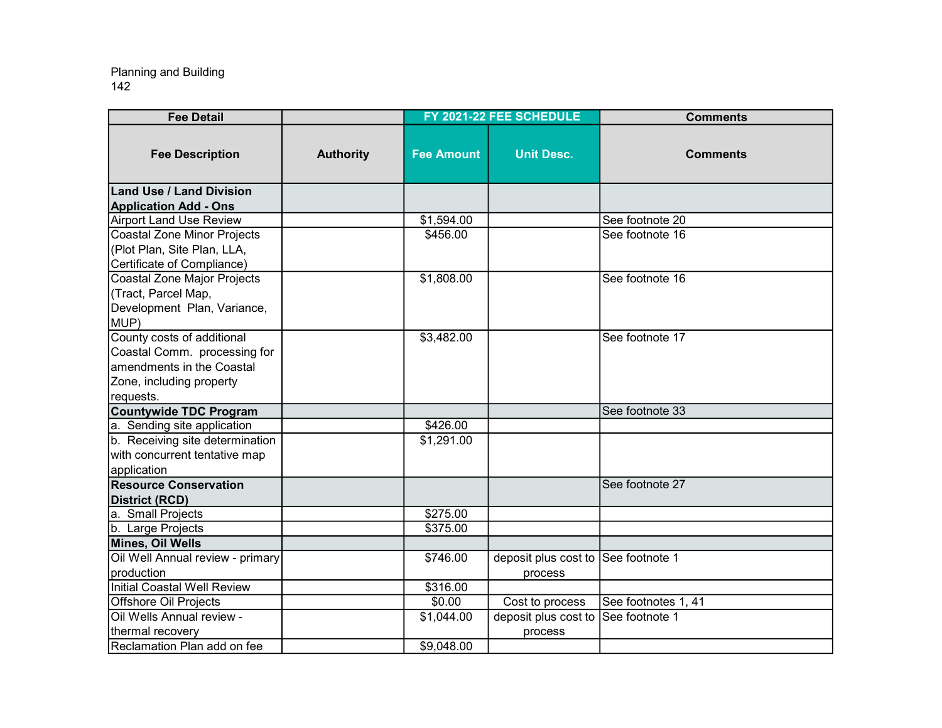| <b>Fee Detail</b>                   |                  |                   | FY 2021-22 FEE SCHEDULE | <b>Comments</b>     |
|-------------------------------------|------------------|-------------------|-------------------------|---------------------|
| <b>Fee Description</b>              | <b>Authority</b> | <b>Fee Amount</b> | <b>Unit Desc.</b>       | <b>Comments</b>     |
| <b>Land Use / Land Division</b>     |                  |                   |                         |                     |
| <b>Application Add - Ons</b>        |                  |                   |                         |                     |
| <b>Airport Land Use Review</b>      |                  | \$1,594.00        |                         | See footnote 20     |
| Coastal Zone Minor Projects         |                  | \$456.00          |                         | See footnote 16     |
| (Plot Plan, Site Plan, LLA,         |                  |                   |                         |                     |
| Certificate of Compliance)          |                  |                   |                         |                     |
| Coastal Zone Major Projects         |                  | \$1,808.00        |                         | See footnote 16     |
| (Tract, Parcel Map,                 |                  |                   |                         |                     |
| Development Plan, Variance,<br>MUP) |                  |                   |                         |                     |
| County costs of additional          |                  | \$3,482.00        |                         | See footnote 17     |
| Coastal Comm. processing for        |                  |                   |                         |                     |
| amendments in the Coastal           |                  |                   |                         |                     |
| Zone, including property            |                  |                   |                         |                     |
| requests.                           |                  |                   |                         |                     |
| <b>Countywide TDC Program</b>       |                  |                   |                         | See footnote 33     |
| a. Sending site application         |                  | \$426.00          |                         |                     |
| b. Receiving site determination     |                  | \$1,291.00        |                         |                     |
| with concurrent tentative map       |                  |                   |                         |                     |
| application                         |                  |                   |                         |                     |
| <b>Resource Conservation</b>        |                  |                   |                         | See footnote 27     |
| <b>District (RCD)</b>               |                  |                   |                         |                     |
| a. Small Projects                   |                  | \$275.00          |                         |                     |
| b. Large Projects                   |                  | \$375.00          |                         |                     |
| Mines, Oil Wells                    |                  |                   |                         |                     |
| Oil Well Annual review - primary    |                  | \$746.00          | deposit plus cost to    | See footnote 1      |
| production                          |                  |                   | process                 |                     |
| Initial Coastal Well Review         |                  | \$316.00          |                         |                     |
| Offshore Oil Projects               |                  | \$0.00            | Cost to process         | See footnotes 1, 41 |
| Oil Wells Annual review -           |                  | \$1,044.00        | deposit plus cost to    | ISee footnote 1     |
| thermal recovery                    |                  |                   | process                 |                     |
| Reclamation Plan add on fee         |                  | \$9,048.00        |                         |                     |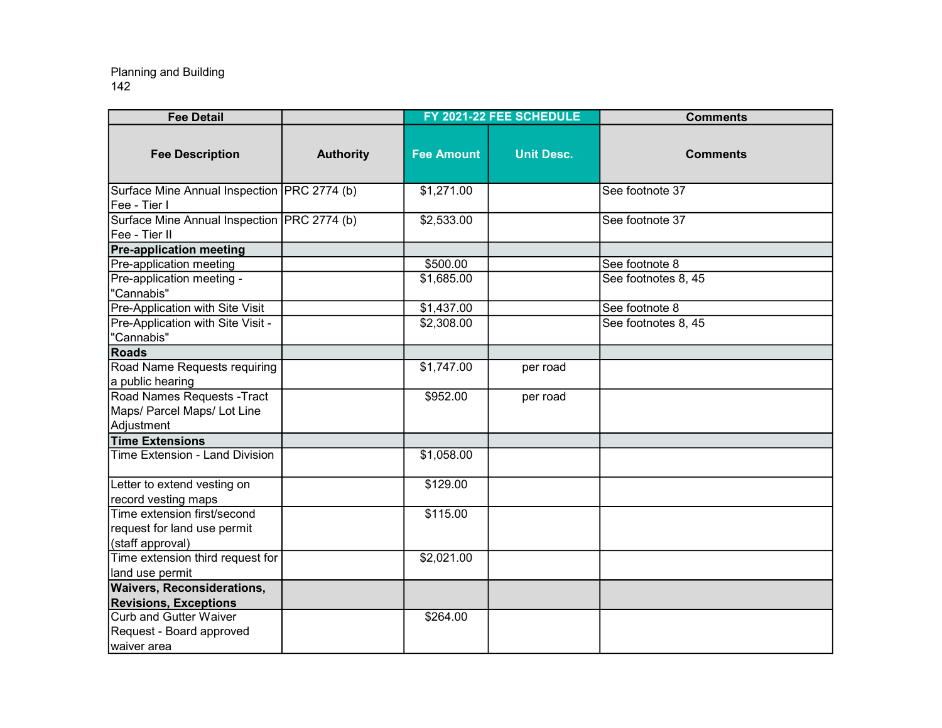| <b>Fee Detail</b>                                                              |                  |                   | FY 2021-22 FEE SCHEDULE | <b>Comments</b>     |
|--------------------------------------------------------------------------------|------------------|-------------------|-------------------------|---------------------|
| <b>Fee Description</b>                                                         | <b>Authority</b> | <b>Fee Amount</b> | <b>Unit Desc.</b>       | <b>Comments</b>     |
| Surface Mine Annual Inspection   PRC 2774 (b)<br>Fee - Tier I                  |                  | \$1,271.00        |                         | See footnote 37     |
| Surface Mine Annual Inspection PRC 2774 (b)<br>Fee - Tier II                   |                  | \$2,533.00        |                         | See footnote 37     |
| <b>Pre-application meeting</b>                                                 |                  |                   |                         |                     |
| Pre-application meeting                                                        |                  | \$500.00          |                         | See footnote 8      |
| Pre-application meeting -<br>"Cannabis"                                        |                  | \$1,685.00        |                         | See footnotes 8, 45 |
| Pre-Application with Site Visit                                                |                  | \$1,437.00        |                         | See footnote 8      |
| Pre-Application with Site Visit -<br>"Cannabis"                                |                  | \$2,308.00        |                         | See footnotes 8, 45 |
| <b>Roads</b>                                                                   |                  |                   |                         |                     |
| Road Name Requests requiring<br>a public hearing                               |                  | \$1,747.00        | per road                |                     |
| Road Names Requests - Tract<br>Maps/ Parcel Maps/ Lot Line<br>Adjustment       |                  | \$952.00          | per road                |                     |
| <b>Time Extensions</b>                                                         |                  |                   |                         |                     |
| <b>Time Extension - Land Division</b>                                          |                  | \$1,058.00        |                         |                     |
| Letter to extend vesting on<br>record vesting maps                             |                  | \$129.00          |                         |                     |
| Time extension first/second<br>request for land use permit<br>(staff approval) |                  | \$115.00          |                         |                     |
| Time extension third request for<br>land use permit                            |                  | \$2,021.00        |                         |                     |
| <b>Waivers, Reconsiderations,</b>                                              |                  |                   |                         |                     |
| <b>Revisions, Exceptions</b>                                                   |                  |                   |                         |                     |
| <b>Curb and Gutter Waiver</b>                                                  |                  | \$264.00          |                         |                     |
| Request - Board approved<br>lwaiver area                                       |                  |                   |                         |                     |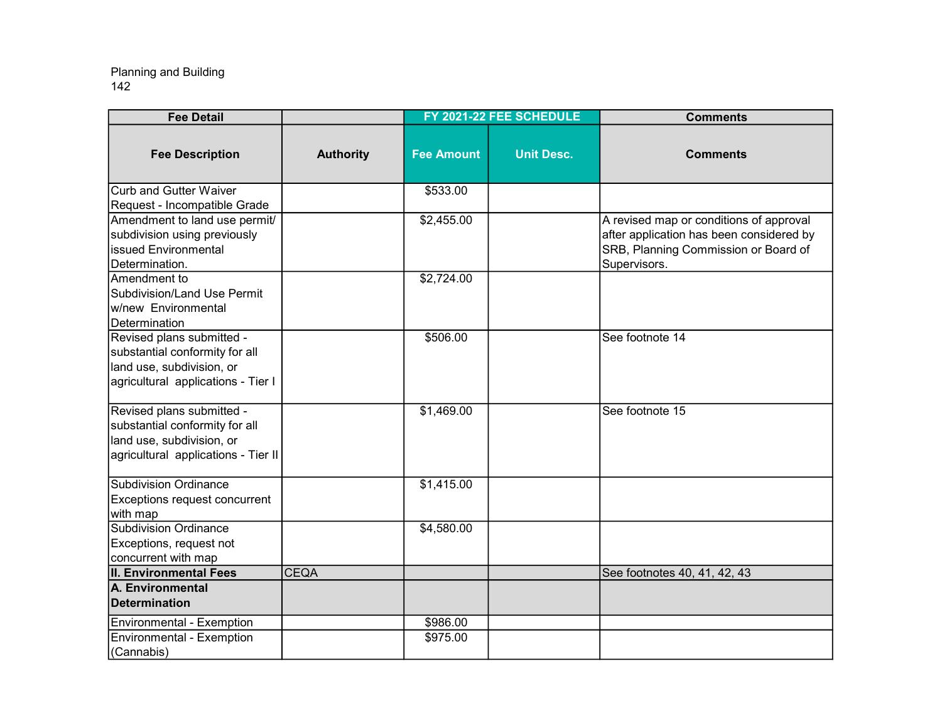| <b>Fee Detail</b>                                                                                                               |                  |                   | FY 2021-22 FEE SCHEDULE | <b>Comments</b>                                                                                                                             |
|---------------------------------------------------------------------------------------------------------------------------------|------------------|-------------------|-------------------------|---------------------------------------------------------------------------------------------------------------------------------------------|
| <b>Fee Description</b>                                                                                                          | <b>Authority</b> | <b>Fee Amount</b> | <b>Unit Desc.</b>       | <b>Comments</b>                                                                                                                             |
| Curb and Gutter Waiver<br>Request - Incompatible Grade                                                                          |                  | \$533.00          |                         |                                                                                                                                             |
| Amendment to land use permit/<br>subdivision using previously<br>Iissued Environmental<br>Determination.                        |                  | \$2,455.00        |                         | A revised map or conditions of approval<br>after application has been considered by<br>SRB, Planning Commission or Board of<br>Supervisors. |
| Amendment to<br>Subdivision/Land Use Permit<br>w/new Environmental<br>Determination                                             |                  | \$2,724.00        |                         |                                                                                                                                             |
| Revised plans submitted -<br>substantial conformity for all<br>land use, subdivision, or<br>agricultural applications - Tier I  |                  | \$506.00          |                         | See footnote 14                                                                                                                             |
| Revised plans submitted -<br>substantial conformity for all<br>land use, subdivision, or<br>agricultural applications - Tier II |                  | \$1,469.00        |                         | See footnote 15                                                                                                                             |
| Subdivision Ordinance<br>Exceptions request concurrent<br>with map                                                              |                  | \$1,415.00        |                         |                                                                                                                                             |
| Subdivision Ordinance<br>Exceptions, request not<br>concurrent with map                                                         |                  | \$4,580.00        |                         |                                                                                                                                             |
| <b>II. Environmental Fees</b>                                                                                                   | <b>CEQA</b>      |                   |                         | See footnotes 40, 41, 42, 43                                                                                                                |
| A. Environmental<br>Determination                                                                                               |                  |                   |                         |                                                                                                                                             |
| Environmental - Exemption                                                                                                       |                  | \$986.00          |                         |                                                                                                                                             |
| Environmental - Exemption<br>(Cannabis)                                                                                         |                  | \$975.00          |                         |                                                                                                                                             |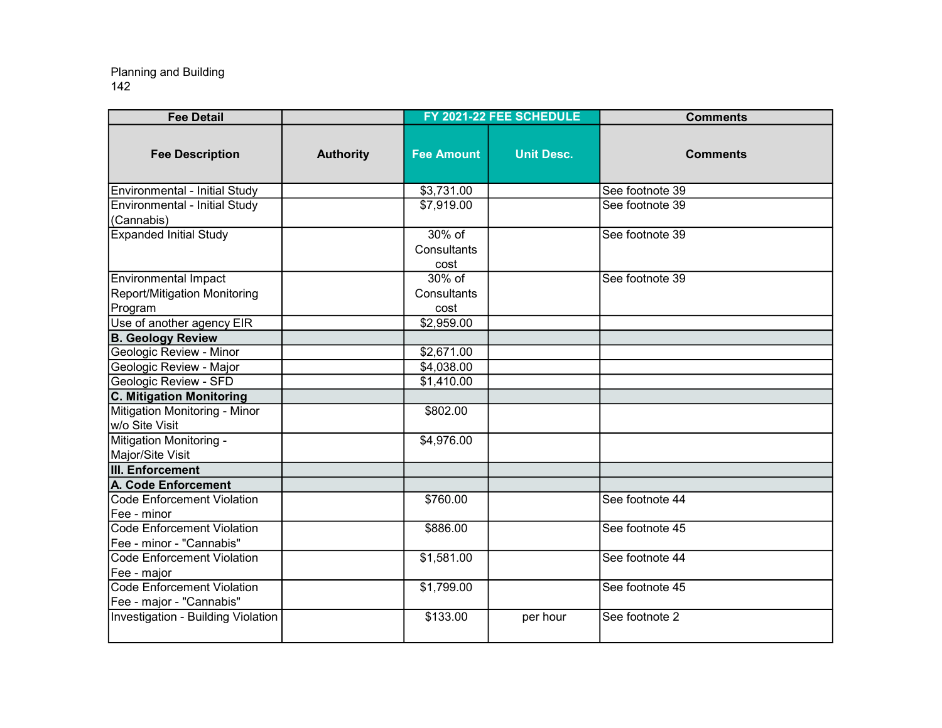| <b>Fee Detail</b>                                                      |                  |                                  | FY 2021-22 FEE SCHEDULE | <b>Comments</b> |
|------------------------------------------------------------------------|------------------|----------------------------------|-------------------------|-----------------|
| <b>Fee Description</b>                                                 | <b>Authority</b> | <b>Fee Amount</b>                | <b>Unit Desc.</b>       | <b>Comments</b> |
| Environmental - Initial Study                                          |                  | \$3,731.00                       |                         | See footnote 39 |
| Environmental - Initial Study<br>(Cannabis)                            |                  | \$7,919.00                       |                         | See footnote 39 |
| <b>Expanded Initial Study</b>                                          |                  | $30\%$ of<br>Consultants<br>cost |                         | See footnote 39 |
| <b>Environmental Impact</b><br>Report/Mitigation Monitoring<br>Program |                  | $30\%$ of<br>Consultants<br>cost |                         | See footnote 39 |
| Use of another agency EIR                                              |                  | \$2,959.00                       |                         |                 |
| <b>B. Geology Review</b>                                               |                  |                                  |                         |                 |
| Geologic Review - Minor                                                |                  | \$2,671.00                       |                         |                 |
| Geologic Review - Major                                                |                  | \$4,038.00                       |                         |                 |
| <b>Geologic Review - SFD</b>                                           |                  | \$1,410.00                       |                         |                 |
| C. Mitigation Monitoring                                               |                  |                                  |                         |                 |
| Mitigation Monitoring - Minor<br>w/o Site Visit                        |                  | \$802.00                         |                         |                 |
| Mitigation Monitoring -<br>Major/Site Visit                            |                  | \$4,976.00                       |                         |                 |
| <b>III. Enforcement</b>                                                |                  |                                  |                         |                 |
| <b>A. Code Enforcement</b>                                             |                  |                                  |                         |                 |
| Code Enforcement Violation<br>IFee - minor                             |                  |                                  |                         | See footnote 44 |
| Code Enforcement Violation                                             |                  | \$886.00                         |                         | See footnote 45 |
| Fee - minor - "Cannabis"                                               |                  |                                  |                         |                 |
| Code Enforcement Violation<br>Fee - major                              |                  | \$1,581.00                       |                         | See footnote 44 |
| Code Enforcement Violation<br>Fee - major - "Cannabis"                 |                  | \$1,799.00                       |                         | See footnote 45 |
| Investigation - Building Violation                                     |                  | \$133.00                         | per hour                | See footnote 2  |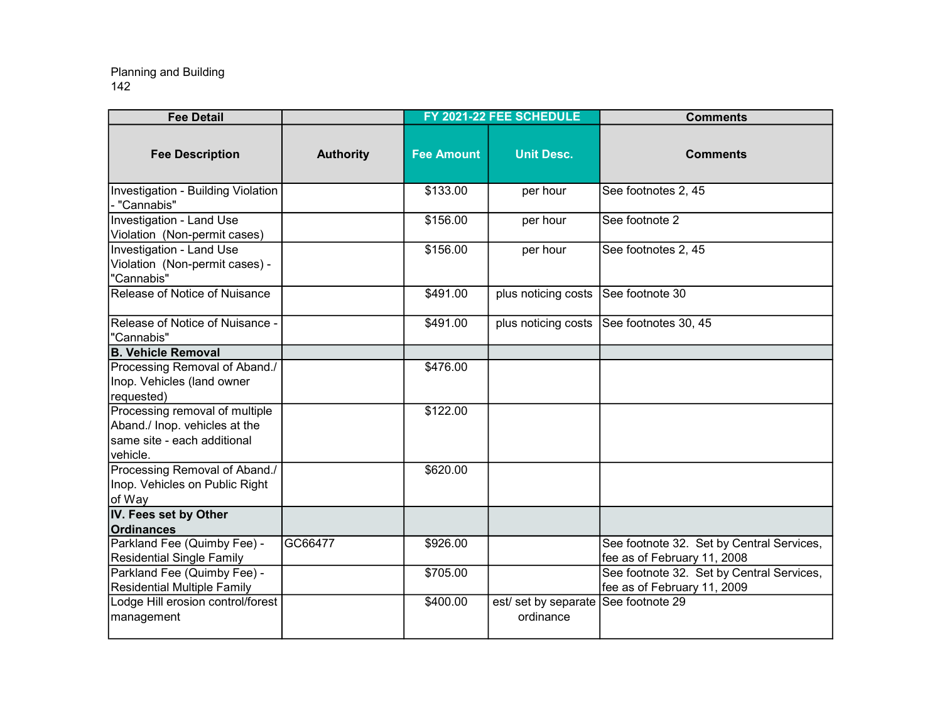| <b>Fee Detail</b>                                                                                          |                  |                   | FY 2021-22 FEE SCHEDULE           | <b>Comments</b>                                                          |
|------------------------------------------------------------------------------------------------------------|------------------|-------------------|-----------------------------------|--------------------------------------------------------------------------|
| <b>Fee Description</b>                                                                                     | <b>Authority</b> | <b>Fee Amount</b> | <b>Unit Desc.</b>                 | <b>Comments</b>                                                          |
| Investigation - Building Violation<br>"Cannabis"                                                           |                  | \$133.00          | per hour                          | See footnotes 2, 45                                                      |
| Investigation - Land Use<br>Violation (Non-permit cases)                                                   |                  | \$156.00          | per hour                          | See footnote 2                                                           |
| <b>Investigation - Land Use</b><br>Violation (Non-permit cases) -<br>"Cannabis"                            |                  | \$156.00          | per hour                          | See footnotes 2, 45                                                      |
| Release of Notice of Nuisance                                                                              |                  | \$491.00          | plus noticing costs               | See footnote 30                                                          |
| Release of Notice of Nuisance -<br>"Cannabis"                                                              |                  | \$491.00          | plus noticing costs               | See footnotes 30, 45                                                     |
| <b>B. Vehicle Removal</b>                                                                                  |                  |                   |                                   |                                                                          |
| Processing Removal of Aband./<br>Inop. Vehicles (land owner<br>requested)                                  |                  | \$476.00          |                                   |                                                                          |
| Processing removal of multiple<br>Aband./ Inop. vehicles at the<br>same site - each additional<br>vehicle. |                  | \$122.00          |                                   |                                                                          |
| Processing Removal of Aband./<br>Inop. Vehicles on Public Right<br>of Way                                  |                  | \$620.00          |                                   |                                                                          |
| IV. Fees set by Other<br><b>Ordinances</b>                                                                 |                  |                   |                                   |                                                                          |
| Parkland Fee (Quimby Fee) -<br><b>Residential Single Family</b>                                            | GC66477          | \$926.00          |                                   | See footnote 32. Set by Central Services,<br>fee as of February 11, 2008 |
| Parkland Fee (Quimby Fee) -<br>Residential Multiple Family                                                 |                  | \$705.00          |                                   | See footnote 32. Set by Central Services,<br>fee as of February 11, 2009 |
| Lodge Hill erosion control/forest<br>management                                                            |                  | \$400.00          | est/ set by separate<br>ordinance | See footnote 29                                                          |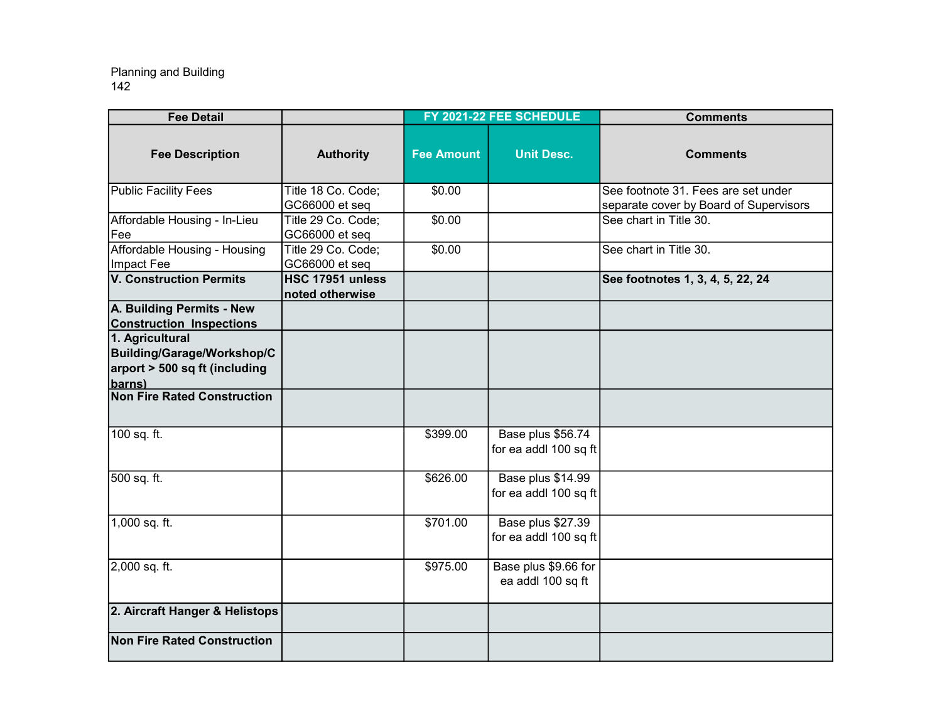| <b>Fee Detail</b>                                                                        |                                      |                   | FY 2021-22 FEE SCHEDULE                    | <b>Comments</b>                                                               |
|------------------------------------------------------------------------------------------|--------------------------------------|-------------------|--------------------------------------------|-------------------------------------------------------------------------------|
| <b>Fee Description</b>                                                                   | <b>Authority</b>                     | <b>Fee Amount</b> | <b>Unit Desc.</b>                          | <b>Comments</b>                                                               |
| <b>Public Facility Fees</b>                                                              | Title 18 Co. Code;<br>GC66000 et seq | \$0.00            |                                            | See footnote 31. Fees are set under<br>separate cover by Board of Supervisors |
| Affordable Housing - In-Lieu<br><b>Fee</b>                                               | Title 29 Co. Code;<br>GC66000 et seq | \$0.00            |                                            | See chart in Title 30.                                                        |
| Affordable Housing - Housing<br>Impact Fee                                               | Title 29 Co. Code;<br>GC66000 et seq | \$0.00            |                                            | See chart in Title 30.                                                        |
| <b>V. Construction Permits</b>                                                           | HSC 17951 unless<br>noted otherwise  |                   |                                            | See footnotes 1, 3, 4, 5, 22, 24                                              |
| A. Building Permits - New<br><b>Construction Inspections</b>                             |                                      |                   |                                            |                                                                               |
| 1. Agricultural<br>Building/Garage/Workshop/C<br>arport > 500 sq ft (including<br>barns) |                                      |                   |                                            |                                                                               |
| <b>Non Fire Rated Construction</b>                                                       |                                      |                   |                                            |                                                                               |
| 100 sq. ft.                                                                              |                                      | \$399.00          | Base plus \$56.74<br>for ea addl 100 sq ft |                                                                               |
| 500 sq. ft.                                                                              |                                      | \$626.00          | Base plus \$14.99<br>for ea addl 100 sq ft |                                                                               |
| 1,000 sq. ft.                                                                            |                                      | \$701.00          | Base plus \$27.39<br>for ea addl 100 sq ft |                                                                               |
| 2,000 sq. ft.                                                                            |                                      | \$975.00          | Base plus \$9.66 for<br>ea addl 100 sq ft  |                                                                               |
| 2. Aircraft Hanger & Helistops                                                           |                                      |                   |                                            |                                                                               |
| <b>Non Fire Rated Construction</b>                                                       |                                      |                   |                                            |                                                                               |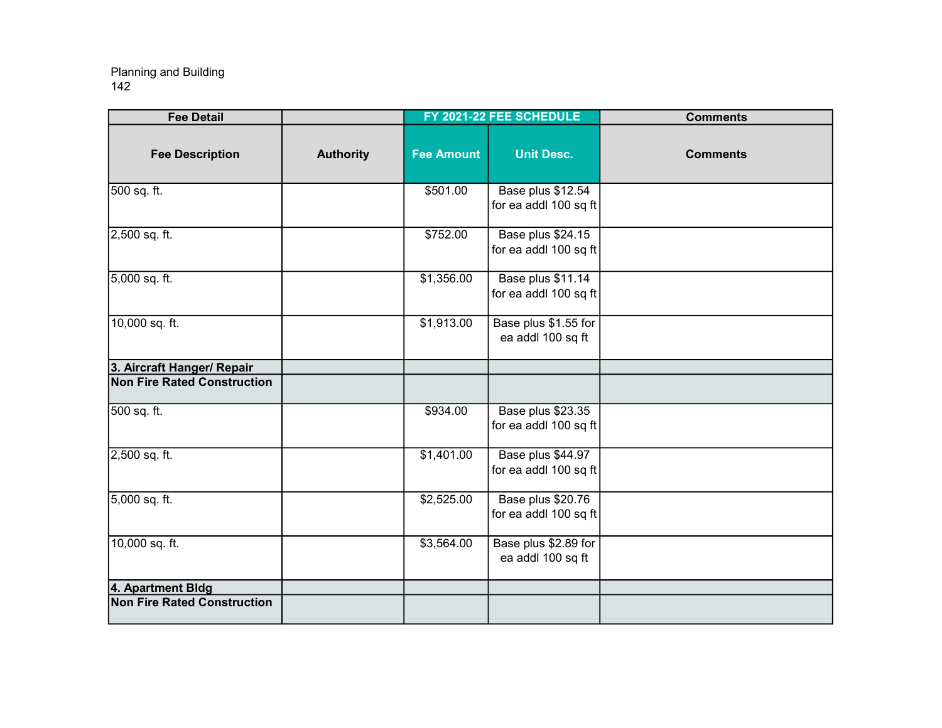| <b>Fee Detail</b>                  |                  |                   | FY 2021-22 FEE SCHEDULE                    | <b>Comments</b> |
|------------------------------------|------------------|-------------------|--------------------------------------------|-----------------|
| <b>Fee Description</b>             | <b>Authority</b> | <b>Fee Amount</b> | <b>Unit Desc.</b>                          | <b>Comments</b> |
| 500 sq. ft.                        |                  | \$501.00          | Base plus \$12.54<br>for ea addl 100 sq ft |                 |
| 2,500 sq. ft.                      |                  | \$752.00          | Base plus \$24.15<br>for ea addl 100 sq ft |                 |
| 5,000 sq. ft.                      |                  | \$1,356.00        | Base plus \$11.14<br>for ea addl 100 sq ft |                 |
| 10,000 sq. ft.                     |                  | \$1,913.00        | Base plus \$1.55 for<br>ea addl 100 sq ft  |                 |
| 3. Aircraft Hanger/ Repair         |                  |                   |                                            |                 |
| Non Fire Rated Construction        |                  |                   |                                            |                 |
| 500 sq. ft.                        |                  | \$934.00          | Base plus \$23.35<br>for ea addl 100 sq ft |                 |
| 2,500 sq. ft.                      |                  | \$1,401.00        | Base plus \$44.97<br>for ea addl 100 sq ft |                 |
| 5,000 sq. ft.                      |                  | \$2,525.00        | Base plus \$20.76<br>for ea addl 100 sq ft |                 |
| 10,000 sq. ft.                     |                  | \$3,564.00        | Base plus \$2.89 for<br>ea addl 100 sq ft  |                 |
| 4. Apartment Bldg                  |                  |                   |                                            |                 |
| <b>Non Fire Rated Construction</b> |                  |                   |                                            |                 |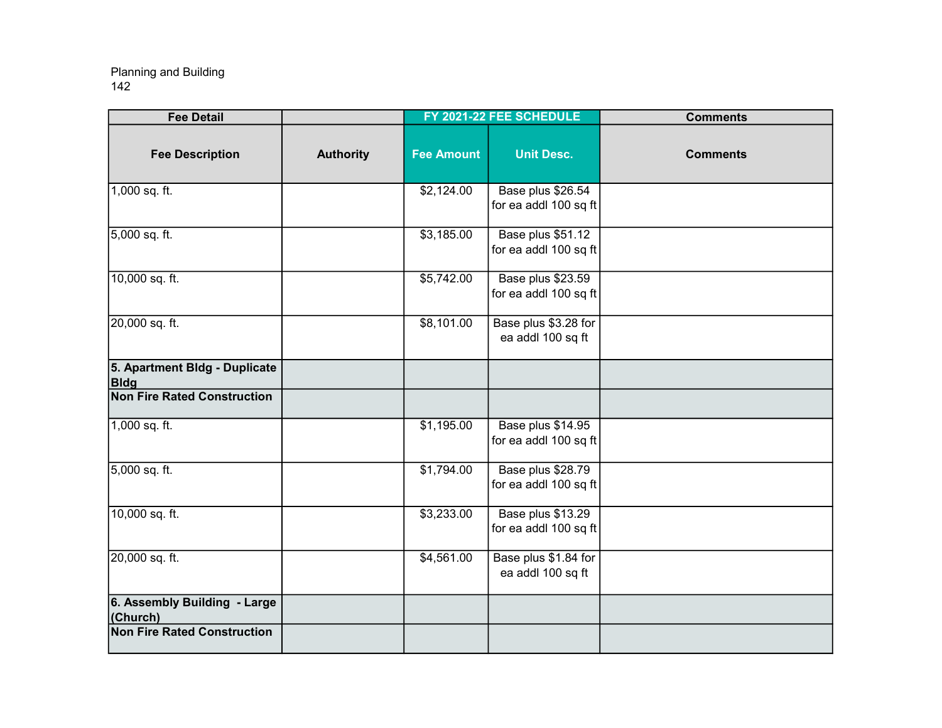| <b>Fee Detail</b>                            |                  |                   | FY 2021-22 FEE SCHEDULE                    | <b>Comments</b> |
|----------------------------------------------|------------------|-------------------|--------------------------------------------|-----------------|
| <b>Fee Description</b>                       | <b>Authority</b> | <b>Fee Amount</b> | <b>Unit Desc.</b>                          | <b>Comments</b> |
| 1,000 sq. ft.                                |                  | \$2,124.00        | Base plus \$26.54<br>for ea addl 100 sq ft |                 |
| 5,000 sq. ft.                                |                  | \$3,185.00        | Base plus \$51.12<br>for ea addl 100 sq ft |                 |
| 10,000 sq. ft.                               |                  | \$5,742.00        | Base plus \$23.59<br>for ea addl 100 sq ft |                 |
| 20,000 sq. ft.                               |                  | \$8,101.00        | Base plus \$3.28 for<br>ea addl 100 sq ft  |                 |
| 5. Apartment Bldg - Duplicate<br><b>Bldg</b> |                  |                   |                                            |                 |
| Non Fire Rated Construction                  |                  |                   |                                            |                 |
| 1,000 sq. ft.                                |                  | \$1,195.00        | Base plus \$14.95<br>for ea addl 100 sq ft |                 |
| 5,000 sq. ft.                                |                  | \$1,794.00        | Base plus \$28.79<br>for ea addl 100 sq ft |                 |
| 10,000 sq. ft.                               |                  | \$3,233.00        | Base plus \$13.29<br>for ea addl 100 sq ft |                 |
| 20,000 sq. ft.                               |                  | \$4,561.00        | Base plus \$1.84 for<br>ea addl 100 sq ft  |                 |
| 6. Assembly Building - Large<br>(Church)     |                  |                   |                                            |                 |
| <b>Non Fire Rated Construction</b>           |                  |                   |                                            |                 |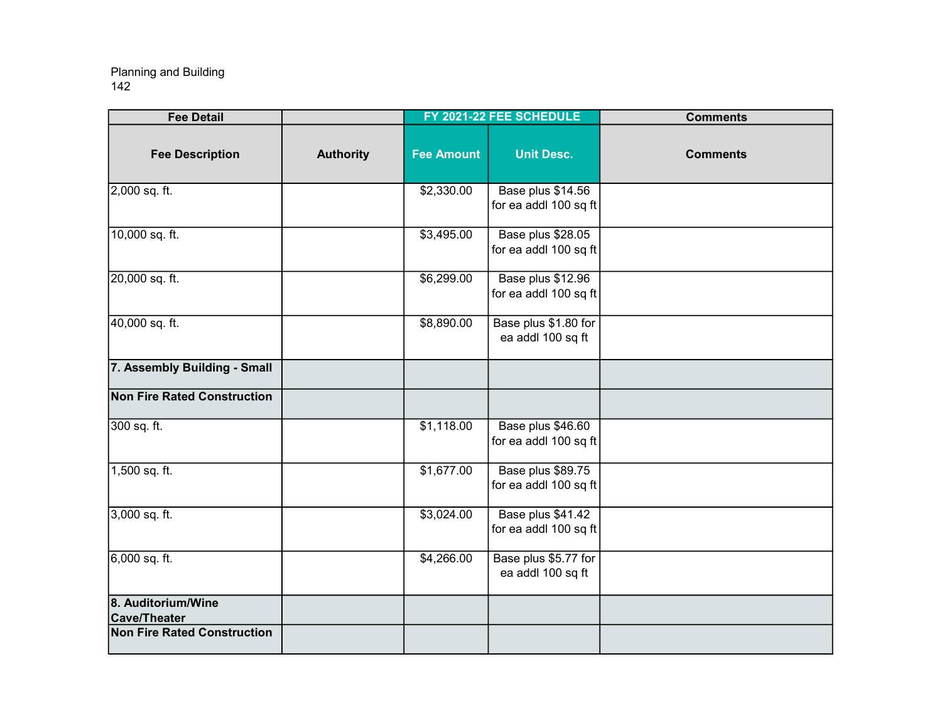| <b>Fee Detail</b>                         |                  |                   | FY 2021-22 FEE SCHEDULE                    | <b>Comments</b> |
|-------------------------------------------|------------------|-------------------|--------------------------------------------|-----------------|
| <b>Fee Description</b>                    | <b>Authority</b> | <b>Fee Amount</b> | <b>Unit Desc.</b>                          | <b>Comments</b> |
| 2,000 sq. ft.                             |                  | \$2,330.00        | Base plus \$14.56<br>for ea addl 100 sq ft |                 |
| 10,000 sq. ft.                            |                  | \$3,495.00        | Base plus \$28.05<br>for ea addl 100 sq ft |                 |
| 20,000 sq. ft.                            |                  | \$6,299.00        | Base plus \$12.96<br>for ea addl 100 sq ft |                 |
| 40,000 sq. ft.                            |                  | \$8,890.00        | Base plus \$1.80 for<br>ea addl 100 sq ft  |                 |
| 7. Assembly Building - Small              |                  |                   |                                            |                 |
| Non Fire Rated Construction               |                  |                   |                                            |                 |
| 300 sq. ft.                               |                  | \$1,118.00        | Base plus \$46.60<br>for ea addl 100 sq ft |                 |
| 1,500 sq. ft.                             |                  | \$1,677.00        | Base plus \$89.75<br>for ea addl 100 sq ft |                 |
| 3,000 sq. ft.                             |                  | \$3,024.00        | Base plus \$41.42<br>for ea addl 100 sq ft |                 |
| 6,000 sq. ft.                             |                  | \$4,266.00        | Base plus \$5.77 for<br>ea addl 100 sq ft  |                 |
| 8. Auditorium/Wine<br><b>Cave/Theater</b> |                  |                   |                                            |                 |
| <b>Non Fire Rated Construction</b>        |                  |                   |                                            |                 |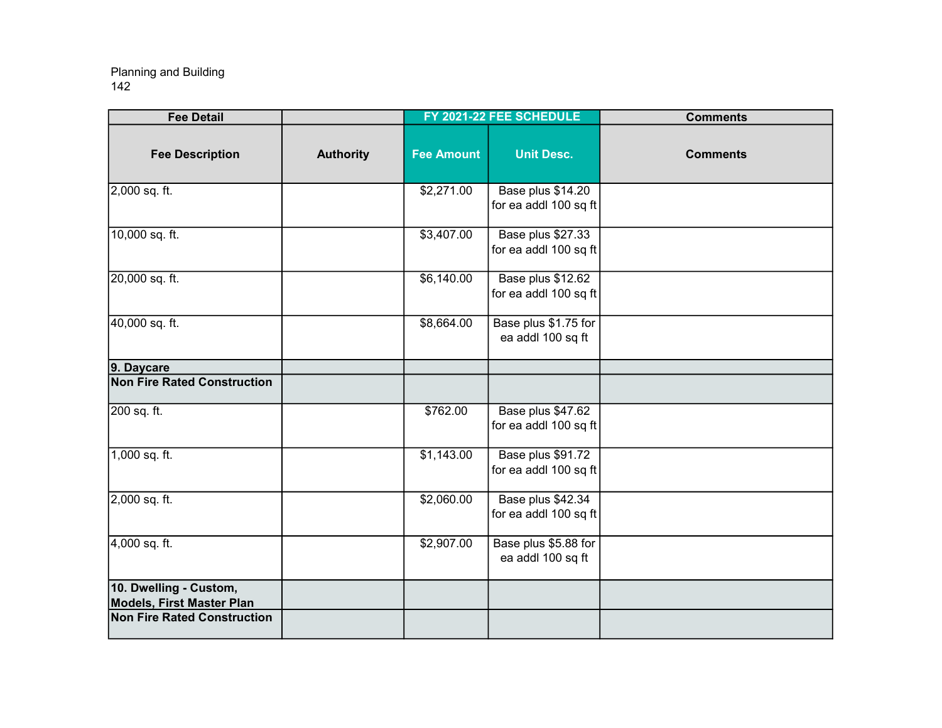| <b>Fee Detail</b>                                          |                  |                   | FY 2021-22 FEE SCHEDULE                    | <b>Comments</b> |
|------------------------------------------------------------|------------------|-------------------|--------------------------------------------|-----------------|
| <b>Fee Description</b>                                     | <b>Authority</b> | <b>Fee Amount</b> | <b>Unit Desc.</b>                          | <b>Comments</b> |
| 2,000 sq. ft.                                              |                  | \$2,271.00        | Base plus \$14.20<br>for ea addl 100 sq ft |                 |
| 10,000 sq. ft.                                             |                  | \$3,407.00        | Base plus \$27.33<br>for ea addl 100 sq ft |                 |
| 20,000 sq. ft.                                             |                  | \$6,140.00        | Base plus \$12.62<br>for ea addl 100 sq ft |                 |
| 40,000 sq. ft.                                             |                  | \$8,664.00        | Base plus \$1.75 for<br>ea addl 100 sq ft  |                 |
| 9. Daycare                                                 |                  |                   |                                            |                 |
| <b>Non Fire Rated Construction</b>                         |                  |                   |                                            |                 |
| 200 sq. ft.                                                |                  | \$762.00          | Base plus \$47.62<br>for ea addl 100 sq ft |                 |
| 1,000 sq. ft.                                              |                  | \$1,143.00        | Base plus \$91.72<br>for ea addl 100 sq ft |                 |
| 2,000 sq. ft.                                              |                  | \$2,060.00        | Base plus \$42.34<br>for ea addl 100 sq ft |                 |
| 4,000 sq. ft.                                              |                  | \$2,907.00        | Base plus \$5.88 for<br>ea addl 100 sq ft  |                 |
| 10. Dwelling - Custom,<br><b>Models, First Master Plan</b> |                  |                   |                                            |                 |
| <b>Non Fire Rated Construction</b>                         |                  |                   |                                            |                 |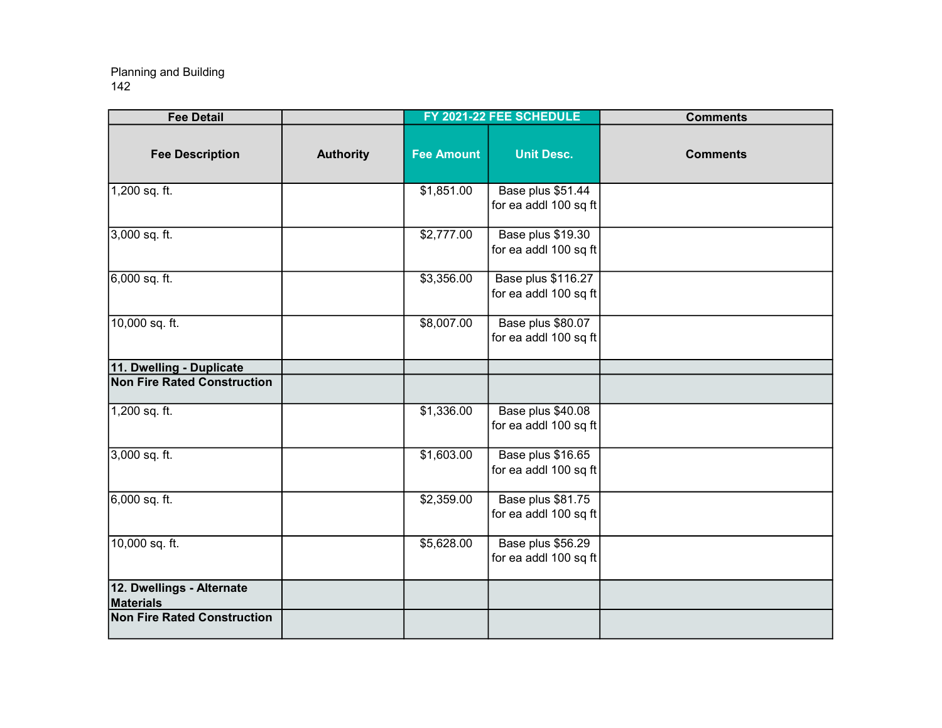| <b>Fee Detail</b>                             |                  |                   | FY 2021-22 FEE SCHEDULE                     | <b>Comments</b> |
|-----------------------------------------------|------------------|-------------------|---------------------------------------------|-----------------|
| <b>Fee Description</b>                        | <b>Authority</b> | <b>Fee Amount</b> | <b>Unit Desc.</b>                           | <b>Comments</b> |
| 1,200 sq. ft.                                 |                  | \$1,851.00        | Base plus \$51.44<br>for ea addl 100 sq ft  |                 |
| 3,000 sq. ft.                                 |                  | \$2,777.00        | Base plus \$19.30<br>for ea addl 100 sq ft  |                 |
| $6,000$ sq. ft.                               |                  | \$3,356.00        | Base plus \$116.27<br>for ea addl 100 sq ft |                 |
| 10,000 sq. ft.                                |                  | \$8,007.00        | Base plus \$80.07<br>for ea addl 100 sq ft  |                 |
| 11. Dwelling - Duplicate                      |                  |                   |                                             |                 |
| Non Fire Rated Construction                   |                  |                   |                                             |                 |
| $1,200$ sq. ft.                               |                  | \$1,336.00        | Base plus \$40.08<br>for ea addl 100 sq ft  |                 |
| 3,000 sq. ft.                                 |                  | \$1,603.00        | Base plus \$16.65<br>for ea addl 100 sq ft  |                 |
| 6,000 sq. ft.                                 |                  | \$2,359.00        | Base plus \$81.75<br>for ea addl 100 sq ft  |                 |
| 10,000 sq. ft.                                |                  | \$5,628.00        | Base plus \$56.29<br>for ea addl 100 sq ft  |                 |
| 12. Dwellings - Alternate<br><b>Materials</b> |                  |                   |                                             |                 |
| <b>Non Fire Rated Construction</b>            |                  |                   |                                             |                 |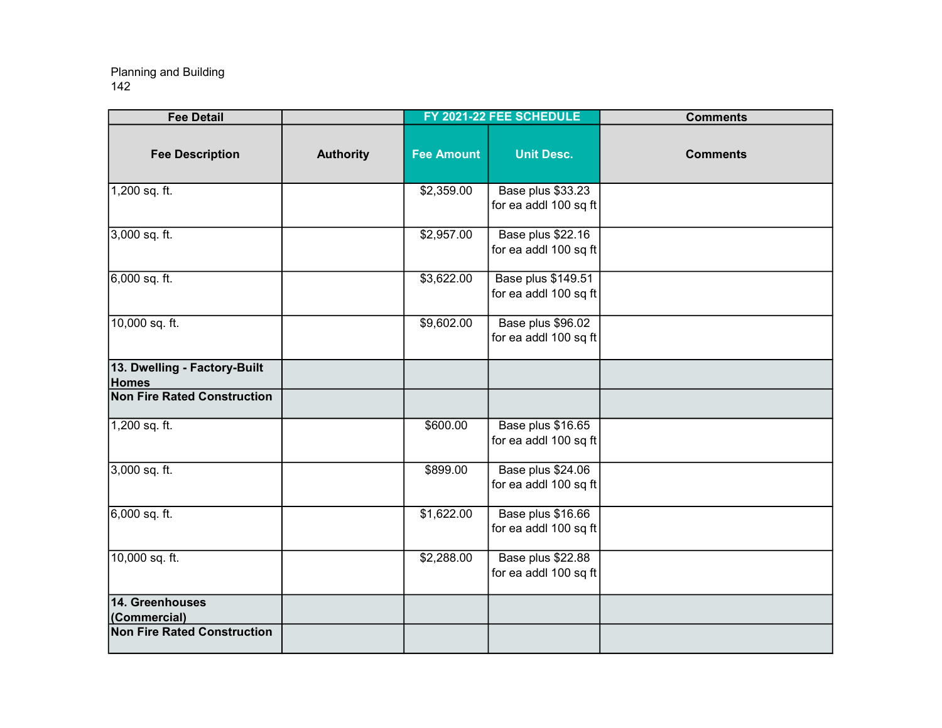| <b>Fee Detail</b>                            |                  |                   | FY 2021-22 FEE SCHEDULE                     | <b>Comments</b> |
|----------------------------------------------|------------------|-------------------|---------------------------------------------|-----------------|
| <b>Fee Description</b>                       | <b>Authority</b> | <b>Fee Amount</b> | <b>Unit Desc.</b>                           | <b>Comments</b> |
| 1,200 sq. ft.                                |                  | \$2,359.00        | Base plus \$33.23<br>for ea addl 100 sq ft  |                 |
| 3,000 sq. ft.                                |                  | \$2,957.00        | Base plus \$22.16<br>for ea addl 100 sq ft  |                 |
| 6,000 sq. ft.                                |                  | \$3,622.00        | Base plus \$149.51<br>for ea addl 100 sq ft |                 |
| 10,000 sq. ft.                               |                  | \$9,602.00        | Base plus \$96.02<br>for ea addl 100 sq ft  |                 |
| 13. Dwelling - Factory-Built<br><b>Homes</b> |                  |                   |                                             |                 |
| <b>Non Fire Rated Construction</b>           |                  |                   |                                             |                 |
| 1,200 sq. ft.                                |                  | \$600.00          | Base plus \$16.65<br>for ea addl 100 sq ft  |                 |
| 3,000 sq. ft.                                |                  | \$899.00          | Base plus \$24.06<br>for ea addl 100 sq ft  |                 |
| $6,000$ sq. ft.                              |                  | \$1,622.00        | Base plus \$16.66<br>for ea addl 100 sq ft  |                 |
| 10,000 sq. ft.                               |                  | \$2,288.00        | Base plus \$22.88<br>for ea addl 100 sq ft  |                 |
| 14. Greenhouses<br>(Commercial)              |                  |                   |                                             |                 |
| <b>Non Fire Rated Construction</b>           |                  |                   |                                             |                 |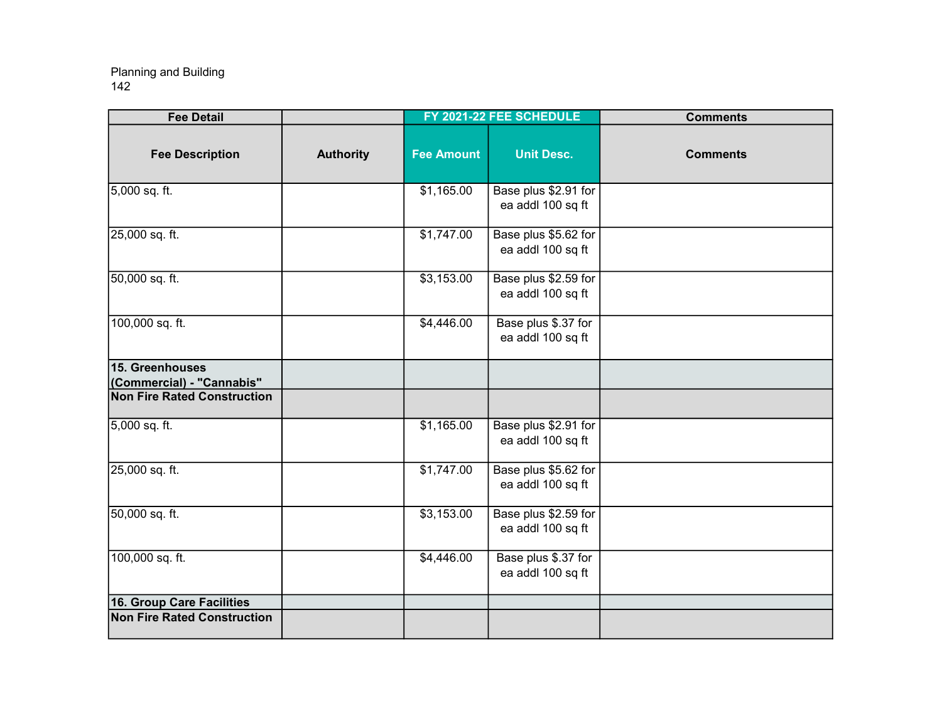| <b>Fee Detail</b>                            |                  |                   | FY 2021-22 FEE SCHEDULE                   | <b>Comments</b> |
|----------------------------------------------|------------------|-------------------|-------------------------------------------|-----------------|
| <b>Fee Description</b>                       | <b>Authority</b> | <b>Fee Amount</b> | <b>Unit Desc.</b>                         | <b>Comments</b> |
| 5,000 sq. ft.                                |                  | \$1,165.00        | Base plus \$2.91 for<br>ea addl 100 sq ft |                 |
| 25,000 sq. ft.                               |                  | \$1,747.00        | Base plus \$5.62 for<br>ea addl 100 sq ft |                 |
| 50,000 sq. ft.                               |                  | \$3,153.00        | Base plus \$2.59 for<br>ea addl 100 sq ft |                 |
| 100,000 sq. ft.                              |                  | \$4,446.00        | Base plus \$.37 for<br>ea addl 100 sq ft  |                 |
| 15. Greenhouses<br>(Commercial) - "Cannabis" |                  |                   |                                           |                 |
| <b>Non Fire Rated Construction</b>           |                  |                   |                                           |                 |
| 5,000 sq. ft.                                |                  | \$1,165.00        | Base plus \$2.91 for<br>ea addl 100 sq ft |                 |
| 25,000 sq. ft.                               |                  | \$1,747.00        | Base plus \$5.62 for<br>ea addl 100 sq ft |                 |
| 50,000 sq. ft.                               |                  | \$3,153.00        | Base plus \$2.59 for<br>ea addl 100 sq ft |                 |
| 100,000 sq. ft.                              |                  | \$4,446.00        | Base plus \$.37 for<br>ea addl 100 sq ft  |                 |
| 16. Group Care Facilities                    |                  |                   |                                           |                 |
| <b>Non Fire Rated Construction</b>           |                  |                   |                                           |                 |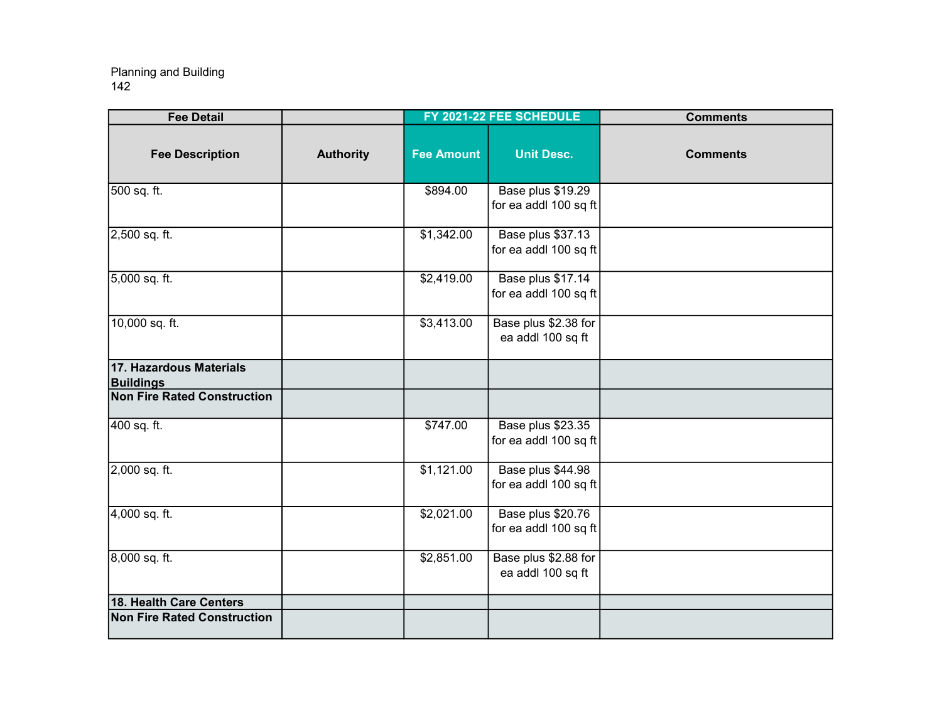| <b>Fee Detail</b>                           |                  |                   | FY 2021-22 FEE SCHEDULE                    | <b>Comments</b> |
|---------------------------------------------|------------------|-------------------|--------------------------------------------|-----------------|
| <b>Fee Description</b>                      | <b>Authority</b> | <b>Fee Amount</b> | <b>Unit Desc.</b>                          | <b>Comments</b> |
| 500 sq. ft.                                 |                  | \$894.00          | Base plus \$19.29<br>for ea addl 100 sq ft |                 |
| 2,500 sq. ft.                               |                  | \$1,342.00        | Base plus \$37.13<br>for ea addl 100 sq ft |                 |
| 5,000 sq. ft.                               |                  | \$2,419.00        | Base plus \$17.14<br>for ea addl 100 sq ft |                 |
| 10,000 sq. ft.                              |                  | \$3,413.00        | Base plus \$2.38 for<br>ea addl 100 sq ft  |                 |
| 17. Hazardous Materials<br><b>Buildings</b> |                  |                   |                                            |                 |
| <b>Non Fire Rated Construction</b>          |                  |                   |                                            |                 |
| 400 sq. ft.                                 |                  | \$747.00          | Base plus \$23.35<br>for ea addl 100 sq ft |                 |
| $2,000$ sq. ft.                             |                  | \$1,121.00        | Base plus \$44.98<br>for ea addl 100 sq ft |                 |
| 4,000 sq. ft.                               |                  | \$2,021.00        | Base plus \$20.76<br>for ea addl 100 sq ft |                 |
| 8,000 sq. ft.                               |                  | \$2,851.00        | Base plus \$2.88 for<br>ea addl 100 sq ft  |                 |
| 18. Health Care Centers                     |                  |                   |                                            |                 |
| <b>Non Fire Rated Construction</b>          |                  |                   |                                            |                 |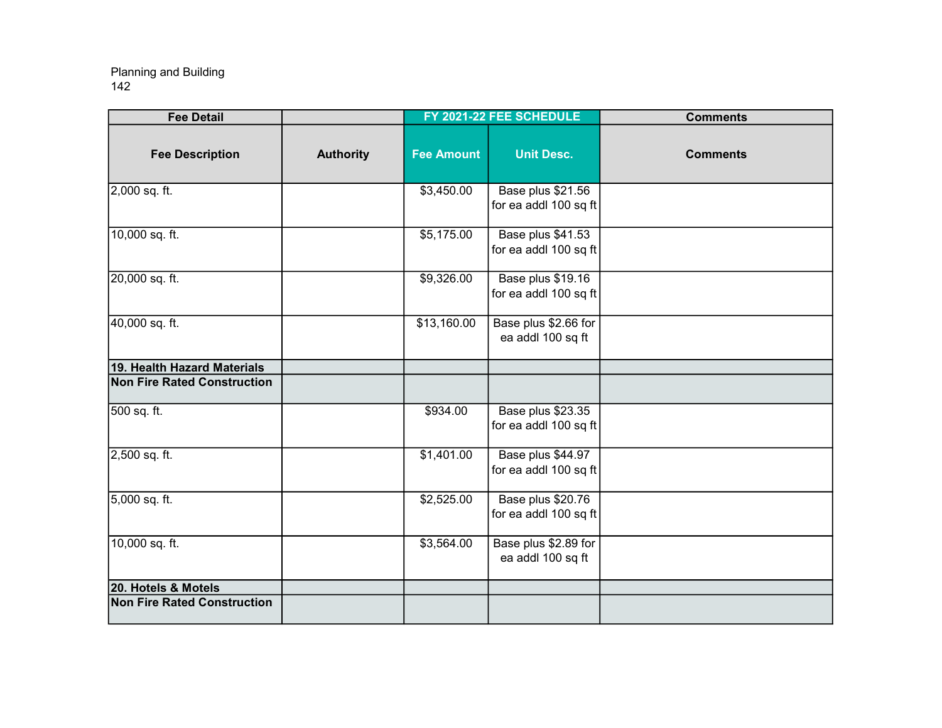| <b>Fee Detail</b>                  |                  |                   | FY 2021-22 FEE SCHEDULE                    | <b>Comments</b> |
|------------------------------------|------------------|-------------------|--------------------------------------------|-----------------|
| <b>Fee Description</b>             | <b>Authority</b> | <b>Fee Amount</b> | <b>Unit Desc.</b>                          | <b>Comments</b> |
| 2,000 sq. ft.                      |                  | \$3,450.00        | Base plus \$21.56<br>for ea addl 100 sq ft |                 |
| 10,000 sq. ft.                     |                  | \$5,175.00        | Base plus \$41.53<br>for ea addl 100 sq ft |                 |
| 20,000 sq. ft.                     |                  | \$9,326.00        | Base plus \$19.16<br>for ea addl 100 sq ft |                 |
| 40,000 sq. ft.                     |                  | \$13,160.00       | Base plus \$2.66 for<br>ea addl 100 sq ft  |                 |
| 19. Health Hazard Materials        |                  |                   |                                            |                 |
| <b>Non Fire Rated Construction</b> |                  |                   |                                            |                 |
| 500 sq. ft.                        |                  | \$934.00          | Base plus \$23.35<br>for ea addl 100 sq ft |                 |
| 2,500 sq. ft.                      |                  | \$1,401.00        | Base plus \$44.97<br>for ea addl 100 sq ft |                 |
| 5,000 sq. ft.                      |                  | \$2,525.00        | Base plus \$20.76<br>for ea addl 100 sq ft |                 |
| 10,000 sq. ft.                     |                  | \$3,564.00        | Base plus \$2.89 for<br>ea addl 100 sq ft  |                 |
| 20. Hotels & Motels                |                  |                   |                                            |                 |
| <b>Non Fire Rated Construction</b> |                  |                   |                                            |                 |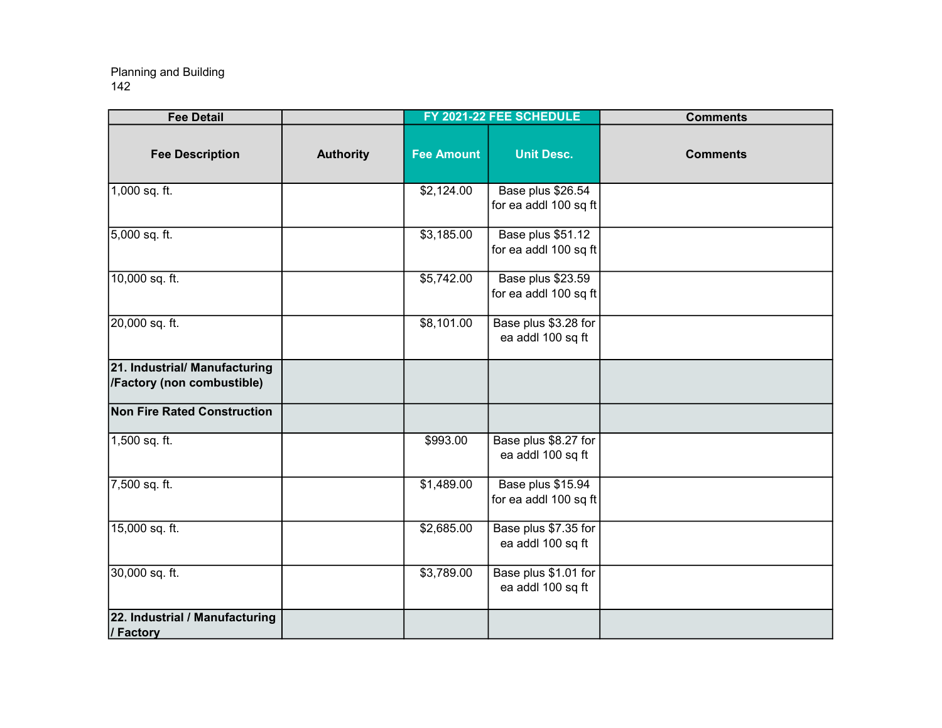| <b>Fee Detail</b>                                           |                  |                   | FY 2021-22 FEE SCHEDULE                    | <b>Comments</b> |
|-------------------------------------------------------------|------------------|-------------------|--------------------------------------------|-----------------|
| <b>Fee Description</b>                                      | <b>Authority</b> | <b>Fee Amount</b> | <b>Unit Desc.</b>                          | <b>Comments</b> |
| $1,000$ sq. ft.                                             |                  | \$2,124.00        | Base plus \$26.54<br>for ea addl 100 sq ft |                 |
| 5,000 sq. ft.                                               |                  | \$3,185.00        | Base plus \$51.12<br>for ea addl 100 sq ft |                 |
| 10,000 sq. ft.                                              |                  | \$5,742.00        | Base plus \$23.59<br>for ea addl 100 sq ft |                 |
| 20,000 sq. ft.                                              |                  | \$8,101.00        | Base plus \$3.28 for<br>ea addl 100 sq ft  |                 |
| 21. Industrial/ Manufacturing<br>/Factory (non combustible) |                  |                   |                                            |                 |
| <b>Non Fire Rated Construction</b>                          |                  |                   |                                            |                 |
| 1,500 sq. ft.                                               |                  | \$993.00          | Base plus \$8.27 for<br>ea addl 100 sq ft  |                 |
| 7,500 sq. ft.                                               |                  | \$1,489.00        | Base plus \$15.94<br>for ea addl 100 sq ft |                 |
| 15,000 sq. ft.                                              |                  | \$2,685.00        | Base plus \$7.35 for<br>ea addl 100 sq ft  |                 |
| 30,000 sq. ft.                                              |                  | \$3,789.00        | Base plus \$1.01 for<br>ea addl 100 sq ft  |                 |
| 22. Industrial / Manufacturing<br>/ Factory                 |                  |                   |                                            |                 |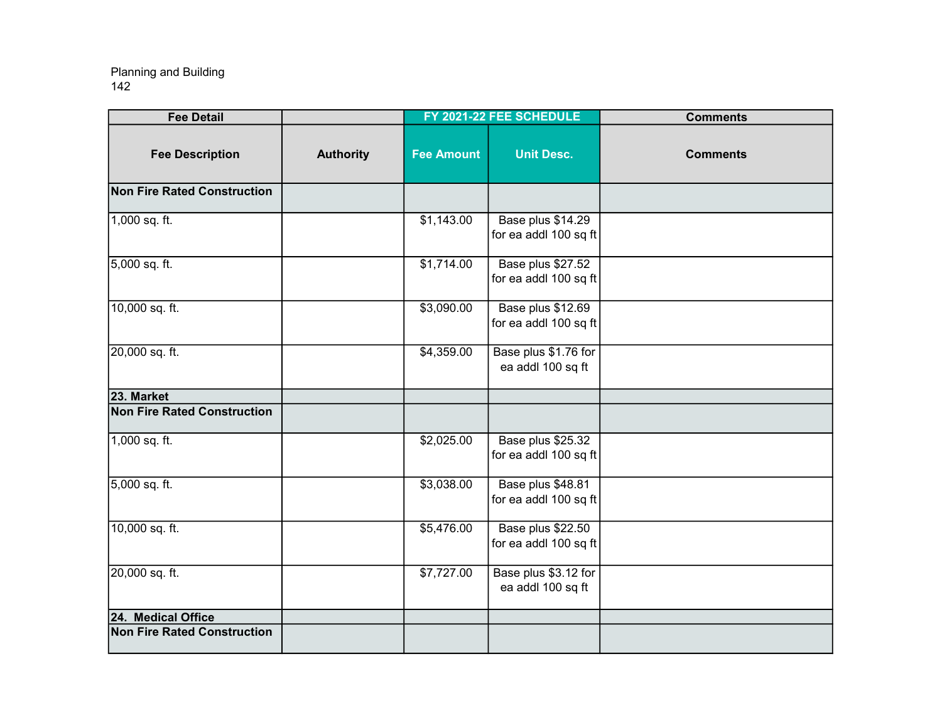| <b>Fee Detail</b>                  |                  |                   | FY 2021-22 FEE SCHEDULE                    | <b>Comments</b> |
|------------------------------------|------------------|-------------------|--------------------------------------------|-----------------|
| <b>Fee Description</b>             | <b>Authority</b> | <b>Fee Amount</b> | <b>Unit Desc.</b>                          | <b>Comments</b> |
| <b>Non Fire Rated Construction</b> |                  |                   |                                            |                 |
| 1,000 sq. ft.                      |                  | \$1,143.00        | Base plus \$14.29<br>for ea addl 100 sq ft |                 |
| 5,000 sq. ft.                      |                  | \$1,714.00        | Base plus \$27.52<br>for ea addl 100 sq ft |                 |
| 10,000 sq. ft.                     |                  | \$3,090.00        | Base plus \$12.69<br>for ea addl 100 sq ft |                 |
| 20,000 sq. ft.                     |                  | \$4,359.00        | Base plus \$1.76 for<br>ea addl 100 sq ft  |                 |
| 23. Market                         |                  |                   |                                            |                 |
| <b>Non Fire Rated Construction</b> |                  |                   |                                            |                 |
| 1,000 sq. ft.                      |                  | \$2,025.00        | Base plus \$25.32<br>for ea addl 100 sq ft |                 |
| 5,000 sq. ft.                      |                  | \$3,038.00        | Base plus \$48.81<br>for ea addl 100 sq ft |                 |
| 10,000 sq. ft.                     |                  | \$5,476.00        | Base plus \$22.50<br>for ea addl 100 sq ft |                 |
| 20,000 sq. ft.                     |                  | \$7,727.00        | Base plus \$3.12 for<br>ea addl 100 sq ft  |                 |
| 24. Medical Office                 |                  |                   |                                            |                 |
| <b>Non Fire Rated Construction</b> |                  |                   |                                            |                 |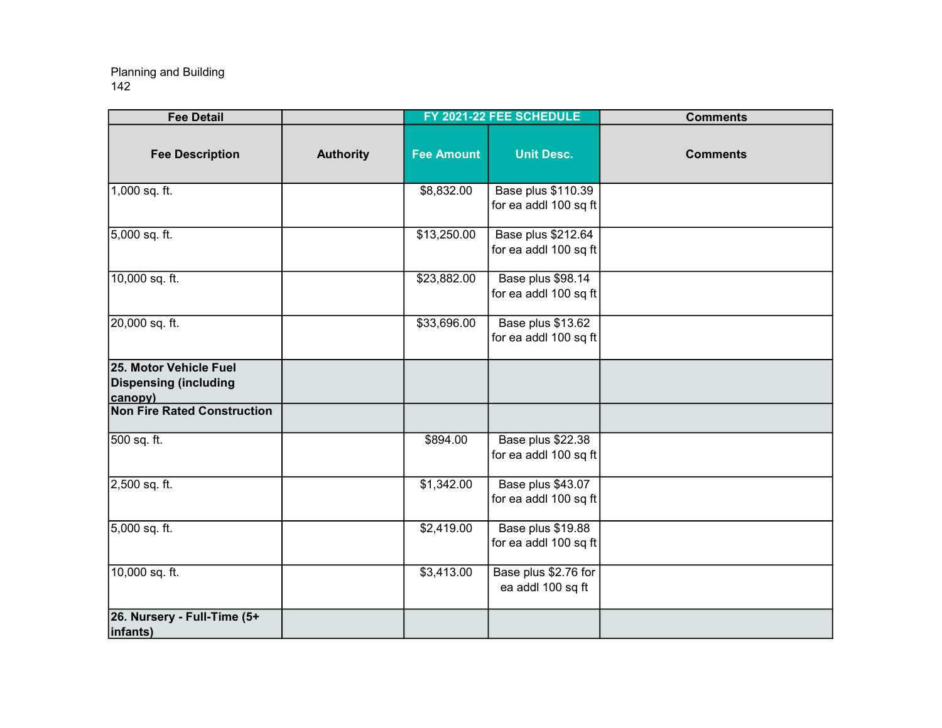| <b>Fee Detail</b>                                                 |                  |                   | FY 2021-22 FEE SCHEDULE                            | <b>Comments</b> |
|-------------------------------------------------------------------|------------------|-------------------|----------------------------------------------------|-----------------|
| <b>Fee Description</b>                                            | <b>Authority</b> | <b>Fee Amount</b> | <b>Unit Desc.</b>                                  | <b>Comments</b> |
| 1,000 sq. ft.                                                     |                  | \$8,832.00        | <b>Base plus \$110.39</b><br>for ea addl 100 sq ft |                 |
| 5,000 sq. ft.                                                     |                  | \$13,250.00       | <b>Base plus \$212.64</b><br>for ea addl 100 sq ft |                 |
| 10,000 sq. ft.                                                    |                  | \$23,882.00       | Base plus \$98.14<br>for ea addl 100 sq ft         |                 |
| 20,000 sq. ft.                                                    |                  | \$33,696.00       | Base plus \$13.62<br>for ea addl 100 sq ft         |                 |
| 25. Motor Vehicle Fuel<br><b>Dispensing (including</b><br>canopy) |                  |                   |                                                    |                 |
| <b>Non Fire Rated Construction</b>                                |                  |                   |                                                    |                 |
| 500 sq. ft.                                                       |                  | \$894.00          | Base plus \$22.38<br>for ea addl 100 sq ft         |                 |
| 2,500 sq. ft.                                                     |                  | \$1,342.00        | Base plus \$43.07<br>for ea addl 100 sq ft         |                 |
| 5,000 sq. ft.                                                     |                  | \$2,419.00        | Base plus \$19.88<br>for ea addl 100 sq ft         |                 |
| 10,000 sq. ft.                                                    |                  | \$3,413.00        | Base plus \$2.76 for<br>ea addl 100 sq ft          |                 |
| 26. Nursery - Full-Time (5+<br>infants)                           |                  |                   |                                                    |                 |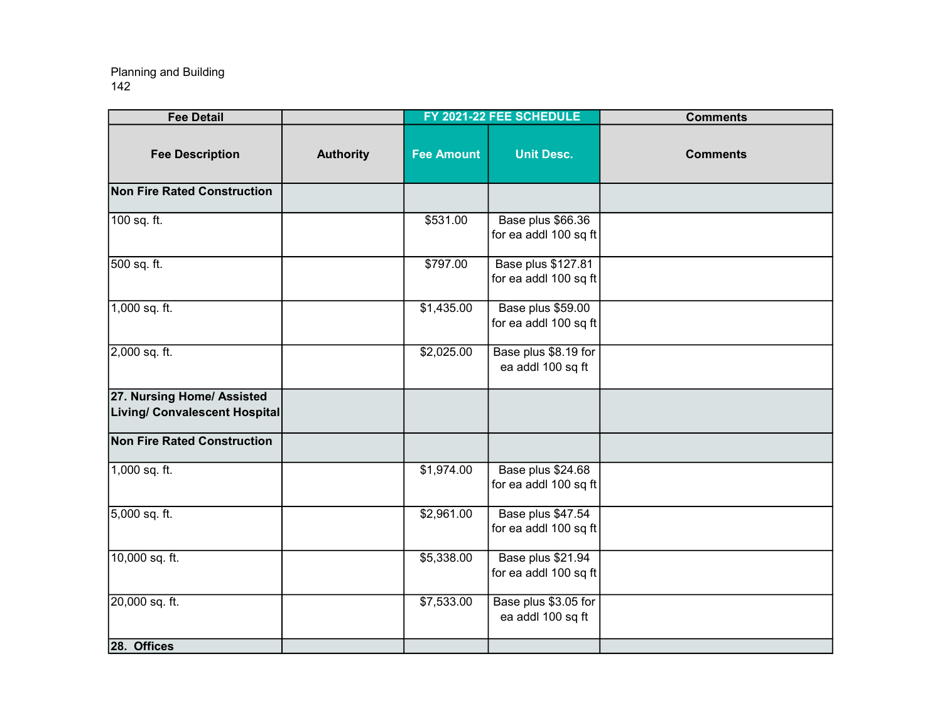| <b>Fee Detail</b>                                           |                  |                   | FY 2021-22 FEE SCHEDULE                     | <b>Comments</b> |
|-------------------------------------------------------------|------------------|-------------------|---------------------------------------------|-----------------|
| <b>Fee Description</b>                                      | <b>Authority</b> | <b>Fee Amount</b> | <b>Unit Desc.</b>                           | <b>Comments</b> |
| <b>Non Fire Rated Construction</b>                          |                  |                   |                                             |                 |
| 100 sq. ft.                                                 |                  | \$531.00          | Base plus \$66.36<br>for ea addl 100 sq ft  |                 |
| 500 sq. ft.                                                 |                  | \$797.00          | Base plus \$127.81<br>for ea addl 100 sq ft |                 |
| 1,000 sq. ft.                                               |                  | \$1,435.00        | Base plus \$59.00<br>for ea addl 100 sq ft  |                 |
| 2,000 sq. ft.                                               |                  | \$2,025.00        | Base plus \$8.19 for<br>ea addl 100 sq ft   |                 |
| 27. Nursing Home/ Assisted<br>Living/ Convalescent Hospital |                  |                   |                                             |                 |
| <b>Non Fire Rated Construction</b>                          |                  |                   |                                             |                 |
| $1,000$ sq. ft.                                             |                  | \$1,974.00        | Base plus \$24.68<br>for ea addl 100 sq ft  |                 |
| 5,000 sq. ft.                                               |                  | \$2,961.00        | Base plus \$47.54<br>for ea addl 100 sq ft  |                 |
| 10,000 sq. ft.                                              |                  | \$5,338.00        | Base plus \$21.94<br>for ea addl 100 sq ft  |                 |
| 20,000 sq. ft.                                              |                  | \$7,533.00        | Base plus \$3.05 for<br>ea addl 100 sq ft   |                 |
| 28. Offices                                                 |                  |                   |                                             |                 |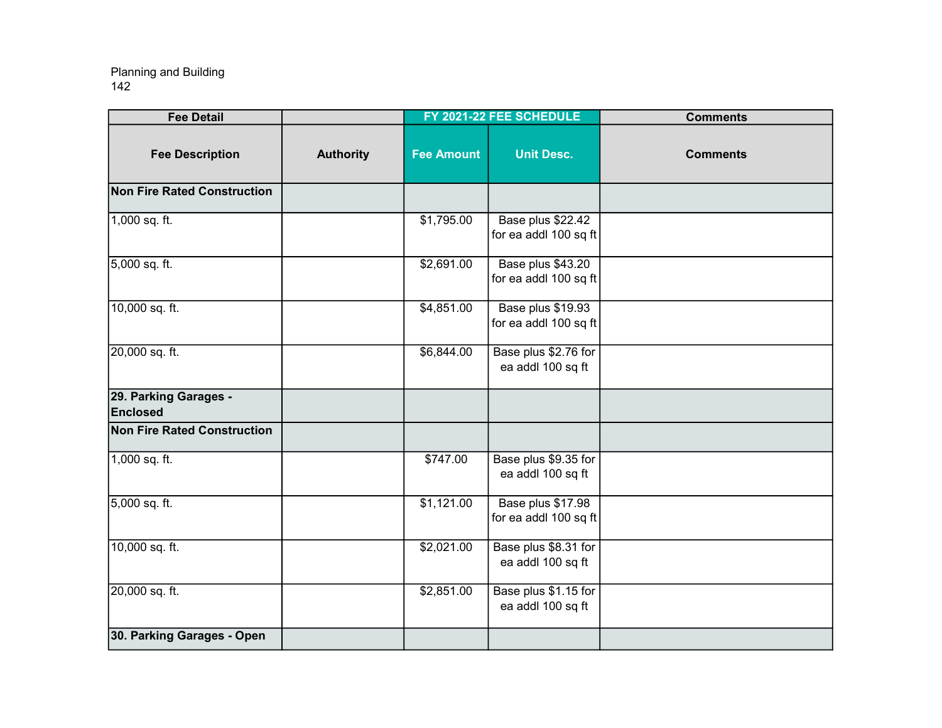| <b>Fee Detail</b>                  |                  |                   | FY 2021-22 FEE SCHEDULE                    | <b>Comments</b> |
|------------------------------------|------------------|-------------------|--------------------------------------------|-----------------|
| <b>Fee Description</b>             | <b>Authority</b> | <b>Fee Amount</b> | <b>Unit Desc.</b>                          | <b>Comments</b> |
| <b>Non Fire Rated Construction</b> |                  |                   |                                            |                 |
| 1,000 sq. ft.                      |                  | \$1,795.00        | Base plus \$22.42<br>for ea addl 100 sq ft |                 |
| 5,000 sq. ft.                      |                  | \$2,691.00        | Base plus \$43.20<br>for ea addl 100 sq ft |                 |
| 10,000 sq. ft.                     |                  | \$4,851.00        | Base plus \$19.93<br>for ea addl 100 sq ft |                 |
| 20,000 sq. ft.                     |                  | \$6,844.00        | Base plus \$2.76 for<br>ea addl 100 sq ft  |                 |
| 29. Parking Garages -<br>Enclosed  |                  |                   |                                            |                 |
| Non Fire Rated Construction        |                  |                   |                                            |                 |
| 1,000 sq. ft.                      |                  | \$747.00          | Base plus \$9.35 for<br>ea addl 100 sq ft  |                 |
| 5,000 sq. ft.                      |                  | \$1,121.00        | Base plus \$17.98<br>for ea addl 100 sq ft |                 |
| 10,000 sq. ft.                     |                  | \$2,021.00        | Base plus \$8.31 for<br>ea addl 100 sq ft  |                 |
| 20,000 sq. ft.                     |                  | \$2,851.00        | Base plus \$1.15 for<br>ea addl 100 sq ft  |                 |
| 30. Parking Garages - Open         |                  |                   |                                            |                 |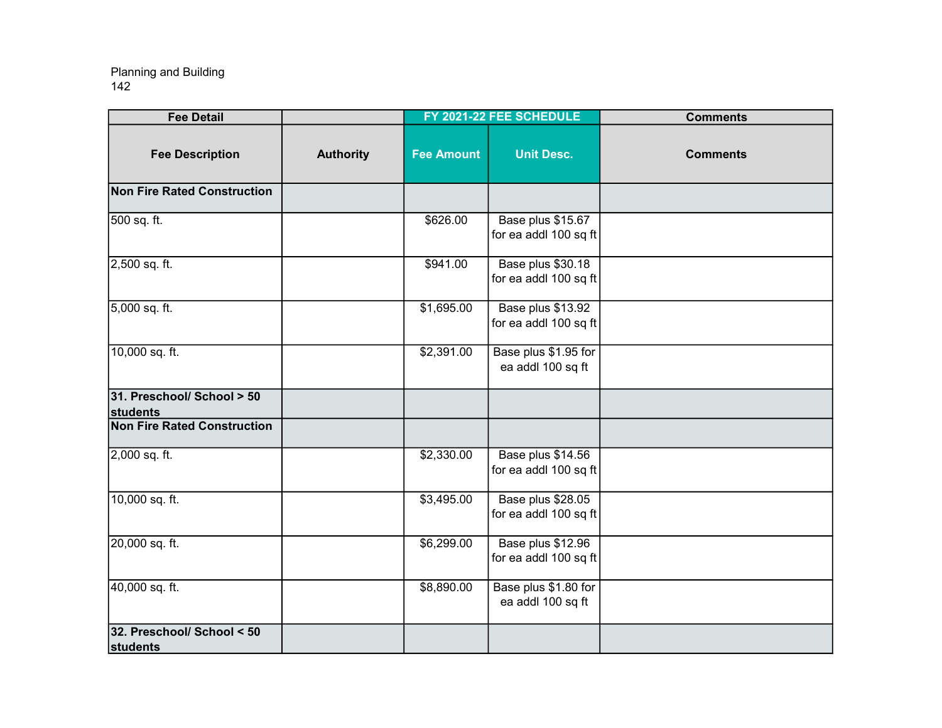| <b>Fee Detail</b>                      |                  |                   | FY 2021-22 FEE SCHEDULE                    | <b>Comments</b> |
|----------------------------------------|------------------|-------------------|--------------------------------------------|-----------------|
| <b>Fee Description</b>                 | <b>Authority</b> | <b>Fee Amount</b> | <b>Unit Desc.</b>                          | <b>Comments</b> |
| <b>Non Fire Rated Construction</b>     |                  |                   |                                            |                 |
| 500 sq. ft.                            |                  | \$626.00          | Base plus \$15.67<br>for ea addl 100 sq ft |                 |
| 2,500 sq. ft.                          |                  | \$941.00          | Base plus \$30.18<br>for ea addl 100 sq ft |                 |
| 5,000 sq. ft.                          |                  | \$1,695.00        | Base plus \$13.92<br>for ea addl 100 sq ft |                 |
| 10,000 sq. ft.                         |                  | \$2,391.00        | Base plus \$1.95 for<br>ea addl 100 sq ft  |                 |
| 31. Preschool/ School > 50<br>students |                  |                   |                                            |                 |
| <b>Non Fire Rated Construction</b>     |                  |                   |                                            |                 |
| 2,000 sq. ft.                          |                  | \$2,330.00        | Base plus \$14.56<br>for ea addl 100 sq ft |                 |
| 10,000 sq. ft.                         |                  | \$3,495.00        | Base plus \$28.05<br>for ea addl 100 sq ft |                 |
| 20,000 sq. ft.                         |                  | \$6,299.00        | Base plus \$12.96<br>for ea addl 100 sq ft |                 |
| 40,000 sq. ft.                         |                  | \$8,890.00        | Base plus \$1.80 for<br>ea addl 100 sq ft  |                 |
| 32. Preschool/ School < 50<br>students |                  |                   |                                            |                 |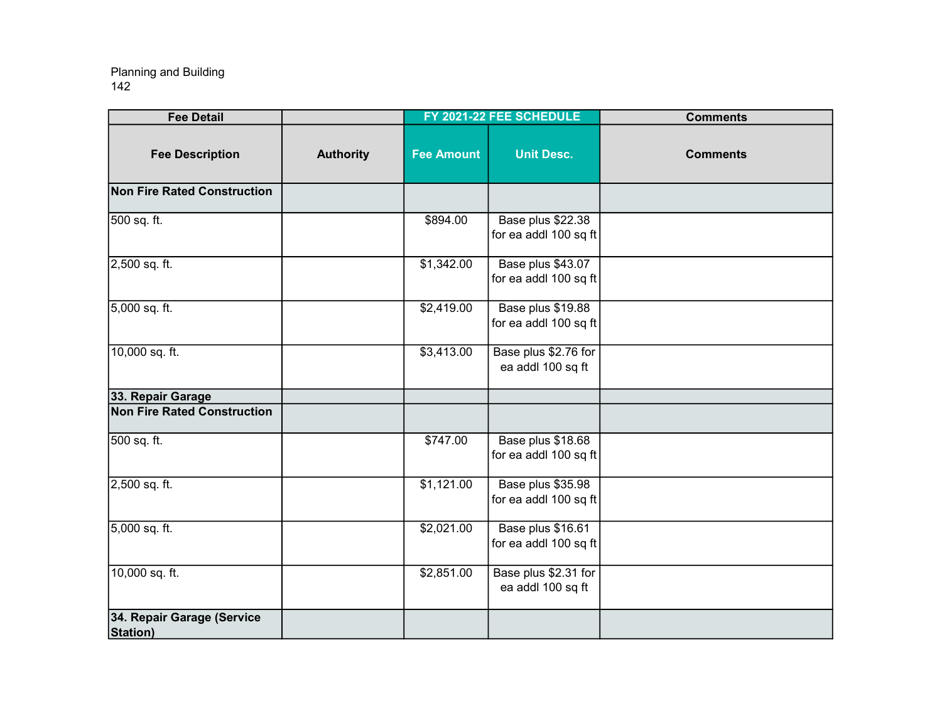| <b>Fee Detail</b>                      |                  |                   | FY 2021-22 FEE SCHEDULE                    | <b>Comments</b> |
|----------------------------------------|------------------|-------------------|--------------------------------------------|-----------------|
| <b>Fee Description</b>                 | <b>Authority</b> | <b>Fee Amount</b> | <b>Unit Desc.</b>                          | <b>Comments</b> |
| <b>Non Fire Rated Construction</b>     |                  |                   |                                            |                 |
| 500 sq. ft.                            |                  | \$894.00          | Base plus \$22.38<br>for ea addl 100 sq ft |                 |
| 2,500 sq. ft.                          |                  | \$1,342.00        | Base plus \$43.07<br>for ea addl 100 sq ft |                 |
| 5,000 sq. ft.                          |                  | \$2,419.00        | Base plus \$19.88<br>for ea addl 100 sq ft |                 |
| 10,000 sq. ft.                         |                  | \$3,413.00        | Base plus \$2.76 for<br>ea addl 100 sq ft  |                 |
| 33. Repair Garage                      |                  |                   |                                            |                 |
| <b>Non Fire Rated Construction</b>     |                  |                   |                                            |                 |
| 500 sq. ft.                            |                  | \$747.00          | Base plus \$18.68<br>for ea addl 100 sq ft |                 |
| 2,500 sq. ft.                          |                  | \$1,121.00        | Base plus \$35.98<br>for ea addl 100 sq ft |                 |
| 5,000 sq. ft.                          |                  | \$2,021.00        | Base plus \$16.61<br>for ea addl 100 sq ft |                 |
| 10,000 sq. ft.                         |                  | \$2,851.00        | Base plus \$2.31 for<br>ea addl 100 sq ft  |                 |
| 34. Repair Garage (Service<br>Station) |                  |                   |                                            |                 |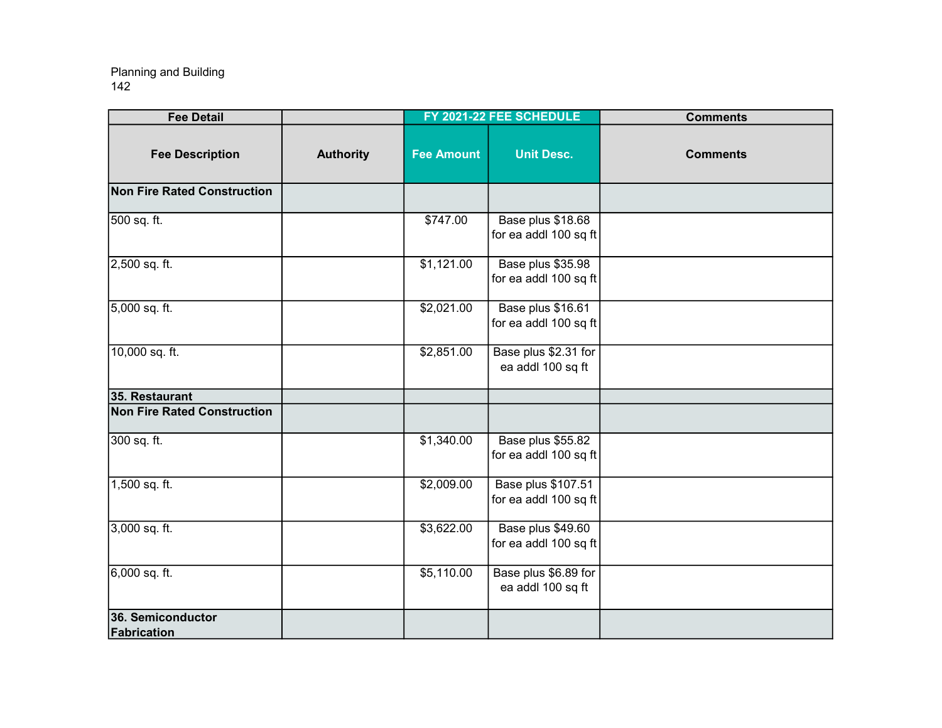| <b>Fee Detail</b>                  |                  |                   | FY 2021-22 FEE SCHEDULE                     | <b>Comments</b> |
|------------------------------------|------------------|-------------------|---------------------------------------------|-----------------|
| <b>Fee Description</b>             | <b>Authority</b> | <b>Fee Amount</b> | <b>Unit Desc.</b>                           | <b>Comments</b> |
| <b>Non Fire Rated Construction</b> |                  |                   |                                             |                 |
| 500 sq. ft.                        |                  | \$747.00          | Base plus \$18.68<br>for ea addl 100 sq ft  |                 |
| 2,500 sq. ft.                      |                  | \$1,121.00        | Base plus \$35.98<br>for ea addl 100 sq ft  |                 |
| 5,000 sq. ft.                      |                  | \$2,021.00        | Base plus \$16.61<br>for ea addl 100 sq ft  |                 |
| 10,000 sq. ft.                     |                  | \$2,851.00        | Base plus \$2.31 for<br>ea addl 100 sq ft   |                 |
| 35. Restaurant                     |                  |                   |                                             |                 |
| <b>Non Fire Rated Construction</b> |                  |                   |                                             |                 |
| 300 sq. ft.                        |                  | \$1,340.00        | Base plus \$55.82<br>for ea addl 100 sq ft  |                 |
| 1,500 sq. ft.                      |                  | \$2,009.00        | Base plus \$107.51<br>for ea addl 100 sq ft |                 |
| 3,000 sq. ft.                      |                  | \$3,622.00        | Base plus \$49.60<br>for ea addl 100 sq ft  |                 |
| 6,000 sq. ft.                      |                  | \$5,110.00        | Base plus \$6.89 for<br>ea addl 100 sq ft   |                 |
| 36. Semiconductor<br>Fabrication   |                  |                   |                                             |                 |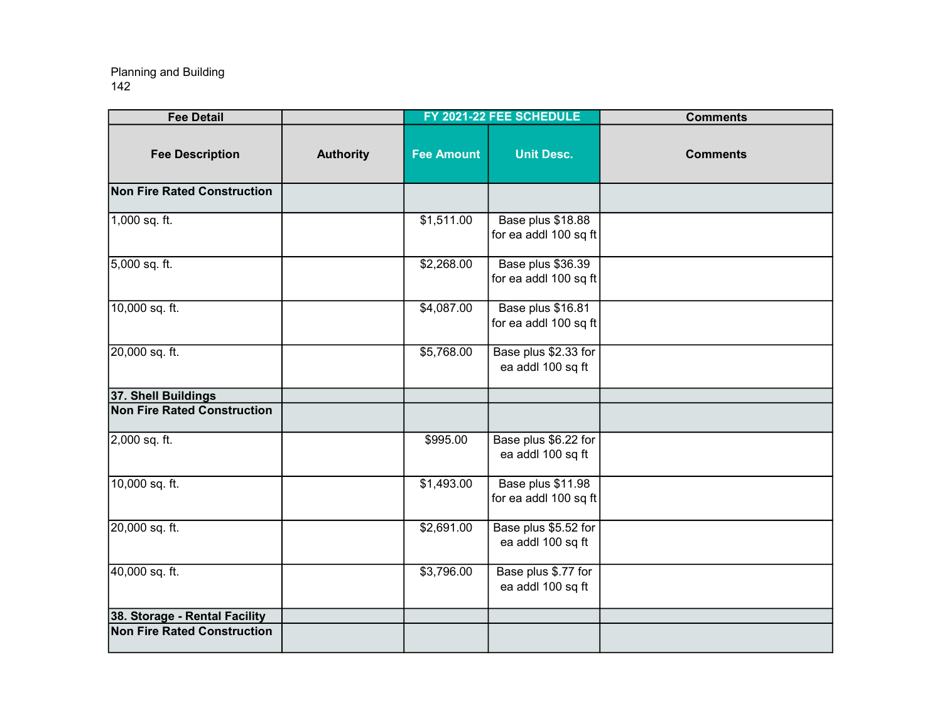| <b>Fee Detail</b>                  |                  |                   | FY 2021-22 FEE SCHEDULE                    | <b>Comments</b> |
|------------------------------------|------------------|-------------------|--------------------------------------------|-----------------|
| <b>Fee Description</b>             | <b>Authority</b> | <b>Fee Amount</b> | <b>Unit Desc.</b>                          | <b>Comments</b> |
| <b>Non Fire Rated Construction</b> |                  |                   |                                            |                 |
| 1,000 sq. ft.                      |                  | \$1,511.00        | Base plus \$18.88<br>for ea addl 100 sq ft |                 |
| 5,000 sq. ft.                      |                  | \$2,268.00        | Base plus \$36.39<br>for ea addl 100 sq ft |                 |
| 10,000 sq. ft.                     |                  | \$4,087.00        | Base plus \$16.81<br>for ea addl 100 sq ft |                 |
| 20,000 sq. ft.                     |                  | \$5,768.00        | Base plus \$2.33 for<br>ea addl 100 sq ft  |                 |
| 37. Shell Buildings                |                  |                   |                                            |                 |
| <b>Non Fire Rated Construction</b> |                  |                   |                                            |                 |
| 2,000 sq. ft.                      |                  | \$995.00          | Base plus \$6.22 for<br>ea addl 100 sq ft  |                 |
| 10,000 sq. ft.                     |                  | \$1,493.00        | Base plus \$11.98<br>for ea addl 100 sq ft |                 |
| 20,000 sq. ft.                     |                  | \$2,691.00        | Base plus \$5.52 for<br>ea addl 100 sq ft  |                 |
| 40,000 sq. ft.                     |                  | \$3,796.00        | Base plus \$.77 for<br>ea addl 100 sq ft   |                 |
| 38. Storage - Rental Facility      |                  |                   |                                            |                 |
| <b>Non Fire Rated Construction</b> |                  |                   |                                            |                 |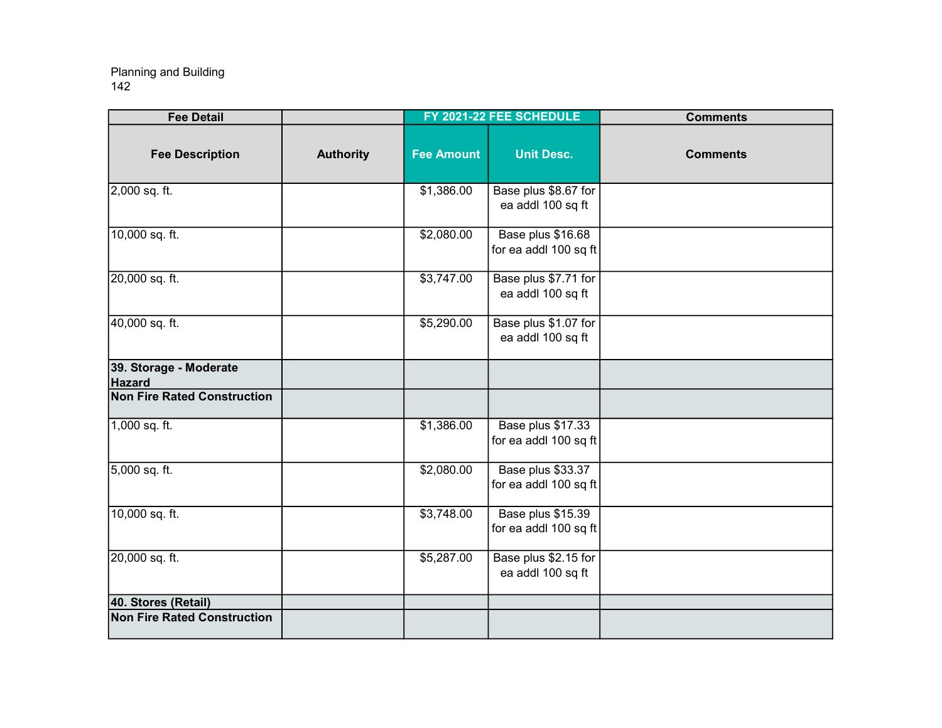| <b>Fee Detail</b>                  |                  |                   | FY 2021-22 FEE SCHEDULE                    | <b>Comments</b> |
|------------------------------------|------------------|-------------------|--------------------------------------------|-----------------|
| <b>Fee Description</b>             | <b>Authority</b> | <b>Fee Amount</b> | <b>Unit Desc.</b>                          | <b>Comments</b> |
| $2,000$ sq. ft.                    |                  | \$1,386.00        | Base plus \$8.67 for<br>ea addl 100 sq ft  |                 |
| 10,000 sq. ft.                     |                  | \$2,080.00        | Base plus \$16.68<br>for ea addl 100 sq ft |                 |
| 20,000 sq. ft.                     |                  | \$3,747.00        | Base plus \$7.71 for<br>ea addl 100 sq ft  |                 |
| 40,000 sq. ft.                     |                  | \$5,290.00        | Base plus \$1.07 for<br>ea addl 100 sq ft  |                 |
| 39. Storage - Moderate<br>Hazard   |                  |                   |                                            |                 |
| <b>Non Fire Rated Construction</b> |                  |                   |                                            |                 |
| $1,000$ sq. ft.                    |                  | \$1,386.00        | Base plus \$17.33<br>for ea addl 100 sq ft |                 |
| 5,000 sq. ft.                      |                  | \$2,080.00        | Base plus \$33.37<br>for ea addl 100 sq ft |                 |
| 10,000 sq. ft.                     |                  | \$3,748.00        | Base plus \$15.39<br>for ea addl 100 sq ft |                 |
| 20,000 sq. ft.                     |                  | \$5,287.00        | Base plus \$2.15 for<br>ea addl 100 sq ft  |                 |
| 40. Stores (Retail)                |                  |                   |                                            |                 |
| <b>Non Fire Rated Construction</b> |                  |                   |                                            |                 |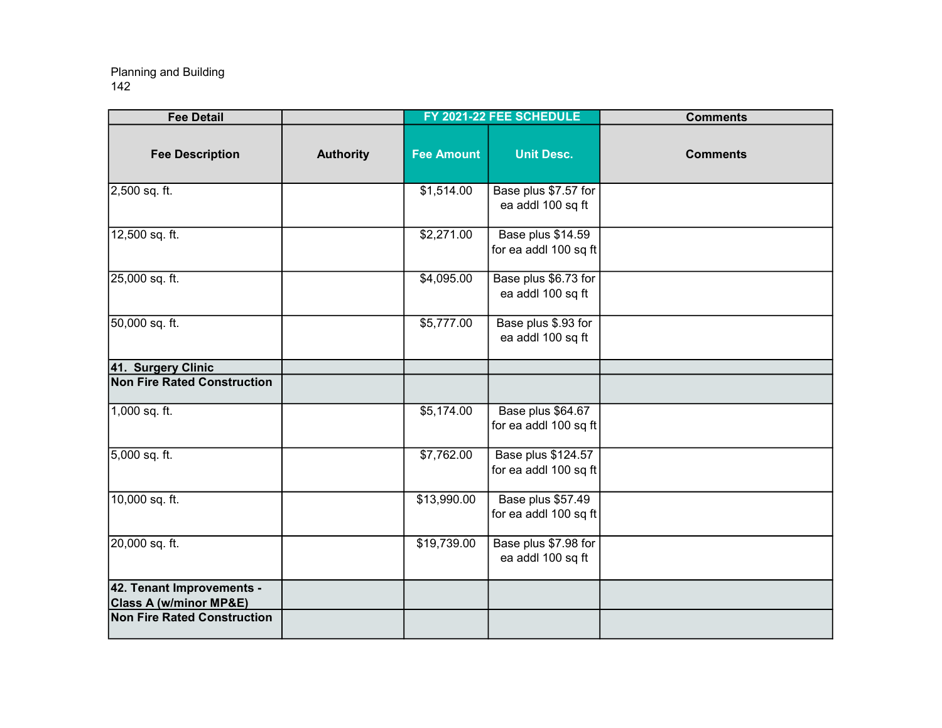| <b>Fee Detail</b>                                              |                  |                   | FY 2021-22 FEE SCHEDULE                            | <b>Comments</b> |
|----------------------------------------------------------------|------------------|-------------------|----------------------------------------------------|-----------------|
| <b>Fee Description</b>                                         | <b>Authority</b> | <b>Fee Amount</b> | <b>Unit Desc.</b>                                  | <b>Comments</b> |
| 2,500 sq. ft.                                                  |                  | \$1,514.00        | Base plus \$7.57 for<br>ea addl 100 sq ft          |                 |
| 12,500 sq. ft.                                                 |                  | \$2,271.00        | Base plus \$14.59<br>for ea addl 100 sq ft         |                 |
| 25,000 sq. ft.                                                 |                  | \$4,095.00        | Base plus \$6.73 for<br>ea addl 100 sq ft          |                 |
| 50,000 sq. ft.                                                 |                  | \$5,777.00        | Base plus \$.93 for<br>ea addl 100 sq ft           |                 |
| 41. Surgery Clinic                                             |                  |                   |                                                    |                 |
| <b>Non Fire Rated Construction</b>                             |                  |                   |                                                    |                 |
| 1,000 sq. ft.                                                  |                  | \$5,174.00        | Base plus \$64.67<br>for ea addl 100 sq ft         |                 |
| 5,000 sq. ft.                                                  |                  | \$7,762.00        | <b>Base plus \$124.57</b><br>for ea addl 100 sq ft |                 |
| 10,000 sq. ft.                                                 |                  | \$13,990.00       | Base plus \$57.49<br>for ea addl 100 sq ft         |                 |
| 20,000 sq. ft.                                                 |                  | \$19,739.00       | Base plus \$7.98 for<br>ea addl 100 sq ft          |                 |
| 42. Tenant Improvements -<br><b>Class A (w/minor MP&amp;E)</b> |                  |                   |                                                    |                 |
| <b>Non Fire Rated Construction</b>                             |                  |                   |                                                    |                 |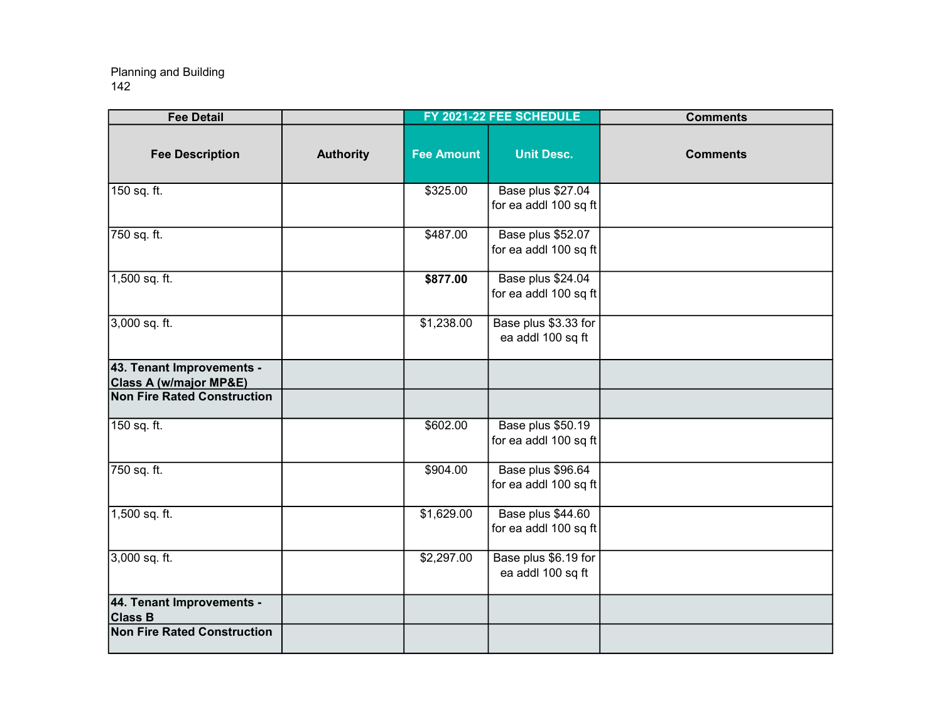| <b>Fee Detail</b>                                              |                  |                   | FY 2021-22 FEE SCHEDULE                    | <b>Comments</b> |
|----------------------------------------------------------------|------------------|-------------------|--------------------------------------------|-----------------|
| <b>Fee Description</b>                                         | <b>Authority</b> | <b>Fee Amount</b> | <b>Unit Desc.</b>                          | <b>Comments</b> |
| 150 sq. ft.                                                    |                  | \$325.00          | Base plus \$27.04<br>for ea addl 100 sq ft |                 |
| 750 sq. ft.                                                    |                  | \$487.00          | Base plus \$52.07<br>for ea addl 100 sq ft |                 |
| 1,500 sq. ft.                                                  |                  | \$877.00          | Base plus \$24.04<br>for ea addl 100 sq ft |                 |
| 3,000 sq. ft.                                                  |                  | \$1,238.00        | Base plus \$3.33 for<br>ea addl 100 sq ft  |                 |
| 43. Tenant Improvements -<br><b>Class A (w/major MP&amp;E)</b> |                  |                   |                                            |                 |
| <b>Non Fire Rated Construction</b>                             |                  |                   |                                            |                 |
| 150 sq. ft.                                                    |                  | \$602.00          | Base plus \$50.19<br>for ea addl 100 sq ft |                 |
| 750 sq. ft.                                                    |                  | \$904.00          | Base plus \$96.64<br>for ea addl 100 sq ft |                 |
| 1,500 sq. ft.                                                  |                  | \$1,629.00        | Base plus \$44.60<br>for ea addl 100 sq ft |                 |
| 3,000 sq. ft.                                                  |                  | \$2,297.00        | Base plus \$6.19 for<br>ea addl 100 sq ft  |                 |
| 44. Tenant Improvements -<br><b>Class B</b>                    |                  |                   |                                            |                 |
| <b>Non Fire Rated Construction</b>                             |                  |                   |                                            |                 |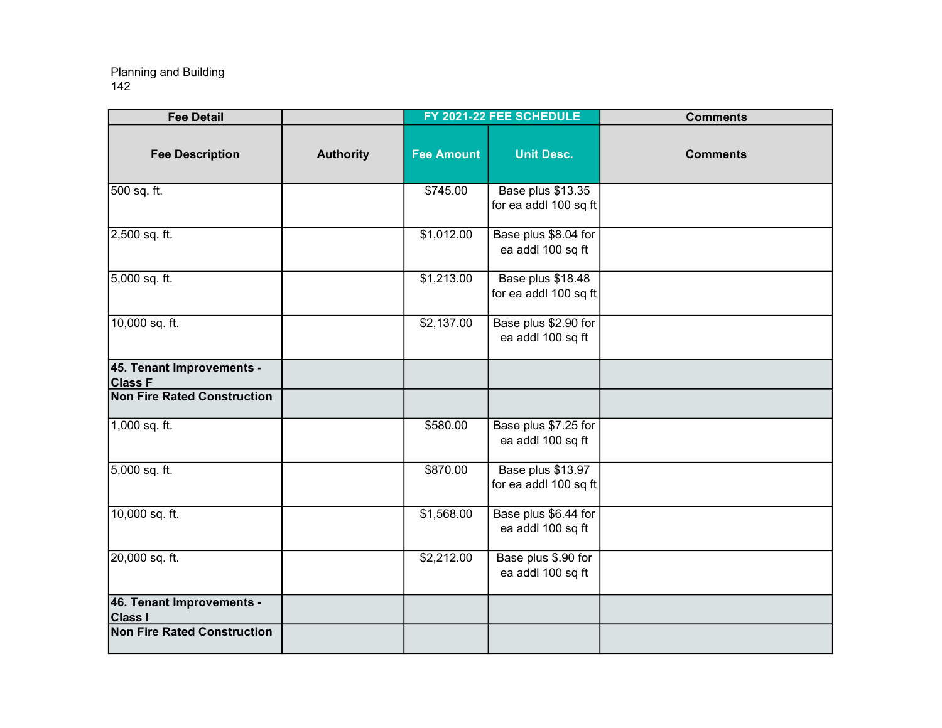| <b>Fee Detail</b>                           |                  |                   | FY 2021-22 FEE SCHEDULE                    | <b>Comments</b> |
|---------------------------------------------|------------------|-------------------|--------------------------------------------|-----------------|
| <b>Fee Description</b>                      | <b>Authority</b> | <b>Fee Amount</b> | <b>Unit Desc.</b>                          | <b>Comments</b> |
| 500 sq. ft.                                 |                  | \$745.00          | Base plus \$13.35<br>for ea addl 100 sq ft |                 |
| 2,500 sq. ft.                               |                  | \$1,012.00        | Base plus \$8.04 for<br>ea addl 100 sq ft  |                 |
| 5,000 sq. ft.                               |                  | \$1,213.00        | Base plus \$18.48<br>for ea addl 100 sq ft |                 |
| 10,000 sq. ft.                              |                  | \$2,137.00        | Base plus \$2.90 for<br>ea addl 100 sq ft  |                 |
| 45. Tenant Improvements -<br><b>Class F</b> |                  |                   |                                            |                 |
| <b>Non Fire Rated Construction</b>          |                  |                   |                                            |                 |
| 1,000 sq. ft.                               |                  | \$580.00          | Base plus \$7.25 for<br>ea addl 100 sq ft  |                 |
| 5,000 sq. ft.                               |                  | \$870.00          | Base plus \$13.97<br>for ea addl 100 sq ft |                 |
| 10,000 sq. ft.                              |                  | \$1,568.00        | Base plus \$6.44 for<br>ea addl 100 sq ft  |                 |
| 20,000 sq. ft.                              |                  | \$2,212.00        | Base plus \$.90 for<br>ea addl 100 sq ft   |                 |
| 46. Tenant Improvements -<br><b>Class I</b> |                  |                   |                                            |                 |
| <b>Non Fire Rated Construction</b>          |                  |                   |                                            |                 |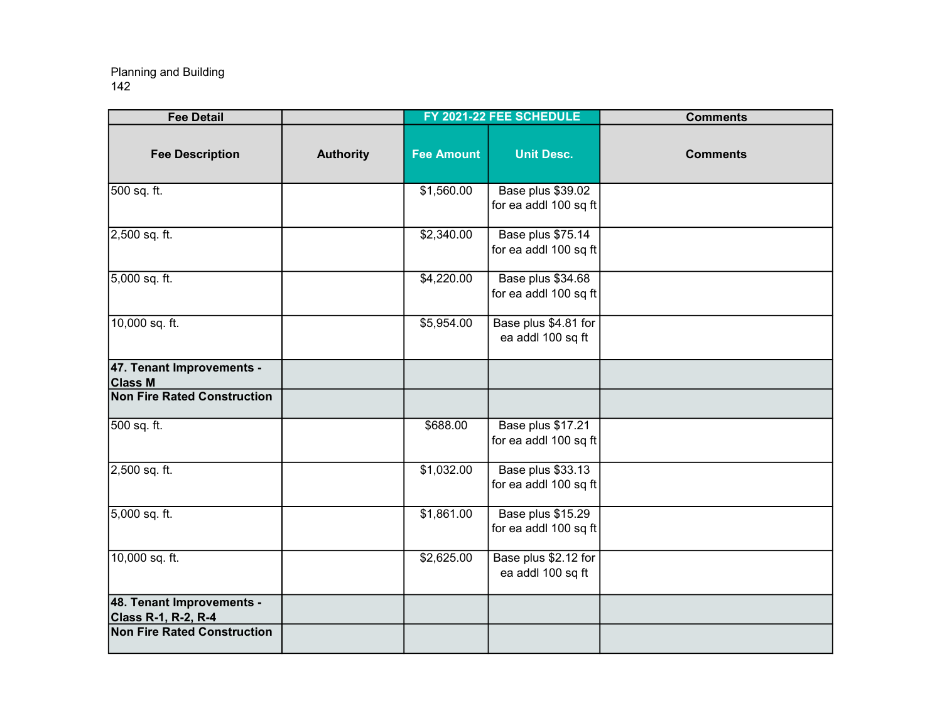| <b>Fee Detail</b>                                       |                  |                   | FY 2021-22 FEE SCHEDULE                           | <b>Comments</b> |
|---------------------------------------------------------|------------------|-------------------|---------------------------------------------------|-----------------|
| <b>Fee Description</b>                                  | <b>Authority</b> | <b>Fee Amount</b> | <b>Unit Desc.</b>                                 | <b>Comments</b> |
| 500 sq. ft.                                             |                  | \$1,560.00        | Base plus \$39.02<br>for ea addl 100 sq ft        |                 |
| 2,500 sq. ft.                                           |                  | \$2,340.00        | Base plus \$75.14<br>for ea addl 100 sq ft        |                 |
| 5,000 sq. ft.                                           |                  | \$4,220.00        | Base plus \$34.68<br>for ea addl 100 sq ft        |                 |
| 10,000 sq. ft.                                          |                  | \$5,954.00        | Base plus \$4.81 for<br>ea addl 100 sq ft         |                 |
| 47. Tenant Improvements -<br><b>Class M</b>             |                  |                   |                                                   |                 |
| <b>Non Fire Rated Construction</b>                      |                  |                   |                                                   |                 |
| 500 sq. ft.                                             |                  | \$688.00          | Base plus \$17.21<br>for ea addl 100 sq ft        |                 |
| 2,500 sq. ft.                                           |                  | \$1,032.00        | <b>Base plus \$33.13</b><br>for ea addl 100 sq ft |                 |
| 5,000 sq. ft.                                           |                  | \$1,861.00        | Base plus \$15.29<br>for ea addl 100 sq ft        |                 |
| 10,000 sq. ft.                                          |                  | \$2,625.00        | Base plus \$2.12 for<br>ea addl 100 sq ft         |                 |
| 48. Tenant Improvements -<br><b>Class R-1, R-2, R-4</b> |                  |                   |                                                   |                 |
| <b>Non Fire Rated Construction</b>                      |                  |                   |                                                   |                 |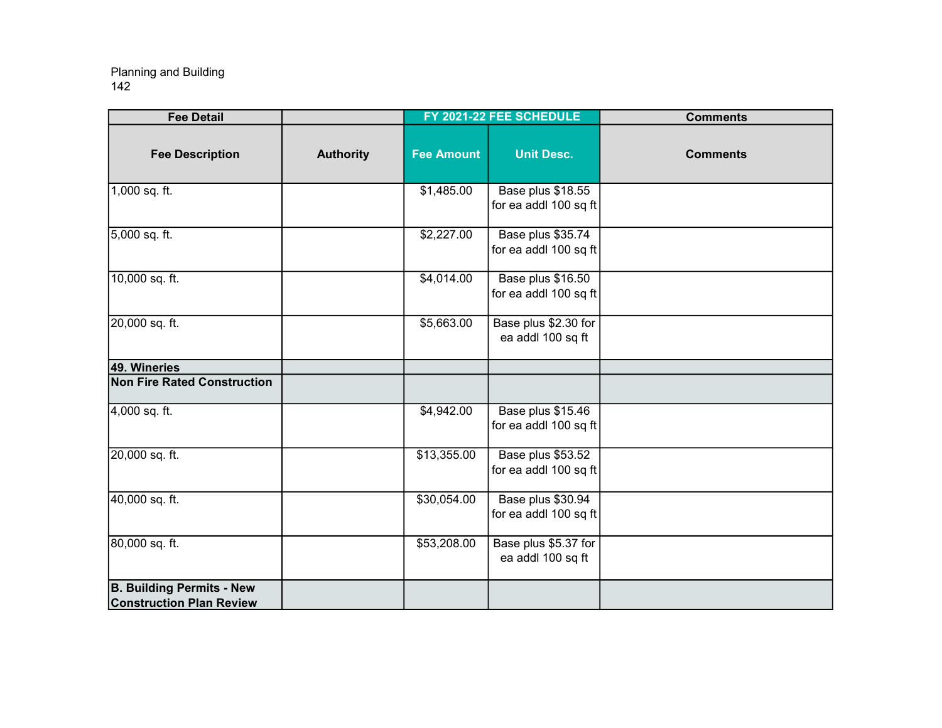| <b>Fee Detail</b>                                                   |                  |                   | FY 2021-22 FEE SCHEDULE                    | <b>Comments</b> |
|---------------------------------------------------------------------|------------------|-------------------|--------------------------------------------|-----------------|
| <b>Fee Description</b>                                              | <b>Authority</b> | <b>Fee Amount</b> | <b>Unit Desc.</b>                          | <b>Comments</b> |
| 1,000 sq. ft.                                                       |                  | \$1,485.00        | Base plus \$18.55<br>for ea addl 100 sq ft |                 |
| 5,000 sq. ft.                                                       |                  | \$2,227.00        | Base plus \$35.74<br>for ea addl 100 sq ft |                 |
| 10,000 sq. ft.                                                      |                  | \$4,014.00        | Base plus \$16.50<br>for ea addl 100 sq ft |                 |
| 20,000 sq. ft.                                                      |                  | \$5,663.00        | Base plus \$2.30 for<br>ea addl 100 sq ft  |                 |
| 49. Wineries                                                        |                  |                   |                                            |                 |
| <b>Non Fire Rated Construction</b>                                  |                  |                   |                                            |                 |
| 4,000 sq. ft.                                                       |                  | \$4,942.00        | Base plus \$15.46<br>for ea addl 100 sq ft |                 |
| 20,000 sq. ft.                                                      |                  | \$13,355.00       | Base plus \$53.52<br>for ea addl 100 sq ft |                 |
| 40,000 sq. ft.                                                      |                  | \$30,054.00       | Base plus \$30.94<br>for ea addl 100 sq ft |                 |
| 80,000 sq. ft.                                                      |                  | \$53,208.00       | Base plus \$5.37 for<br>ea addl 100 sq ft  |                 |
| <b>B. Building Permits - New</b><br><b>Construction Plan Review</b> |                  |                   |                                            |                 |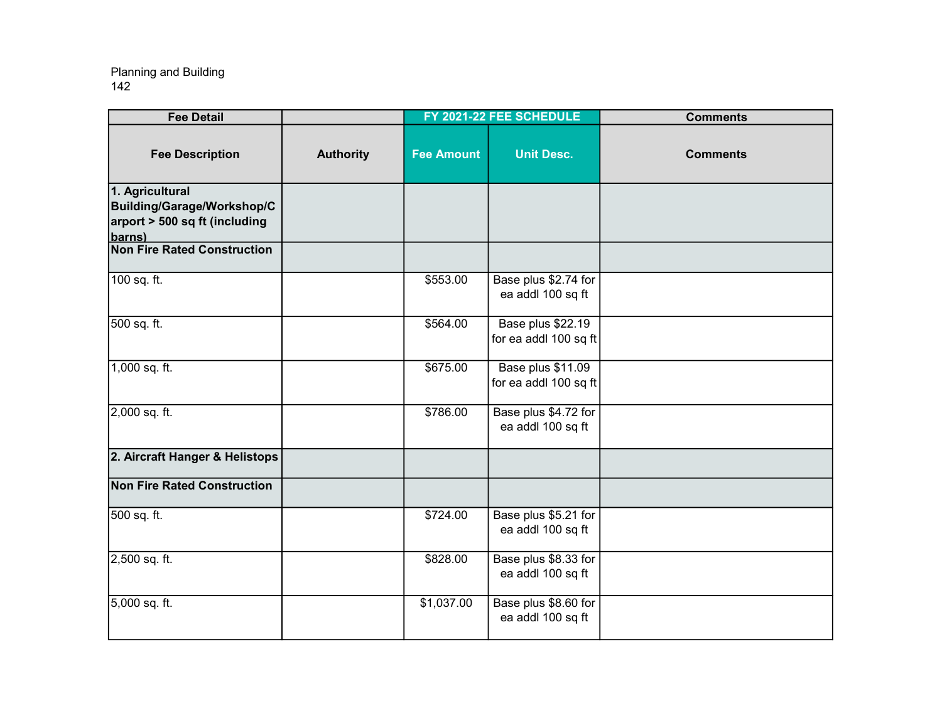| <b>Fee Detail</b>                                                                                   |                  |                   | FY 2021-22 FEE SCHEDULE                    | <b>Comments</b> |
|-----------------------------------------------------------------------------------------------------|------------------|-------------------|--------------------------------------------|-----------------|
| <b>Fee Description</b>                                                                              | <b>Authority</b> | <b>Fee Amount</b> | <b>Unit Desc.</b>                          | <b>Comments</b> |
| 1. Agricultural<br><b>Building/Garage/Workshop/C</b><br>$ $ arport > 500 sq ft (including<br>barns) |                  |                   |                                            |                 |
| <b>Non Fire Rated Construction</b>                                                                  |                  |                   |                                            |                 |
| 100 sq. ft.                                                                                         |                  | \$553.00          | Base plus \$2.74 for<br>ea addl 100 sq ft  |                 |
| 500 sq. ft.                                                                                         |                  | \$564.00          | Base plus \$22.19<br>for ea addl 100 sq ft |                 |
| 1,000 sq. ft.                                                                                       |                  | \$675.00          | Base plus \$11.09<br>for ea addl 100 sq ft |                 |
| 2,000 sq. ft.                                                                                       |                  | \$786.00          | Base plus \$4.72 for<br>ea addl 100 sq ft  |                 |
| 2. Aircraft Hanger & Helistops                                                                      |                  |                   |                                            |                 |
| <b>Non Fire Rated Construction</b>                                                                  |                  |                   |                                            |                 |
| 500 sq. ft.                                                                                         |                  | \$724.00          | Base plus \$5.21 for<br>ea addl 100 sq ft  |                 |
| 2,500 sq. ft.                                                                                       |                  | \$828.00          | Base plus \$8.33 for<br>ea addl 100 sq ft  |                 |
| 5,000 sq. ft.                                                                                       |                  | \$1,037.00        | Base plus \$8.60 for<br>ea addl 100 sq ft  |                 |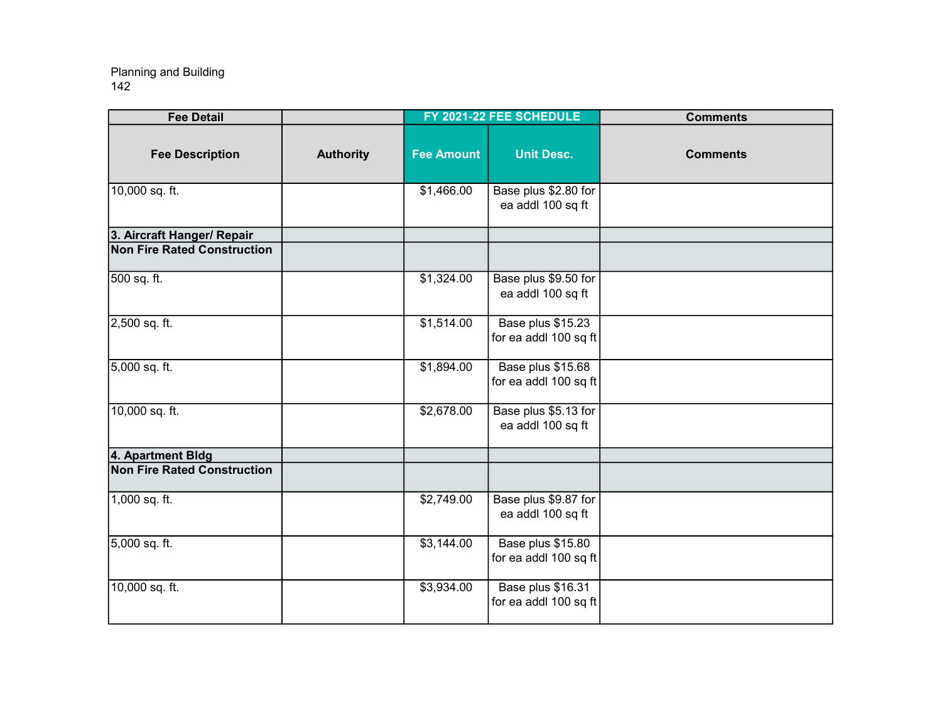| <b>Fee Detail</b>                  |                  |                   | FY 2021-22 FEE SCHEDULE                    | <b>Comments</b> |
|------------------------------------|------------------|-------------------|--------------------------------------------|-----------------|
| <b>Fee Description</b>             | <b>Authority</b> | <b>Fee Amount</b> | <b>Unit Desc.</b>                          | <b>Comments</b> |
| 10,000 sq. ft.                     |                  | \$1,466.00        | Base plus \$2.80 for<br>ea addl 100 sq ft  |                 |
| 3. Aircraft Hanger/ Repair         |                  |                   |                                            |                 |
| <b>Non Fire Rated Construction</b> |                  |                   |                                            |                 |
| 500 sq. ft.                        |                  | \$1,324.00        | Base plus \$9.50 for<br>ea addl 100 sq ft  |                 |
| 2,500 sq. ft.                      |                  | \$1,514.00        | Base plus \$15.23<br>for ea addl 100 sq ft |                 |
| 5,000 sq. ft.                      |                  | \$1,894.00        | Base plus \$15.68<br>for ea addl 100 sq ft |                 |
| 10,000 sq. ft.                     |                  | \$2,678.00        | Base plus \$5.13 for<br>ea addl 100 sq ft  |                 |
| 4. Apartment Bldg                  |                  |                   |                                            |                 |
| <b>Non Fire Rated Construction</b> |                  |                   |                                            |                 |
| $1,000$ sq. ft.                    |                  | \$2,749.00        | Base plus \$9.87 for<br>ea addl 100 sq ft  |                 |
| 5,000 sq. ft.                      |                  | \$3,144.00        | Base plus \$15.80<br>for ea addl 100 sq ft |                 |
| 10,000 sq. ft.                     |                  | \$3,934.00        | Base plus \$16.31<br>for ea addl 100 sq ft |                 |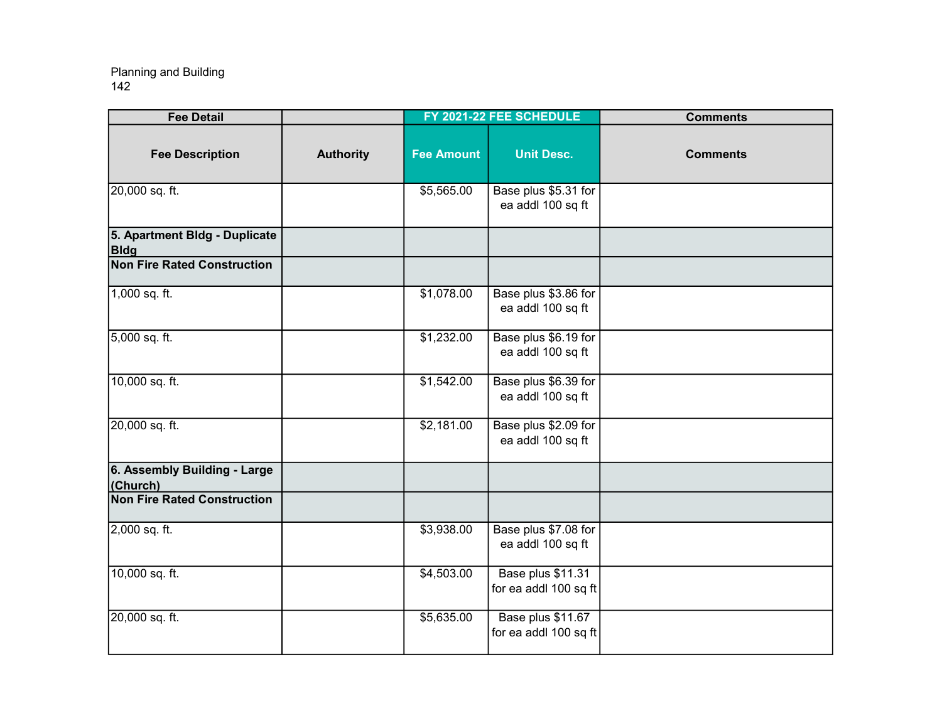| <b>Fee Detail</b>                            |                  |                   | FY 2021-22 FEE SCHEDULE                    | <b>Comments</b> |
|----------------------------------------------|------------------|-------------------|--------------------------------------------|-----------------|
| <b>Fee Description</b>                       | <b>Authority</b> | <b>Fee Amount</b> | <b>Unit Desc.</b>                          | <b>Comments</b> |
| 20,000 sq. ft.                               |                  | \$5,565.00        | Base plus \$5.31 for<br>ea addl 100 sq ft  |                 |
| 5. Apartment Bldg - Duplicate<br><b>Bldg</b> |                  |                   |                                            |                 |
| <b>Non Fire Rated Construction</b>           |                  |                   |                                            |                 |
| 1,000 sq. ft.                                |                  | \$1,078.00        | Base plus \$3.86 for<br>ea addl 100 sq ft  |                 |
| 5,000 sq. ft.                                |                  | \$1,232.00        | Base plus \$6.19 for<br>ea addl 100 sq ft  |                 |
| 10,000 sq. ft.                               |                  | \$1,542.00        | Base plus \$6.39 for<br>ea addl 100 sq ft  |                 |
| 20,000 sq. ft.                               |                  | \$2,181.00        | Base plus \$2.09 for<br>ea addl 100 sq ft  |                 |
| 6. Assembly Building - Large<br>(Church)     |                  |                   |                                            |                 |
| <b>Non Fire Rated Construction</b>           |                  |                   |                                            |                 |
| 2,000 sq. ft.                                |                  | \$3,938.00        | Base plus \$7.08 for<br>ea addl 100 sq ft  |                 |
| 10,000 sq. ft.                               |                  | \$4,503.00        | Base plus \$11.31<br>for ea addl 100 sq ft |                 |
| 20,000 sq. ft.                               |                  | \$5,635.00        | Base plus \$11.67<br>for ea addl 100 sq ft |                 |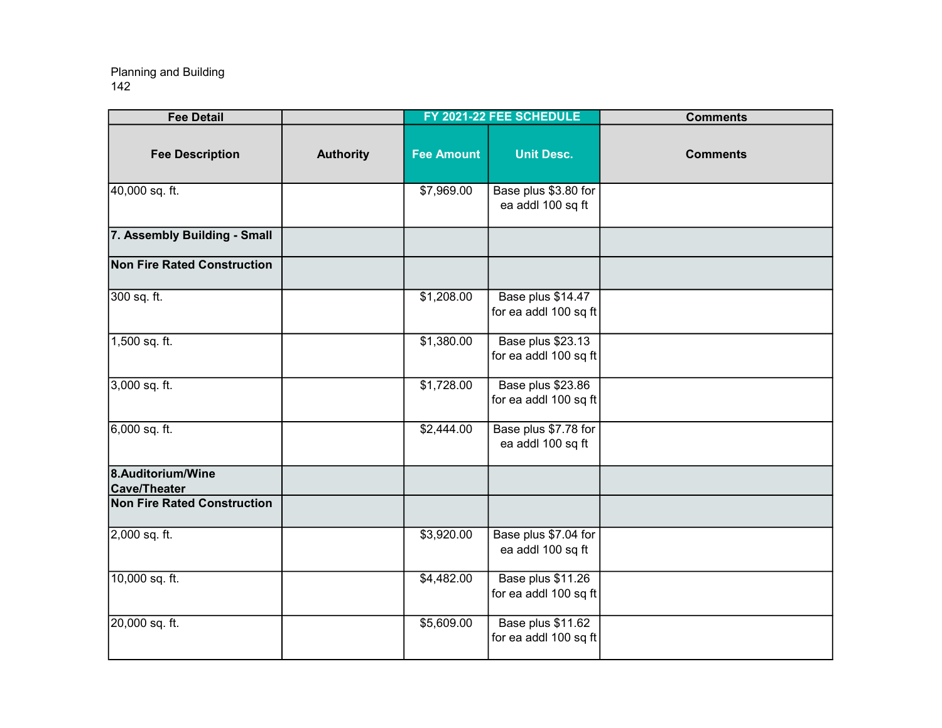| <b>Fee Detail</b>                        |                  |                   | FY 2021-22 FEE SCHEDULE                    | <b>Comments</b> |
|------------------------------------------|------------------|-------------------|--------------------------------------------|-----------------|
| <b>Fee Description</b>                   | <b>Authority</b> | <b>Fee Amount</b> | <b>Unit Desc.</b>                          | <b>Comments</b> |
| 40,000 sq. ft.                           |                  | \$7,969.00        | Base plus \$3.80 for<br>ea addl 100 sq ft  |                 |
| 7. Assembly Building - Small             |                  |                   |                                            |                 |
| <b>Non Fire Rated Construction</b>       |                  |                   |                                            |                 |
| 300 sq. ft.                              |                  | \$1,208.00        | Base plus \$14.47<br>for ea addl 100 sq ft |                 |
| 1,500 sq. ft.                            |                  | \$1,380.00        | Base plus \$23.13<br>for ea addl 100 sq ft |                 |
| 3,000 sq. ft.                            |                  | \$1,728.00        | Base plus \$23.86<br>for ea addl 100 sq ft |                 |
| $6,000$ sq. ft.                          |                  | \$2,444.00        | Base plus \$7.78 for<br>ea addl 100 sq ft  |                 |
| 8.Auditorium/Wine<br><b>Cave/Theater</b> |                  |                   |                                            |                 |
| Non Fire Rated Construction              |                  |                   |                                            |                 |
| 2,000 sq. ft.                            |                  | \$3,920.00        | Base plus \$7.04 for<br>ea addl 100 sq ft  |                 |
| 10,000 sq. ft.                           |                  | $\sqrt{4,482.00}$ | Base plus \$11.26<br>for ea addl 100 sq ft |                 |
| 20,000 sq. ft.                           |                  | \$5,609.00        | Base plus \$11.62<br>for ea addl 100 sq ft |                 |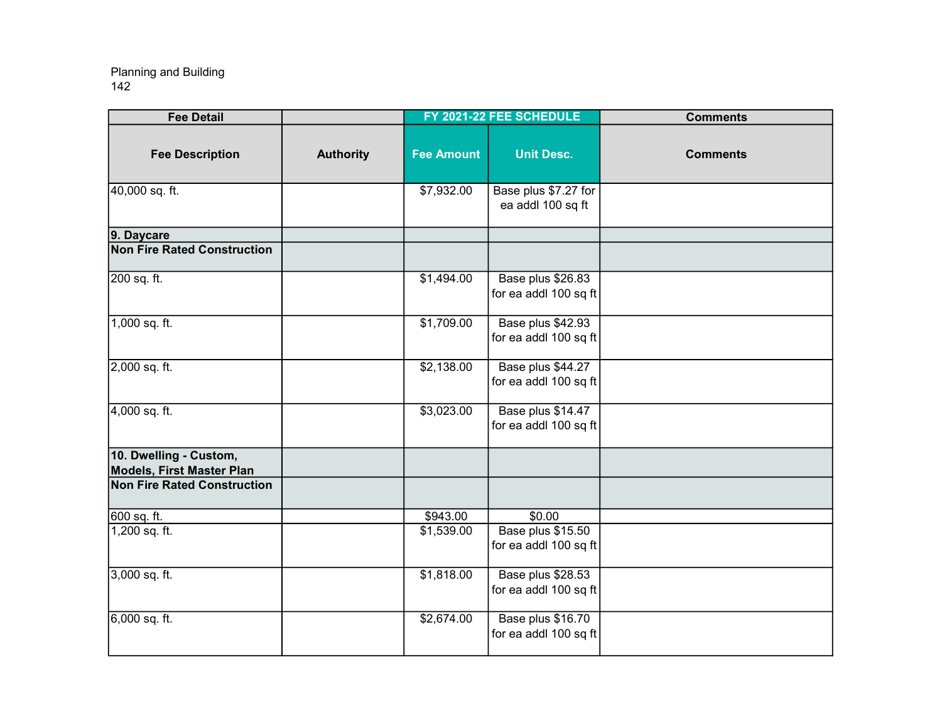| <b>Fee Detail</b>                                   |                  |                   | FY 2021-22 FEE SCHEDULE                    | <b>Comments</b> |
|-----------------------------------------------------|------------------|-------------------|--------------------------------------------|-----------------|
| <b>Fee Description</b>                              | <b>Authority</b> | <b>Fee Amount</b> | <b>Unit Desc.</b>                          | <b>Comments</b> |
| 40,000 sq. ft.                                      |                  | \$7,932.00        | Base plus \$7.27 for<br>ea addl 100 sq ft  |                 |
| 9. Daycare                                          |                  |                   |                                            |                 |
| <b>Non Fire Rated Construction</b>                  |                  |                   |                                            |                 |
| 200 sq. ft.                                         |                  | \$1,494.00        | Base plus \$26.83<br>for ea addl 100 sq ft |                 |
| 1,000 sq. ft.                                       |                  | \$1,709.00        | Base plus \$42.93<br>for ea addl 100 sq ft |                 |
| 2,000 sq. ft.                                       |                  | \$2,138.00        | Base plus \$44.27<br>for ea addl 100 sq ft |                 |
| 4,000 sq. ft.                                       |                  | \$3,023.00        | Base plus \$14.47<br>for ea addl 100 sq ft |                 |
| 10. Dwelling - Custom,<br>Models, First Master Plan |                  |                   |                                            |                 |
| <b>Non Fire Rated Construction</b>                  |                  |                   |                                            |                 |
| 600 sq. ft.                                         |                  |                   | \$0.00                                     |                 |
| 1,200 sq. ft.                                       |                  | \$1,539.00        | Base plus \$15.50<br>for ea addl 100 sq ft |                 |
| 3,000 sq. ft.                                       |                  | \$1,818.00        | Base plus \$28.53<br>for ea addl 100 sq ft |                 |
| 6,000 sq. ft.                                       |                  | \$2,674.00        | Base plus \$16.70<br>for ea addl 100 sq ft |                 |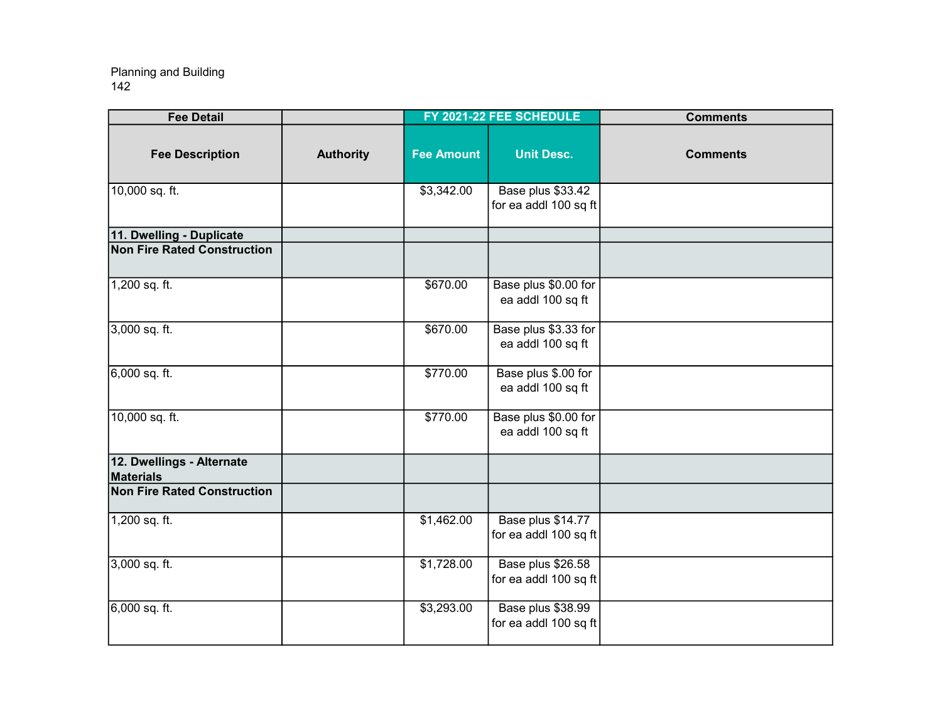| <b>Fee Detail</b>                             |                  |                   | FY 2021-22 FEE SCHEDULE                    | <b>Comments</b> |
|-----------------------------------------------|------------------|-------------------|--------------------------------------------|-----------------|
| <b>Fee Description</b>                        | <b>Authority</b> | <b>Fee Amount</b> | <b>Unit Desc.</b>                          | <b>Comments</b> |
| 10,000 sq. ft.                                |                  | \$3,342.00        | Base plus \$33.42<br>for ea addl 100 sq ft |                 |
| 11. Dwelling - Duplicate                      |                  |                   |                                            |                 |
| <b>Non Fire Rated Construction</b>            |                  |                   |                                            |                 |
| 1,200 sq. ft.                                 |                  | \$670.00          | Base plus \$0.00 for<br>ea addl 100 sq ft  |                 |
| 3,000 sq. ft.                                 |                  | \$670.00          | Base plus \$3.33 for<br>ea addl 100 sq ft  |                 |
| 6,000 sq. ft.                                 |                  | \$770.00          | Base plus \$.00 for<br>ea addl 100 sq ft   |                 |
| 10,000 sq. ft.                                |                  | \$770.00          | Base plus \$0.00 for<br>ea addl 100 sq ft  |                 |
| 12. Dwellings - Alternate<br><b>Materials</b> |                  |                   |                                            |                 |
| <b>Non Fire Rated Construction</b>            |                  |                   |                                            |                 |
| 1,200 sq. ft.                                 |                  | \$1,462.00        | Base plus \$14.77<br>for ea addl 100 sq ft |                 |
| 3,000 sq. ft.                                 |                  | \$1,728.00        | Base plus \$26.58<br>for ea addl 100 sq ft |                 |
| 6,000 sq. ft.                                 |                  | \$3,293.00        | Base plus \$38.99<br>for ea addl 100 sq ft |                 |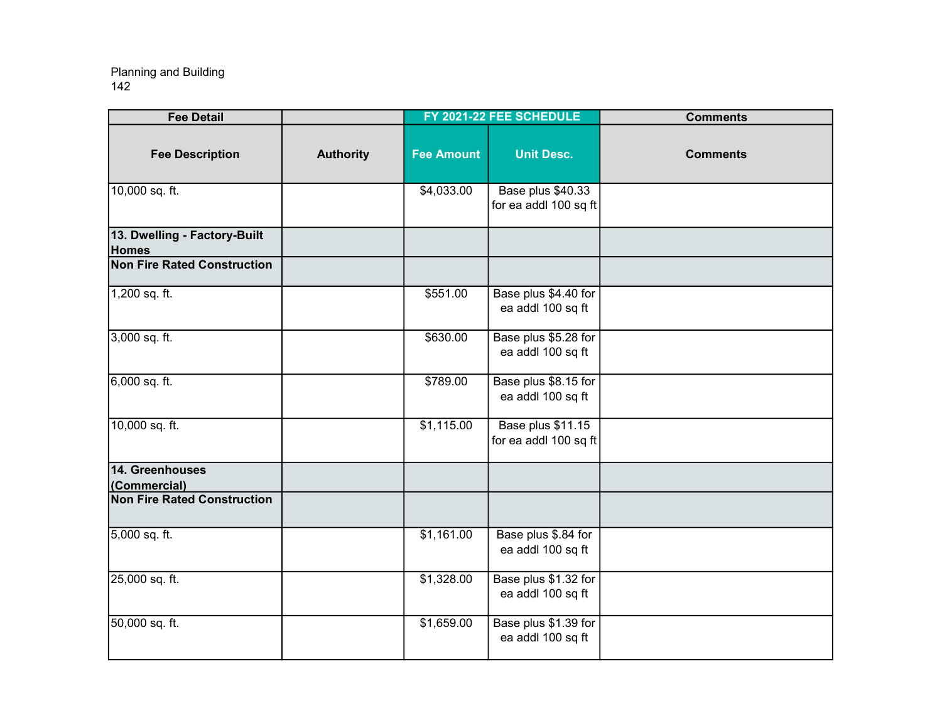| <b>Fee Detail</b>                            |                  |                   | FY 2021-22 FEE SCHEDULE                    | <b>Comments</b> |
|----------------------------------------------|------------------|-------------------|--------------------------------------------|-----------------|
| <b>Fee Description</b>                       | <b>Authority</b> | <b>Fee Amount</b> | <b>Unit Desc.</b>                          | <b>Comments</b> |
| 10,000 sq. ft.                               |                  | \$4,033.00        | Base plus \$40.33<br>for ea addl 100 sq ft |                 |
| 13. Dwelling - Factory-Built<br><b>Homes</b> |                  |                   |                                            |                 |
| <b>Non Fire Rated Construction</b>           |                  |                   |                                            |                 |
| 1,200 sq. ft.                                |                  | \$551.00          | Base plus \$4.40 for<br>ea addl 100 sq ft  |                 |
| 3,000 sq. ft.                                |                  | \$630.00          | Base plus \$5.28 for<br>ea addl 100 sq ft  |                 |
| 6,000 sq. ft.                                |                  | \$789.00          | Base plus \$8.15 for<br>ea addl 100 sq ft  |                 |
| 10,000 sq. ft.                               |                  | \$1,115.00        | Base plus \$11.15<br>for ea addl 100 sq ft |                 |
| 14. Greenhouses<br>(Commercial)              |                  |                   |                                            |                 |
| <b>Non Fire Rated Construction</b>           |                  |                   |                                            |                 |
| 5,000 sq. ft.                                |                  | \$1,161.00        | Base plus \$.84 for<br>ea addl 100 sq ft   |                 |
| 25,000 sq. ft.                               |                  | \$1,328.00        | Base plus \$1.32 for<br>ea addl 100 sq ft  |                 |
| 50,000 sq. ft.                               |                  | \$1,659.00        | Base plus \$1.39 for<br>ea addl 100 sq ft  |                 |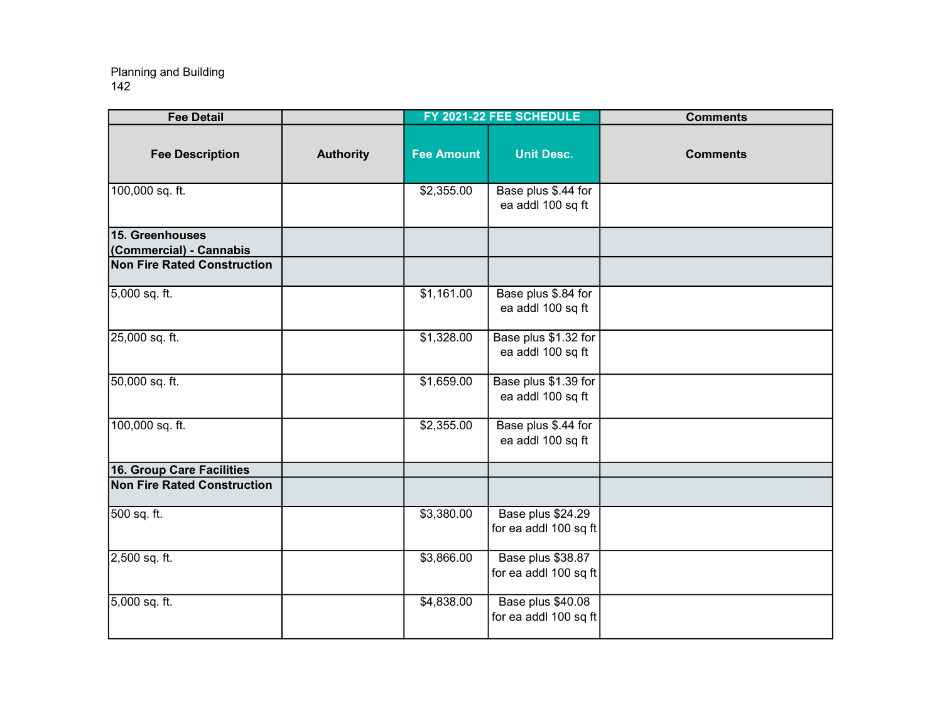| <b>Fee Detail</b>                          |                  |                   | FY 2021-22 FEE SCHEDULE                    | <b>Comments</b> |
|--------------------------------------------|------------------|-------------------|--------------------------------------------|-----------------|
| <b>Fee Description</b>                     | <b>Authority</b> | <b>Fee Amount</b> | <b>Unit Desc.</b>                          | <b>Comments</b> |
| 100,000 sq. ft.                            |                  | \$2,355.00        | Base plus \$.44 for<br>ea addl 100 sq ft   |                 |
| 15. Greenhouses<br>(Commercial) - Cannabis |                  |                   |                                            |                 |
| <b>Non Fire Rated Construction</b>         |                  |                   |                                            |                 |
| 5,000 sq. ft.                              |                  | \$1,161.00        | Base plus \$.84 for<br>ea addl 100 sq ft   |                 |
| 25,000 sq. ft.                             |                  | \$1,328.00        | Base plus \$1.32 for<br>ea addl 100 sq ft  |                 |
| 50,000 sq. ft.                             |                  | \$1,659.00        | Base plus \$1.39 for<br>ea addl 100 sq ft  |                 |
| 100,000 sq. ft.                            |                  | \$2,355.00        | Base plus \$.44 for<br>ea addl 100 sq ft   |                 |
| 16. Group Care Facilities                  |                  |                   |                                            |                 |
| <b>Non Fire Rated Construction</b>         |                  |                   |                                            |                 |
| 500 sq. ft.                                |                  | \$3,380.00        | Base plus \$24.29<br>for ea addl 100 sq ft |                 |
| 2,500 sq. ft.                              |                  | \$3,866.00        | Base plus \$38.87<br>for ea addl 100 sq ft |                 |
| 5,000 sq. ft.                              |                  | \$4,838.00        | Base plus \$40.08<br>for ea addl 100 sq ft |                 |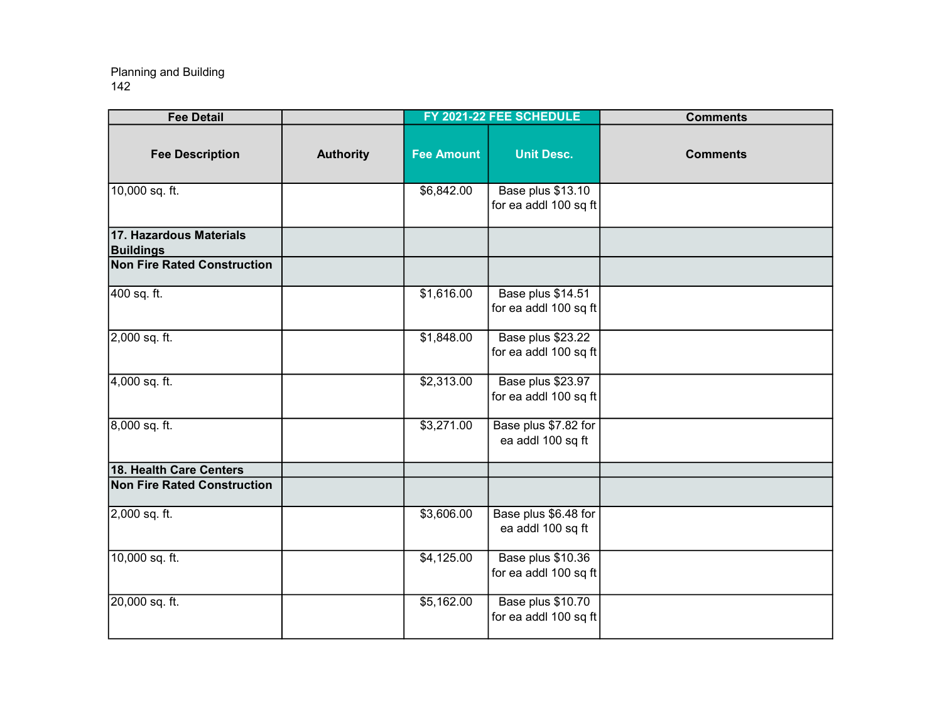| <b>Fee Detail</b>                           |                  |                   | FY 2021-22 FEE SCHEDULE                    | <b>Comments</b> |
|---------------------------------------------|------------------|-------------------|--------------------------------------------|-----------------|
| <b>Fee Description</b>                      | <b>Authority</b> | <b>Fee Amount</b> | <b>Unit Desc.</b>                          | <b>Comments</b> |
| 10,000 sq. ft.                              |                  | \$6,842.00        | Base plus \$13.10<br>for ea addl 100 sq ft |                 |
| 17. Hazardous Materials<br><b>Buildings</b> |                  |                   |                                            |                 |
| <b>Non Fire Rated Construction</b>          |                  |                   |                                            |                 |
| 400 sq. ft.                                 |                  | \$1,616.00        | Base plus \$14.51<br>for ea addl 100 sq ft |                 |
| 2,000 sq. ft.                               |                  | \$1,848.00        | Base plus \$23.22<br>for ea addl 100 sq ft |                 |
| 4,000 sq. ft.                               |                  | \$2,313.00        | Base plus \$23.97<br>for ea addl 100 sq ft |                 |
| 8,000 sq. ft.                               |                  | \$3,271.00        | Base plus \$7.82 for<br>ea addl 100 sq ft  |                 |
| 18. Health Care Centers                     |                  |                   |                                            |                 |
| <b>Non Fire Rated Construction</b>          |                  |                   |                                            |                 |
| 2,000 sq. ft.                               |                  | \$3,606.00        | Base plus \$6.48 for<br>ea addl 100 sq ft  |                 |
| 10,000 sq. ft.                              |                  | \$4,125.00        | Base plus \$10.36<br>for ea addl 100 sq ft |                 |
| 20,000 sq. ft.                              |                  | \$5,162.00        | Base plus \$10.70<br>for ea addl 100 sq ft |                 |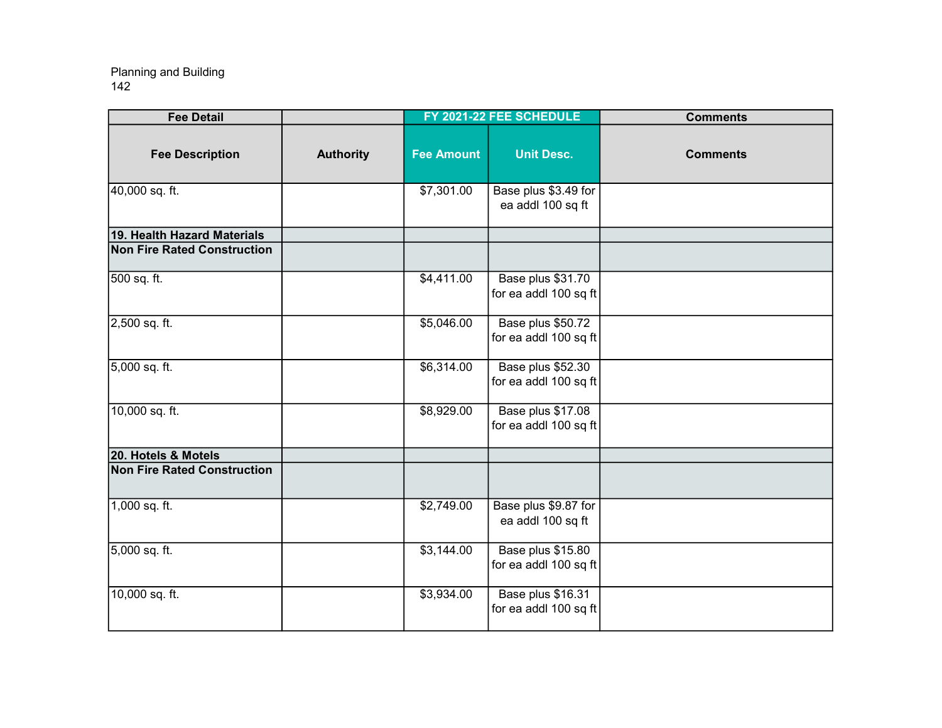| <b>Fee Detail</b>                  |                  |                   | FY 2021-22 FEE SCHEDULE                    | <b>Comments</b> |
|------------------------------------|------------------|-------------------|--------------------------------------------|-----------------|
| <b>Fee Description</b>             | <b>Authority</b> | <b>Fee Amount</b> | <b>Unit Desc.</b>                          | <b>Comments</b> |
| 40,000 sq. ft.                     |                  | \$7,301.00        | Base plus \$3.49 for<br>ea addl 100 sq ft  |                 |
| 19. Health Hazard Materials        |                  |                   |                                            |                 |
| <b>Non Fire Rated Construction</b> |                  |                   |                                            |                 |
| 500 sq. ft.                        |                  | \$4,411.00        | Base plus \$31.70<br>for ea addl 100 sq ft |                 |
| 2,500 sq. ft.                      |                  | \$5,046.00        | Base plus \$50.72<br>for ea addl 100 sq ft |                 |
| 5,000 sq. ft.                      |                  | \$6,314.00        | Base plus \$52.30<br>for ea addl 100 sq ft |                 |
| 10,000 sq. ft.                     |                  | \$8,929.00        | Base plus \$17.08<br>for ea addl 100 sq ft |                 |
| 20. Hotels & Motels                |                  |                   |                                            |                 |
| <b>Non Fire Rated Construction</b> |                  |                   |                                            |                 |
| 1,000 sq. ft.                      |                  | \$2,749.00        | Base plus \$9.87 for<br>ea addl 100 sq ft  |                 |
| 5,000 sq. ft.                      |                  | \$3,144.00        | Base plus \$15.80<br>for ea addl 100 sq ft |                 |
| 10,000 sq. ft.                     |                  | \$3,934.00        | Base plus \$16.31<br>for ea addl 100 sq ft |                 |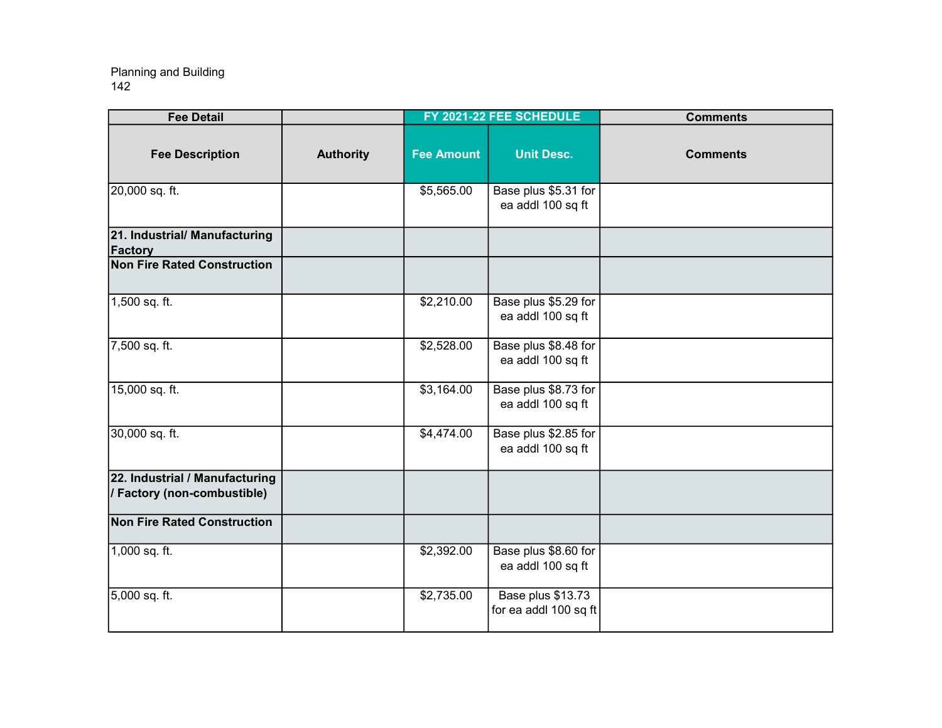| <b>Fee Detail</b>                                             |                  |                   | FY 2021-22 FEE SCHEDULE                    | <b>Comments</b> |
|---------------------------------------------------------------|------------------|-------------------|--------------------------------------------|-----------------|
| <b>Fee Description</b>                                        | <b>Authority</b> | <b>Fee Amount</b> | <b>Unit Desc.</b>                          | <b>Comments</b> |
| 20,000 sq. ft.                                                |                  | \$5,565.00        | Base plus \$5.31 for<br>ea addl 100 sq ft  |                 |
| 21. Industrial/ Manufacturing<br><b>Factory</b>               |                  |                   |                                            |                 |
| <b>Non Fire Rated Construction</b>                            |                  |                   |                                            |                 |
| 1,500 sq. ft.                                                 |                  | \$2,210.00        | Base plus \$5.29 for<br>ea addl 100 sq ft  |                 |
| 7,500 sq. ft.                                                 |                  | \$2,528.00        | Base plus \$8.48 for<br>ea addl 100 sq ft  |                 |
| 15,000 sq. ft.                                                |                  | \$3,164.00        | Base plus \$8.73 for<br>ea addl 100 sq ft  |                 |
| 30,000 sq. ft.                                                |                  | \$4,474.00        | Base plus \$2.85 for<br>ea addl 100 sq ft  |                 |
| 22. Industrial / Manufacturing<br>/ Factory (non-combustible) |                  |                   |                                            |                 |
| <b>Non Fire Rated Construction</b>                            |                  |                   |                                            |                 |
| 1,000 sq. ft.                                                 |                  | \$2,392.00        | Base plus \$8.60 for<br>ea addl 100 sq ft  |                 |
| 5,000 sq. ft.                                                 |                  | \$2,735.00        | Base plus \$13.73<br>for ea addl 100 sq ft |                 |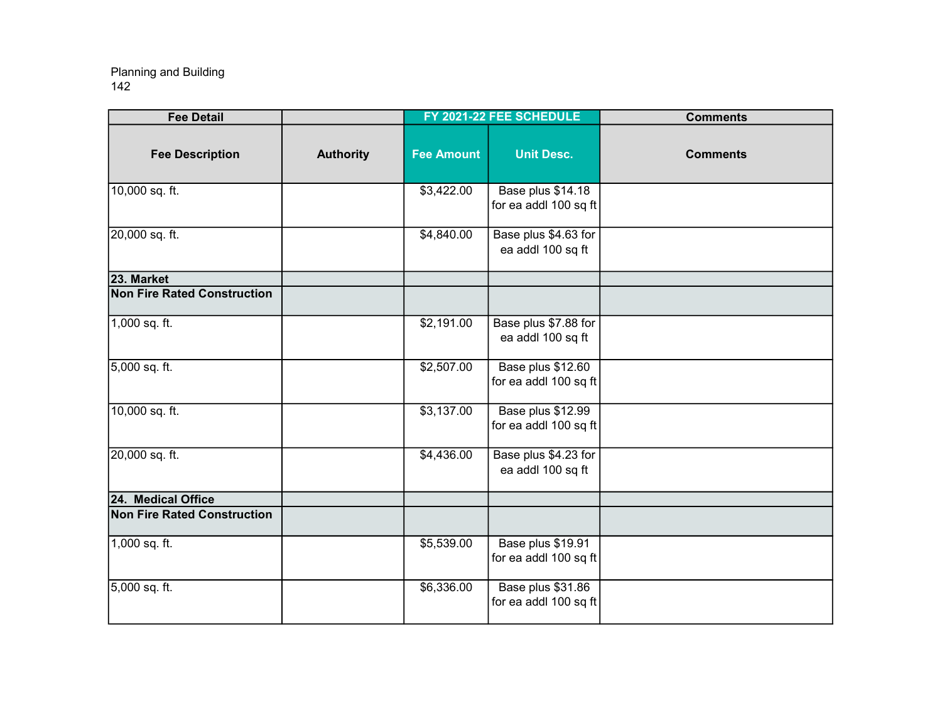| <b>Fee Detail</b>                  |                  |                   | FY 2021-22 FEE SCHEDULE                    | <b>Comments</b> |
|------------------------------------|------------------|-------------------|--------------------------------------------|-----------------|
| <b>Fee Description</b>             | <b>Authority</b> | <b>Fee Amount</b> | <b>Unit Desc.</b>                          | <b>Comments</b> |
| 10,000 sq. ft.                     |                  | \$3,422.00        | Base plus \$14.18<br>for ea addl 100 sq ft |                 |
| 20,000 sq. ft.                     |                  | \$4,840.00        | Base plus \$4.63 for<br>ea addl 100 sq ft  |                 |
| 23. Market                         |                  |                   |                                            |                 |
| <b>Non Fire Rated Construction</b> |                  |                   |                                            |                 |
| 1,000 sq. ft.                      |                  | \$2,191.00        | Base plus \$7.88 for<br>ea addl 100 sq ft  |                 |
| 5,000 sq. ft.                      |                  | \$2,507.00        | Base plus \$12.60<br>for ea addl 100 sq ft |                 |
| 10,000 sq. ft.                     |                  | \$3,137.00        | Base plus \$12.99<br>for ea addl 100 sq ft |                 |
| 20,000 sq. ft.                     |                  | \$4,436.00        | Base plus \$4.23 for<br>ea addl 100 sq ft  |                 |
| 24. Medical Office                 |                  |                   |                                            |                 |
| <b>Non Fire Rated Construction</b> |                  |                   |                                            |                 |
| $1,000$ sq. ft.                    |                  | \$5,539.00        | Base plus \$19.91<br>for ea addl 100 sq ft |                 |
| 5,000 sq. ft.                      |                  | \$6,336.00        | Base plus \$31.86<br>for ea addl 100 sq ft |                 |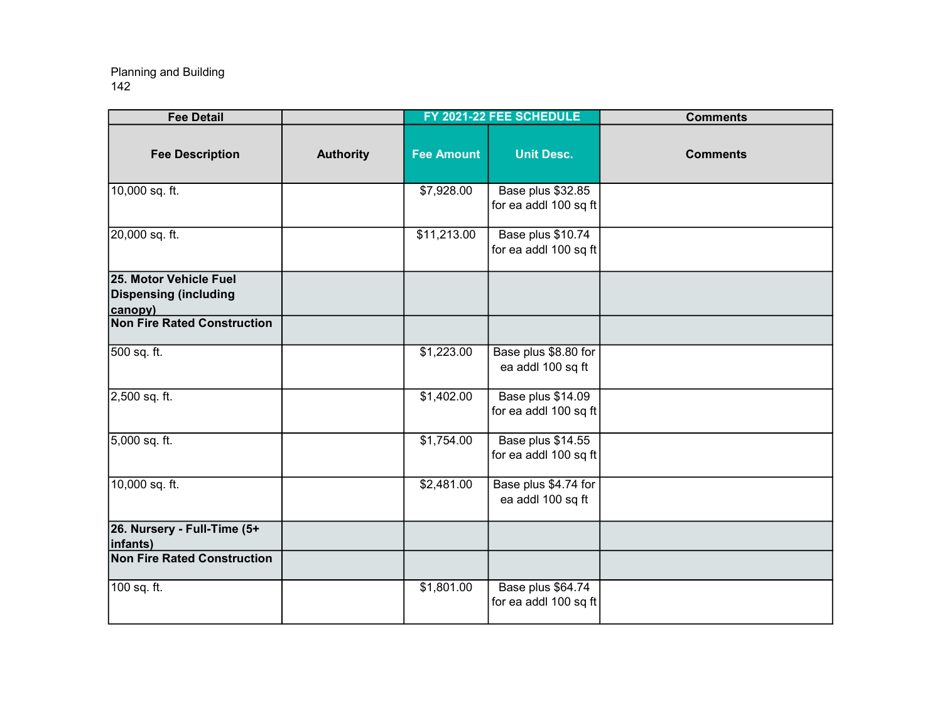| <b>Fee Detail</b>                                                 |                  |                   | FY 2021-22 FEE SCHEDULE                    | <b>Comments</b> |
|-------------------------------------------------------------------|------------------|-------------------|--------------------------------------------|-----------------|
| <b>Fee Description</b>                                            | <b>Authority</b> | <b>Fee Amount</b> | <b>Unit Desc.</b>                          | <b>Comments</b> |
| 10,000 sq. ft.                                                    |                  | \$7,928.00        | Base plus \$32.85<br>for ea addl 100 sq ft |                 |
| 20,000 sq. ft.                                                    |                  | \$11,213.00       | Base plus \$10.74<br>for ea addl 100 sq ft |                 |
| 25. Motor Vehicle Fuel<br><b>Dispensing (including</b><br>canopy) |                  |                   |                                            |                 |
| <b>Non Fire Rated Construction</b>                                |                  |                   |                                            |                 |
| 500 sq. ft.                                                       |                  | \$1,223.00        | Base plus \$8.80 for<br>ea addl 100 sq ft  |                 |
| 2,500 sq. ft.                                                     |                  | \$1,402.00        | Base plus \$14.09<br>for ea addl 100 sq ft |                 |
| 5,000 sq. ft.                                                     |                  | \$1,754.00        | Base plus \$14.55<br>for ea addl 100 sq ft |                 |
| 10,000 sq. ft.                                                    |                  | \$2,481.00        | Base plus \$4.74 for<br>ea addl 100 sq ft  |                 |
| 26. Nursery - Full-Time (5+<br>infants)                           |                  |                   |                                            |                 |
| <b>Non Fire Rated Construction</b>                                |                  |                   |                                            |                 |
| 100 sq. ft.                                                       |                  | \$1,801.00        | Base plus \$64.74<br>for ea addl 100 sq ft |                 |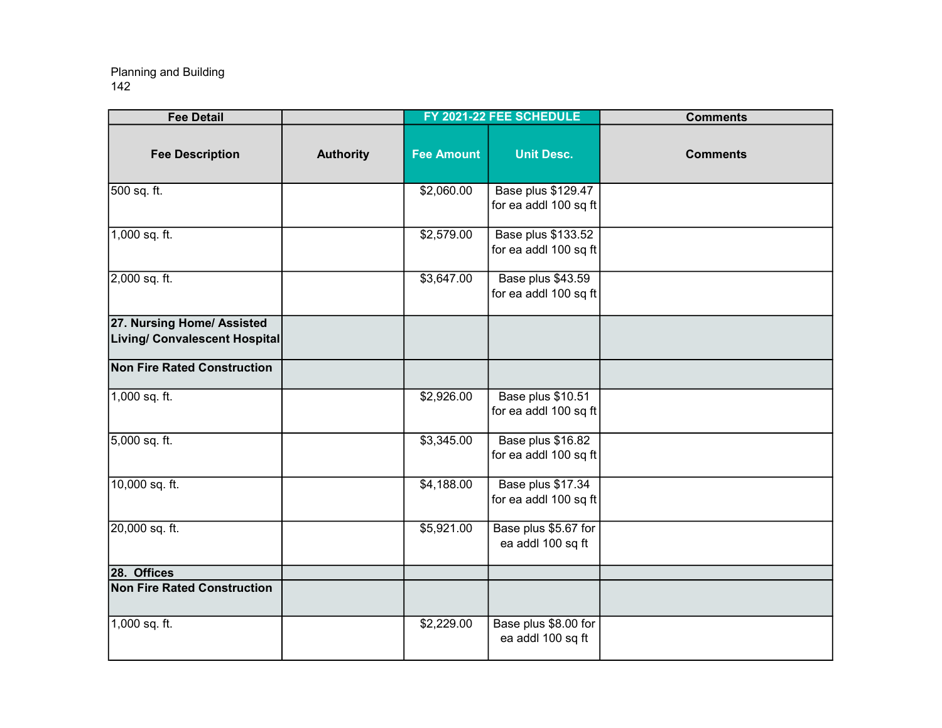| <b>Fee Detail</b>                                           |                  |                   | FY 2021-22 FEE SCHEDULE                     | <b>Comments</b> |
|-------------------------------------------------------------|------------------|-------------------|---------------------------------------------|-----------------|
| <b>Fee Description</b>                                      | <b>Authority</b> | <b>Fee Amount</b> | <b>Unit Desc.</b>                           | <b>Comments</b> |
| 500 sq. ft.                                                 |                  | \$2,060.00        | Base plus \$129.47<br>for ea addl 100 sq ft |                 |
| 1,000 sq. ft.                                               |                  | \$2,579.00        | Base plus \$133.52<br>for ea addl 100 sq ft |                 |
| 2,000 sq. ft.                                               |                  | \$3,647.00        | Base plus \$43.59<br>for ea addl 100 sq ft  |                 |
| 27. Nursing Home/ Assisted<br>Living/ Convalescent Hospital |                  |                   |                                             |                 |
| <b>Non Fire Rated Construction</b>                          |                  |                   |                                             |                 |
| 1,000 sq. ft.                                               |                  | \$2,926.00        | Base plus \$10.51<br>for ea addl 100 sq ft  |                 |
| 5,000 sq. ft.                                               |                  | \$3,345.00        | Base plus \$16.82<br>for ea addl 100 sq ft  |                 |
| 10,000 sq. ft.                                              |                  | \$4,188.00        | Base plus \$17.34<br>for ea addl 100 sq ft  |                 |
| 20,000 sq. ft.                                              |                  | \$5,921.00        | Base plus \$5.67 for<br>ea addl 100 sq ft   |                 |
| 28. Offices                                                 |                  |                   |                                             |                 |
| <b>Non Fire Rated Construction</b>                          |                  |                   |                                             |                 |
| 1,000 sq. ft.                                               |                  | \$2,229.00        | Base plus \$8.00 for<br>ea addl 100 sq ft   |                 |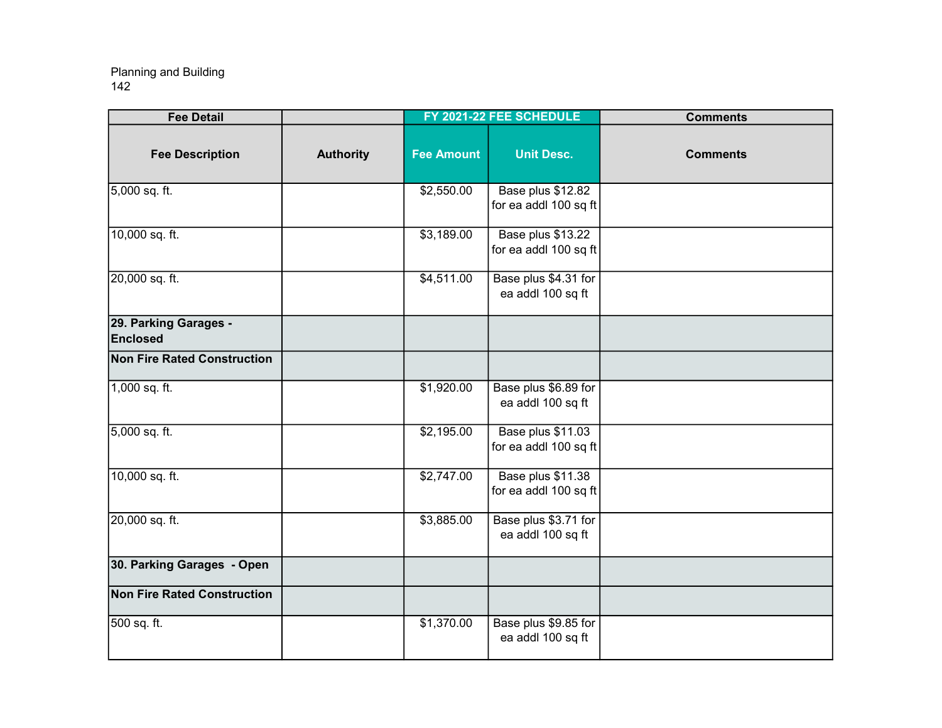| <b>Fee Detail</b>                  |                  |                   | FY 2021-22 FEE SCHEDULE                    | <b>Comments</b> |
|------------------------------------|------------------|-------------------|--------------------------------------------|-----------------|
| <b>Fee Description</b>             | <b>Authority</b> | <b>Fee Amount</b> | <b>Unit Desc.</b>                          | <b>Comments</b> |
| 5,000 sq. ft.                      |                  | \$2,550.00        | Base plus \$12.82<br>for ea addl 100 sq ft |                 |
| 10,000 sq. ft.                     |                  | \$3,189.00        | Base plus \$13.22<br>for ea addl 100 sq ft |                 |
| 20,000 sq. ft.                     |                  | \$4,511.00        | Base plus \$4.31 for<br>ea addl 100 sq ft  |                 |
| 29. Parking Garages -<br>Enclosed  |                  |                   |                                            |                 |
| Non Fire Rated Construction        |                  |                   |                                            |                 |
| 1,000 sq. ft.                      |                  | \$1,920.00        | Base plus \$6.89 for<br>ea addl 100 sq ft  |                 |
| 5,000 sq. ft.                      |                  | \$2,195.00        | Base plus \$11.03<br>for ea addl 100 sq ft |                 |
| 10,000 sq. ft.                     |                  | \$2,747.00        | Base plus \$11.38<br>for ea addl 100 sq ft |                 |
| 20,000 sq. ft.                     |                  | \$3,885.00        | Base plus \$3.71 for<br>ea addl 100 sq ft  |                 |
| 30. Parking Garages - Open         |                  |                   |                                            |                 |
| <b>Non Fire Rated Construction</b> |                  |                   |                                            |                 |
| 500 sq. ft.                        |                  | \$1,370.00        | Base plus \$9.85 for<br>ea addl 100 sq ft  |                 |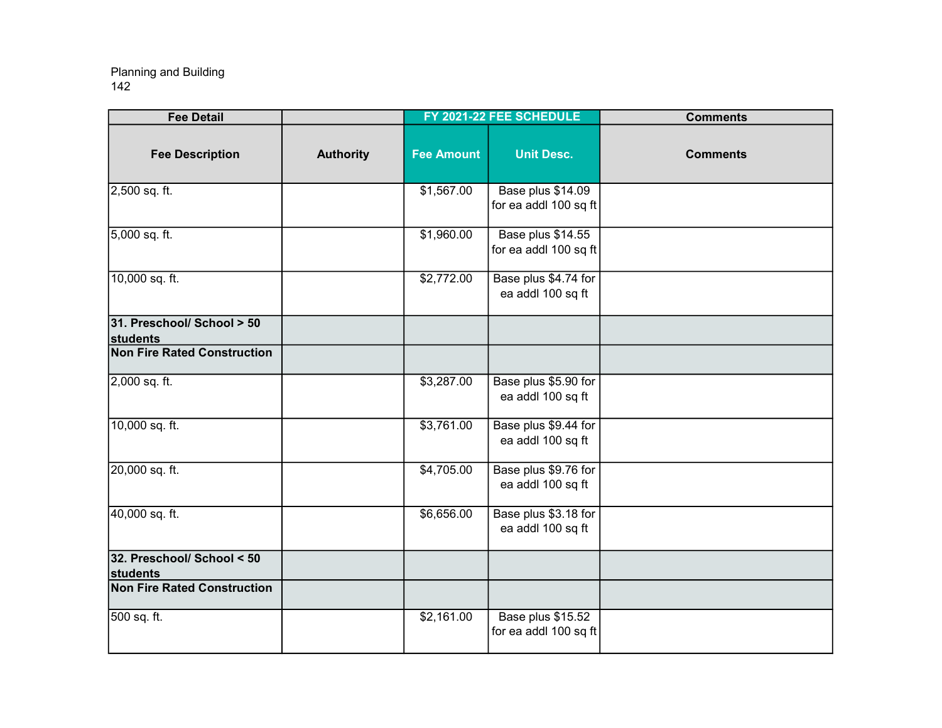| <b>Fee Detail</b>                      |                  |                   | FY 2021-22 FEE SCHEDULE                    | <b>Comments</b> |
|----------------------------------------|------------------|-------------------|--------------------------------------------|-----------------|
| <b>Fee Description</b>                 | <b>Authority</b> | <b>Fee Amount</b> | <b>Unit Desc.</b>                          | <b>Comments</b> |
| 2,500 sq. ft.                          |                  | \$1,567.00        | Base plus \$14.09<br>for ea addl 100 sq ft |                 |
| 5,000 sq. ft.                          |                  | \$1,960.00        | Base plus \$14.55<br>for ea addl 100 sq ft |                 |
| 10,000 sq. ft.                         |                  | \$2,772.00        | Base plus \$4.74 for<br>ea addl 100 sq ft  |                 |
| 31. Preschool/ School > 50<br>students |                  |                   |                                            |                 |
| <b>Non Fire Rated Construction</b>     |                  |                   |                                            |                 |
| 2,000 sq. ft.                          |                  | \$3,287.00        | Base plus \$5.90 for<br>ea addl 100 sq ft  |                 |
| 10,000 sq. ft.                         |                  | \$3,761.00        | Base plus \$9.44 for<br>ea addl 100 sq ft  |                 |
| 20,000 sq. ft.                         |                  | \$4,705.00        | Base plus \$9.76 for<br>ea addl 100 sq ft  |                 |
| 40,000 sq. ft.                         |                  | \$6,656.00        | Base plus \$3.18 for<br>ea addl 100 sq ft  |                 |
| 32. Preschool/ School < 50<br>students |                  |                   |                                            |                 |
| <b>Non Fire Rated Construction</b>     |                  |                   |                                            |                 |
| 500 sq. ft.                            |                  | \$2,161.00        | Base plus \$15.52<br>for ea addl 100 sq ft |                 |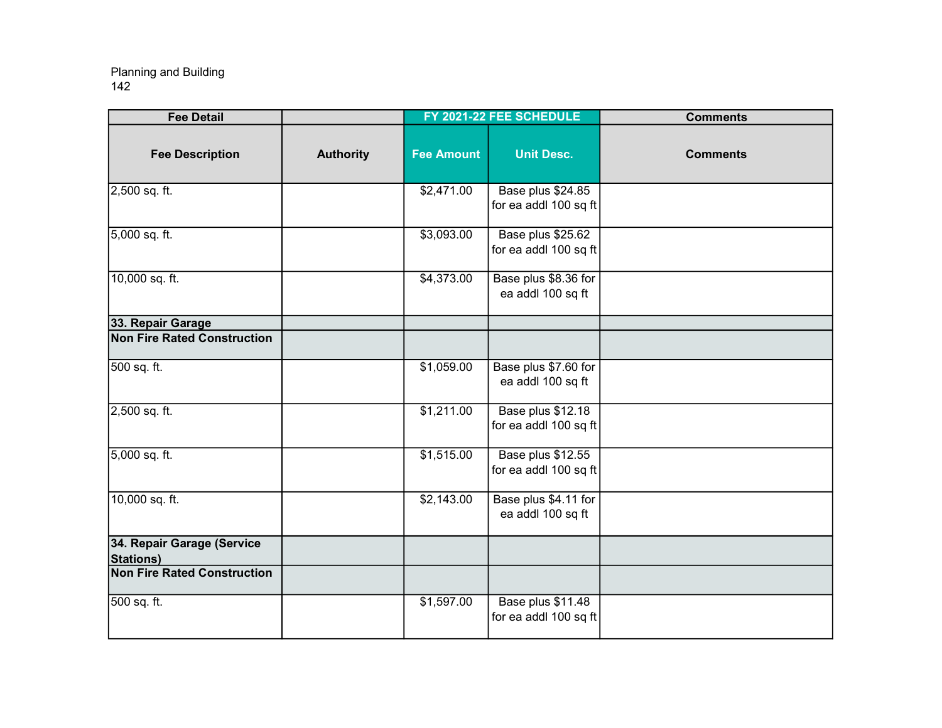| <b>Fee Detail</b>                              |                  |                   | FY 2021-22 FEE SCHEDULE                    | <b>Comments</b> |
|------------------------------------------------|------------------|-------------------|--------------------------------------------|-----------------|
| <b>Fee Description</b>                         | <b>Authority</b> | <b>Fee Amount</b> | <b>Unit Desc.</b>                          | <b>Comments</b> |
| 2,500 sq. ft.                                  |                  | \$2,471.00        | Base plus \$24.85<br>for ea addl 100 sq ft |                 |
| 5,000 sq. ft.                                  |                  | \$3,093.00        | Base plus \$25.62<br>for ea addl 100 sq ft |                 |
| 10,000 sq. ft.                                 |                  | \$4,373.00        | Base plus \$8.36 for<br>ea addl 100 sq ft  |                 |
| 33. Repair Garage                              |                  |                   |                                            |                 |
| <b>Non Fire Rated Construction</b>             |                  |                   |                                            |                 |
| 500 sq. ft.                                    |                  | \$1,059.00        | Base plus \$7.60 for<br>ea addl 100 sq ft  |                 |
| 2,500 sq. ft.                                  |                  | \$1,211.00        | Base plus \$12.18<br>for ea addl 100 sq ft |                 |
| 5,000 sq. ft.                                  |                  | \$1,515.00        | Base plus \$12.55<br>for ea addl 100 sq ft |                 |
| 10,000 sq. ft.                                 |                  | \$2,143.00        | Base plus \$4.11 for<br>ea addl 100 sq ft  |                 |
| 34. Repair Garage (Service<br><b>Stations)</b> |                  |                   |                                            |                 |
| <b>Non Fire Rated Construction</b>             |                  |                   |                                            |                 |
| 500 sq. ft.                                    |                  | \$1,597.00        | Base plus \$11.48<br>for ea addl 100 sq ft |                 |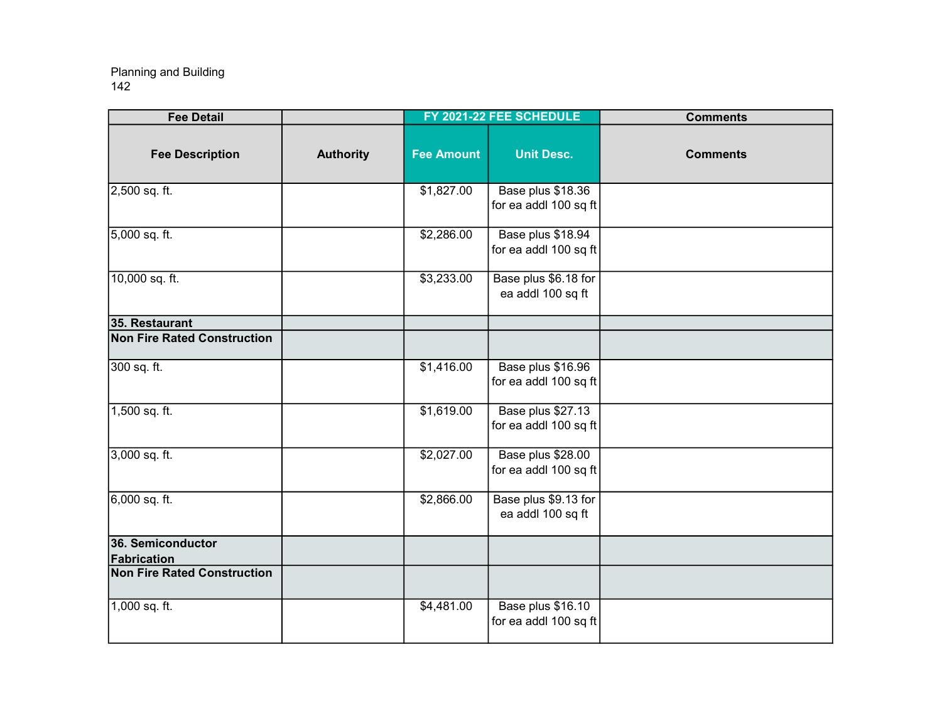| <b>Fee Detail</b>                  |                  |                   | FY 2021-22 FEE SCHEDULE                    | <b>Comments</b> |
|------------------------------------|------------------|-------------------|--------------------------------------------|-----------------|
| <b>Fee Description</b>             | <b>Authority</b> | <b>Fee Amount</b> | <b>Unit Desc.</b>                          | <b>Comments</b> |
| 2,500 sq. ft.                      |                  | \$1,827.00        | Base plus \$18.36<br>for ea addl 100 sq ft |                 |
| 5,000 sq. ft.                      |                  | \$2,286.00        | Base plus \$18.94<br>for ea addl 100 sq ft |                 |
| 10,000 sq. ft.                     |                  | \$3,233.00        | Base plus \$6.18 for<br>ea addl 100 sq ft  |                 |
| 35. Restaurant                     |                  |                   |                                            |                 |
| <b>Non Fire Rated Construction</b> |                  |                   |                                            |                 |
| $300$ sq. ft.                      |                  | \$1,416.00        | Base plus \$16.96<br>for ea addl 100 sq ft |                 |
| 1,500 sq. ft.                      |                  | \$1,619.00        | Base plus \$27.13<br>for ea addl 100 sq ft |                 |
| 3,000 sq. ft.                      |                  | \$2,027.00        | Base plus \$28.00<br>for ea addl 100 sq ft |                 |
| $6,000$ sq. ft.                    |                  | \$2,866.00        | Base plus \$9.13 for<br>ea addl 100 sq ft  |                 |
| 36. Semiconductor<br>Fabrication   |                  |                   |                                            |                 |
| <b>Non Fire Rated Construction</b> |                  |                   |                                            |                 |
| 1,000 sq. ft.                      |                  | \$4,481.00        | Base plus \$16.10<br>for ea addl 100 sq ft |                 |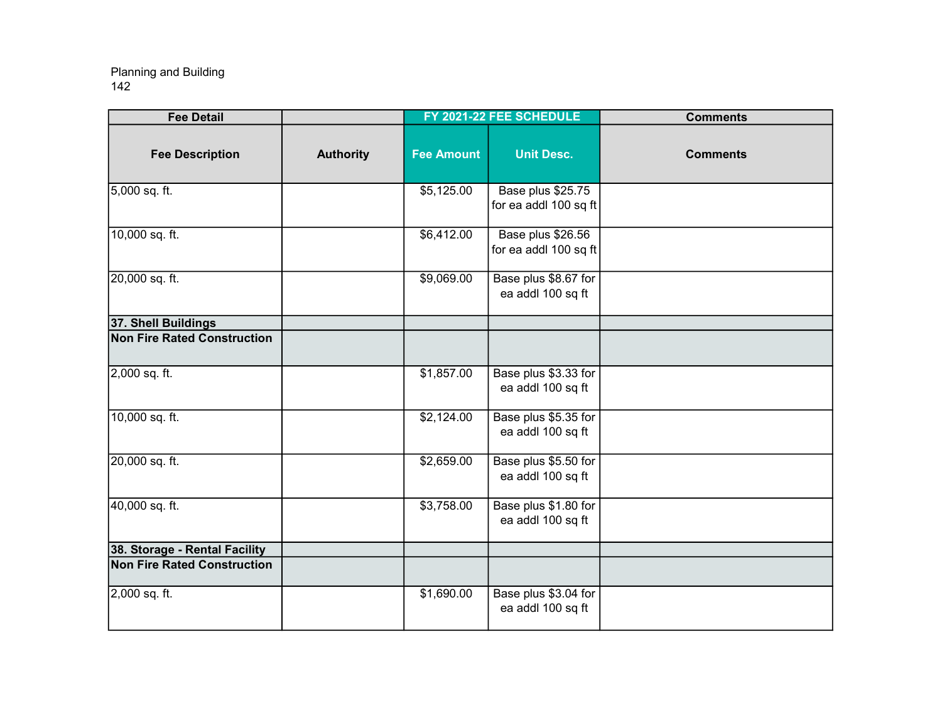| <b>Fee Detail</b>                  |                  |                   | FY 2021-22 FEE SCHEDULE                    | <b>Comments</b> |
|------------------------------------|------------------|-------------------|--------------------------------------------|-----------------|
| <b>Fee Description</b>             | <b>Authority</b> | <b>Fee Amount</b> | <b>Unit Desc.</b>                          | <b>Comments</b> |
| 5,000 sq. ft.                      |                  | \$5,125.00        | Base plus \$25.75<br>for ea addl 100 sq ft |                 |
| 10,000 sq. ft.                     |                  | \$6,412.00        | Base plus \$26.56<br>for ea addl 100 sq ft |                 |
| 20,000 sq. ft.                     |                  | \$9,069.00        | Base plus \$8.67 for<br>ea addl 100 sq ft  |                 |
| 37. Shell Buildings                |                  |                   |                                            |                 |
| <b>Non Fire Rated Construction</b> |                  |                   |                                            |                 |
| 2,000 sq. ft.                      |                  | \$1,857.00        | Base plus \$3.33 for<br>ea addl 100 sq ft  |                 |
| 10,000 sq. ft.                     |                  | \$2,124.00        | Base plus \$5.35 for<br>ea addl 100 sq ft  |                 |
| 20,000 sq. ft.                     |                  | \$2,659.00        | Base plus \$5.50 for<br>ea addl 100 sq ft  |                 |
| 40,000 sq. ft.                     |                  | \$3,758.00        | Base plus \$1.80 for<br>ea addl 100 sq ft  |                 |
| 38. Storage - Rental Facility      |                  |                   |                                            |                 |
| <b>Non Fire Rated Construction</b> |                  |                   |                                            |                 |
| 2,000 sq. ft.                      |                  | \$1,690.00        | Base plus \$3.04 for<br>ea addl 100 sq ft  |                 |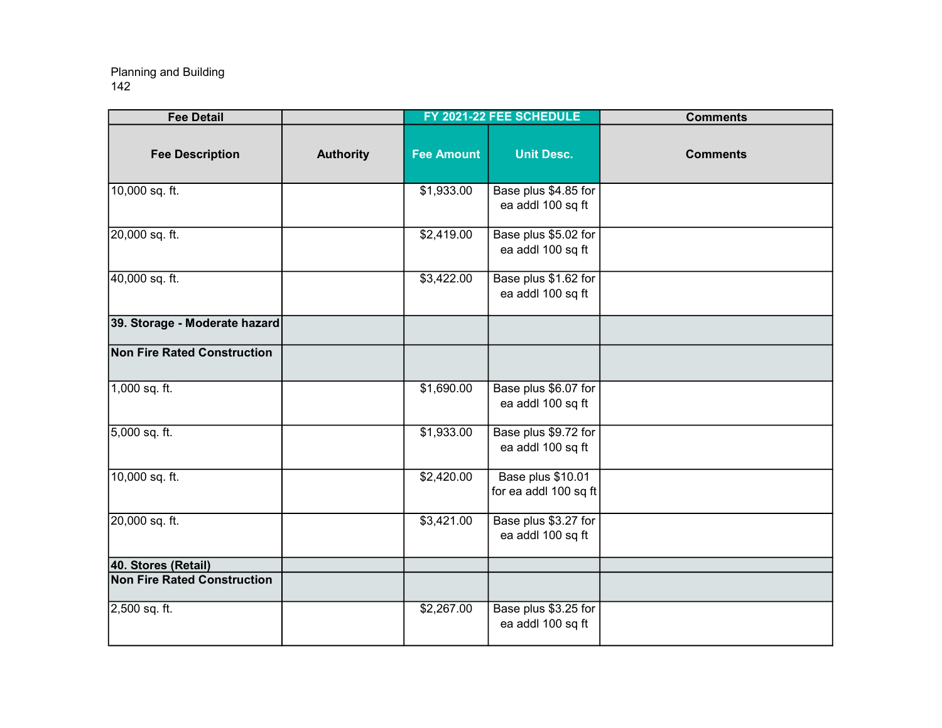| <b>Fee Detail</b>                  |                  |                   | FY 2021-22 FEE SCHEDULE                    | <b>Comments</b> |
|------------------------------------|------------------|-------------------|--------------------------------------------|-----------------|
| <b>Fee Description</b>             | <b>Authority</b> | <b>Fee Amount</b> | <b>Unit Desc.</b>                          | <b>Comments</b> |
| 10,000 sq. ft.                     |                  | \$1,933.00        | Base plus \$4.85 for<br>ea addl 100 sq ft  |                 |
| 20,000 sq. ft.                     |                  | \$2,419.00        | Base plus \$5.02 for<br>ea addl 100 sq ft  |                 |
| 40,000 sq. ft.                     |                  | \$3,422.00        | Base plus \$1.62 for<br>ea addl 100 sq ft  |                 |
| 39. Storage - Moderate hazard      |                  |                   |                                            |                 |
| <b>Non Fire Rated Construction</b> |                  |                   |                                            |                 |
| $1,000$ sq. ft.                    |                  | \$1,690.00        | Base plus \$6.07 for<br>ea addl 100 sq ft  |                 |
| 5,000 sq. ft.                      |                  | \$1,933.00        | Base plus \$9.72 for<br>ea addl 100 sq ft  |                 |
| 10,000 sq. ft.                     |                  | \$2,420.00        | Base plus \$10.01<br>for ea addl 100 sq ft |                 |
| 20,000 sq. ft.                     |                  | \$3,421.00        | Base plus \$3.27 for<br>ea addl 100 sq ft  |                 |
| 40. Stores (Retail)                |                  |                   |                                            |                 |
| <b>Non Fire Rated Construction</b> |                  |                   |                                            |                 |
| 2,500 sq. ft.                      |                  | \$2,267.00        | Base plus \$3.25 for<br>ea addl 100 sq ft  |                 |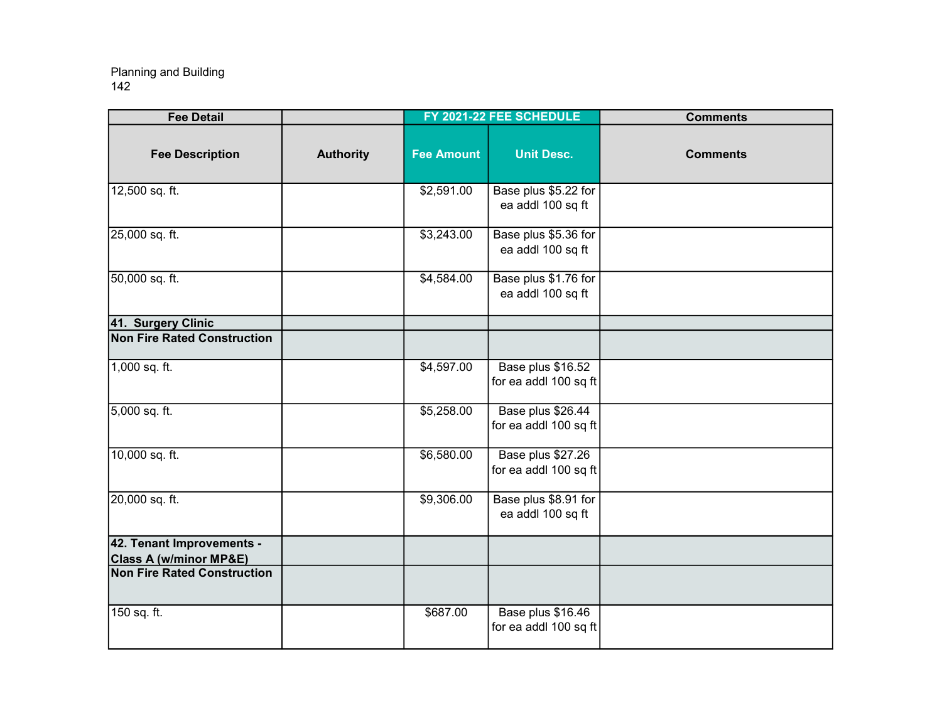| <b>Fee Detail</b>                                              |                  |                   | FY 2021-22 FEE SCHEDULE                    | <b>Comments</b> |
|----------------------------------------------------------------|------------------|-------------------|--------------------------------------------|-----------------|
| <b>Fee Description</b>                                         | <b>Authority</b> | <b>Fee Amount</b> | <b>Unit Desc.</b>                          | <b>Comments</b> |
| 12,500 sq. ft.                                                 |                  | \$2,591.00        | Base plus \$5.22 for<br>ea addl 100 sq ft  |                 |
| 25,000 sq. ft.                                                 |                  | \$3,243.00        | Base plus \$5.36 for<br>ea addl 100 sq ft  |                 |
| 50,000 sq. ft.                                                 |                  | \$4,584.00        | Base plus \$1.76 for<br>ea addl 100 sq ft  |                 |
| 41. Surgery Clinic                                             |                  |                   |                                            |                 |
| <b>Non Fire Rated Construction</b>                             |                  |                   |                                            |                 |
| 1,000 sq. ft.                                                  |                  | \$4,597.00        | Base plus \$16.52<br>for ea addl 100 sq ft |                 |
| 5,000 sq. ft.                                                  |                  | \$5,258.00        | Base plus \$26.44<br>for ea addl 100 sq ft |                 |
| 10,000 sq. ft.                                                 |                  | \$6,580.00        | Base plus \$27.26<br>for ea addl 100 sq ft |                 |
| 20,000 sq. ft.                                                 |                  | \$9,306.00        | Base plus \$8.91 for<br>ea addl 100 sq ft  |                 |
| 42. Tenant Improvements -<br><b>Class A (w/minor MP&amp;E)</b> |                  |                   |                                            |                 |
| <b>Non Fire Rated Construction</b>                             |                  |                   |                                            |                 |
| 150 sq. ft.                                                    |                  | \$687.00          | Base plus \$16.46<br>for ea addl 100 sq ft |                 |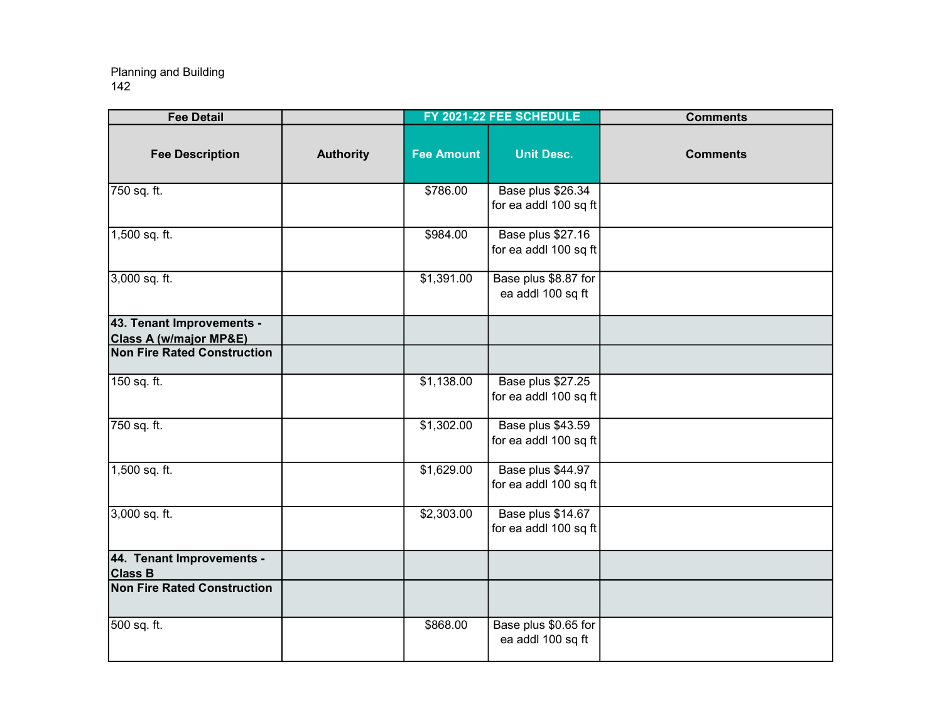| <b>Fee Detail</b>                                              |                  |                   | FY 2021-22 FEE SCHEDULE                    | <b>Comments</b> |
|----------------------------------------------------------------|------------------|-------------------|--------------------------------------------|-----------------|
| <b>Fee Description</b>                                         | <b>Authority</b> | <b>Fee Amount</b> | <b>Unit Desc.</b>                          | <b>Comments</b> |
| 750 sq. ft.                                                    |                  | \$786.00          | Base plus \$26.34<br>for ea addl 100 sq ft |                 |
| 1,500 sq. ft.                                                  |                  | \$984.00          | Base plus \$27.16<br>for ea addl 100 sq ft |                 |
| 3,000 sq. ft.                                                  |                  | \$1,391.00        | Base plus \$8.87 for<br>ea addl 100 sq ft  |                 |
| 43. Tenant Improvements -<br><b>Class A (w/major MP&amp;E)</b> |                  |                   |                                            |                 |
| <b>Non Fire Rated Construction</b>                             |                  |                   |                                            |                 |
| 150 sq. ft.                                                    |                  | \$1,138.00        | Base plus \$27.25<br>for ea addl 100 sq ft |                 |
| 750 sq. ft.                                                    |                  | \$1,302.00        | Base plus \$43.59<br>for ea addl 100 sq ft |                 |
| 1,500 sq. ft.                                                  |                  | \$1,629.00        | Base plus \$44.97<br>for ea addl 100 sq ft |                 |
| $3,000$ sq. ft.                                                |                  | \$2,303.00        | Base plus \$14.67<br>for ea addl 100 sq ft |                 |
| 44. Tenant Improvements -<br><b>Class B</b>                    |                  |                   |                                            |                 |
| <b>Non Fire Rated Construction</b>                             |                  |                   |                                            |                 |
| 500 sq. ft.                                                    |                  | \$868.00          | Base plus \$0.65 for<br>ea addl 100 sq ft  |                 |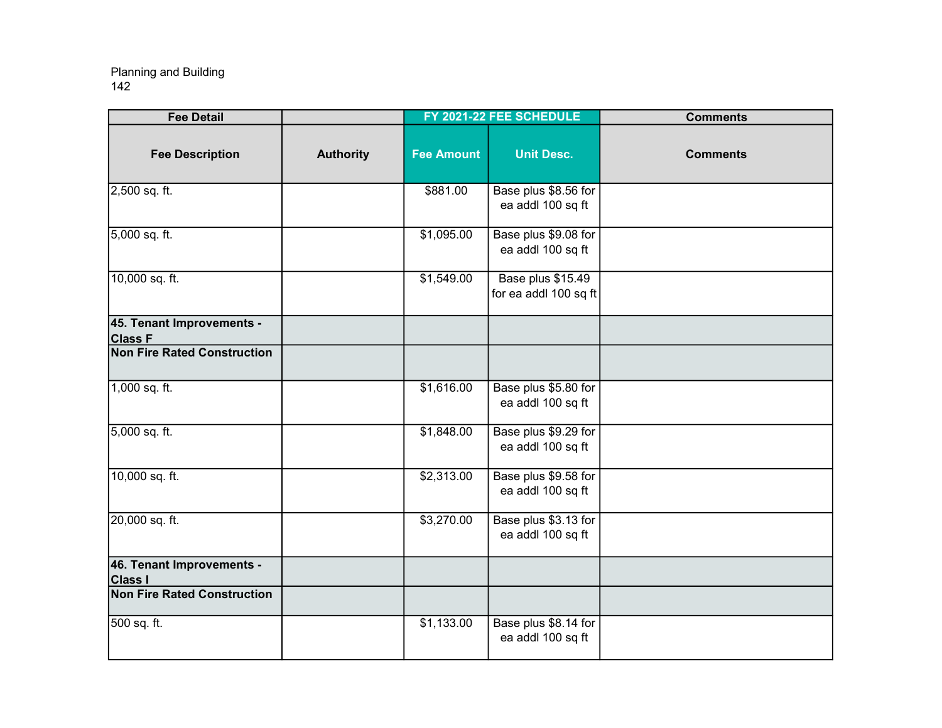| <b>Fee Detail</b>                                    |                  |                   | FY 2021-22 FEE SCHEDULE                    | <b>Comments</b> |
|------------------------------------------------------|------------------|-------------------|--------------------------------------------|-----------------|
| <b>Fee Description</b>                               | <b>Authority</b> | <b>Fee Amount</b> | <b>Unit Desc.</b>                          | <b>Comments</b> |
| 2,500 sq. ft.                                        |                  | \$881.00          | Base plus \$8.56 for<br>ea addl 100 sq ft  |                 |
| 5,000 sq. ft.                                        |                  | \$1,095.00        | Base plus \$9.08 for<br>ea addl 100 sq ft  |                 |
| 10,000 sq. ft.                                       |                  | \$1,549.00        | Base plus \$15.49<br>for ea addl 100 sq ft |                 |
| 45. Tenant Improvements -<br><b>Class F</b>          |                  |                   |                                            |                 |
| <b>Non Fire Rated Construction</b>                   |                  |                   |                                            |                 |
| 1,000 sq. ft.                                        |                  | \$1,616.00        | Base plus \$5.80 for<br>ea addl 100 sq ft  |                 |
| 5,000 sq. ft.                                        |                  | \$1,848.00        | Base plus \$9.29 for<br>ea addl 100 sq ft  |                 |
| 10,000 sq. ft.                                       |                  | \$2,313.00        | Base plus \$9.58 for<br>ea addl 100 sq ft  |                 |
| 20,000 sq. ft.                                       |                  | \$3,270.00        | Base plus \$3.13 for<br>ea addl 100 sq ft  |                 |
| 46. Tenant Improvements -                            |                  |                   |                                            |                 |
| <b>Class I</b><br><b>Non Fire Rated Construction</b> |                  |                   |                                            |                 |
| 500 sq. ft.                                          |                  | \$1,133.00        | Base plus \$8.14 for<br>ea addl 100 sq ft  |                 |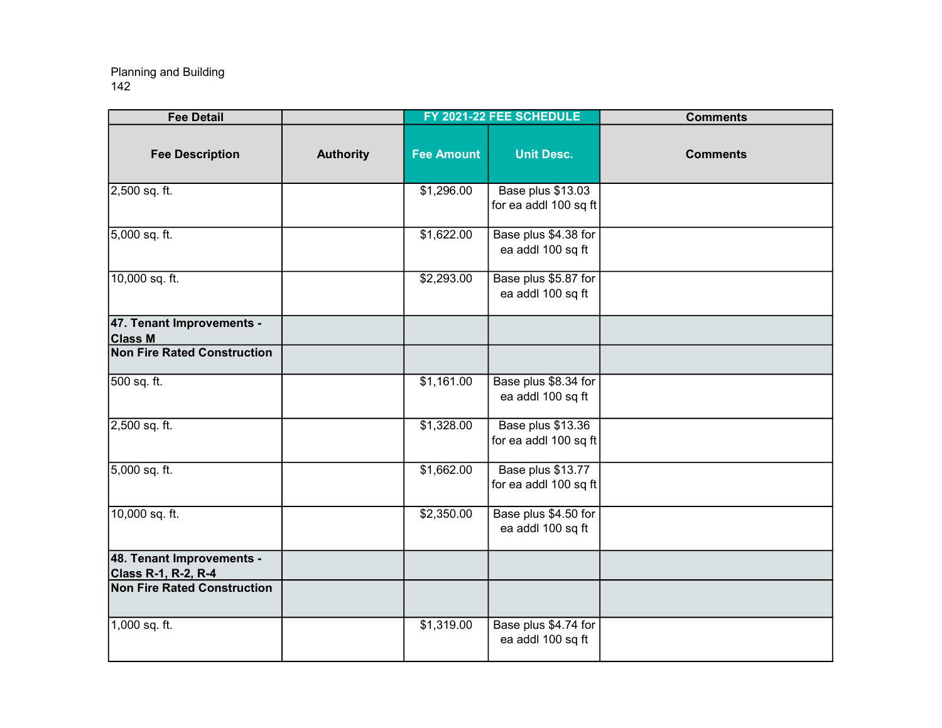| <b>Fee Detail</b>                                       |                  |                   | FY 2021-22 FEE SCHEDULE                    | <b>Comments</b> |
|---------------------------------------------------------|------------------|-------------------|--------------------------------------------|-----------------|
| <b>Fee Description</b>                                  | <b>Authority</b> | <b>Fee Amount</b> | <b>Unit Desc.</b>                          | <b>Comments</b> |
| 2,500 sq. ft.                                           |                  | \$1,296.00        | Base plus \$13.03<br>for ea addl 100 sq ft |                 |
| 5,000 sq. ft.                                           |                  | \$1,622.00        | Base plus \$4.38 for<br>ea addl 100 sq ft  |                 |
| 10,000 sq. ft.                                          |                  | \$2,293.00        | Base plus \$5.87 for<br>ea addl 100 sq ft  |                 |
| 47. Tenant Improvements -<br><b>Class M</b>             |                  |                   |                                            |                 |
| <b>Non Fire Rated Construction</b>                      |                  |                   |                                            |                 |
| 500 sq. ft.                                             |                  | \$1,161.00        | Base plus \$8.34 for<br>ea addl 100 sq ft  |                 |
| 2,500 sq. ft.                                           |                  | \$1,328.00        | Base plus \$13.36<br>for ea addl 100 sq ft |                 |
| 5,000 sq. ft.                                           |                  | \$1,662.00        | Base plus \$13.77<br>for ea addl 100 sq ft |                 |
| 10,000 sq. ft.                                          |                  | \$2,350.00        | Base plus \$4.50 for<br>ea addl 100 sq ft  |                 |
| 48. Tenant Improvements -<br><b>Class R-1, R-2, R-4</b> |                  |                   |                                            |                 |
| <b>Non Fire Rated Construction</b>                      |                  |                   |                                            |                 |
| 1,000 sq. ft.                                           |                  | \$1,319.00        | Base plus \$4.74 for<br>ea addl 100 sq ft  |                 |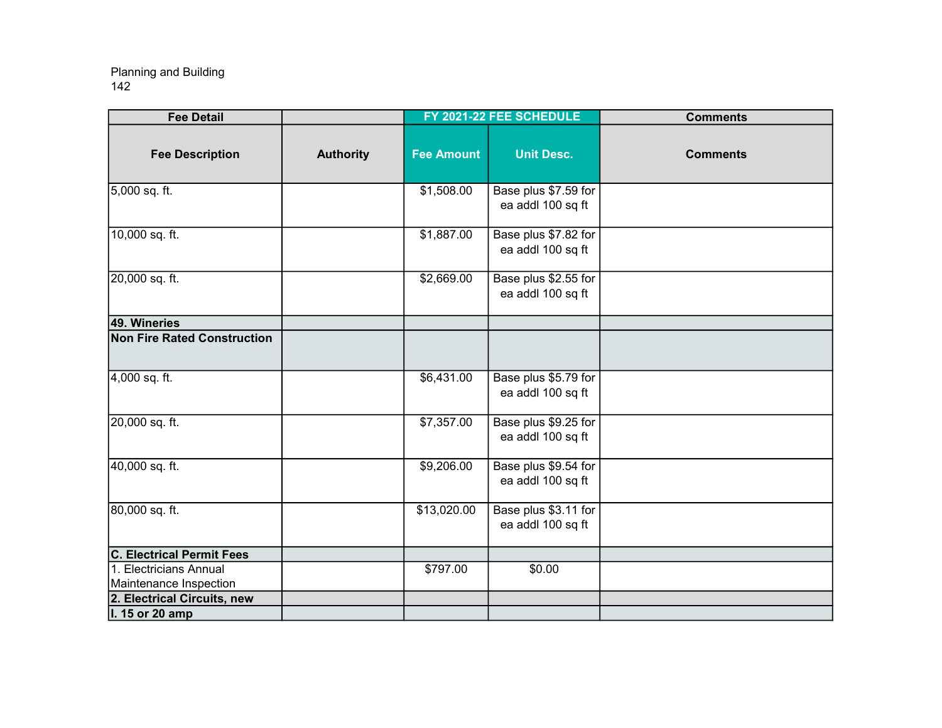| <b>Fee Detail</b>                  |                  |                   | FY 2021-22 FEE SCHEDULE                   | <b>Comments</b> |
|------------------------------------|------------------|-------------------|-------------------------------------------|-----------------|
| <b>Fee Description</b>             | <b>Authority</b> | <b>Fee Amount</b> | <b>Unit Desc.</b>                         | <b>Comments</b> |
| 5,000 sq. ft.                      |                  | \$1,508.00        | Base plus \$7.59 for<br>ea addl 100 sq ft |                 |
| 10,000 sq. ft.                     |                  | \$1,887.00        | Base plus \$7.82 for<br>ea addl 100 sq ft |                 |
| 20,000 sq. ft.                     |                  | \$2,669.00        | Base plus \$2.55 for<br>ea addl 100 sq ft |                 |
| 49. Wineries                       |                  |                   |                                           |                 |
| <b>Non Fire Rated Construction</b> |                  |                   |                                           |                 |
| 4,000 sq. ft.                      |                  | \$6,431.00        | Base plus \$5.79 for<br>ea addl 100 sq ft |                 |
| 20,000 sq. ft.                     |                  | \$7,357.00        | Base plus \$9.25 for<br>ea addl 100 sq ft |                 |
| 40,000 sq. ft.                     |                  | \$9,206.00        | Base plus \$9.54 for<br>ea addl 100 sq ft |                 |
| 80,000 sq. ft.                     |                  | \$13,020.00       | Base plus \$3.11 for<br>ea addl 100 sq ft |                 |
| <b>C. Electrical Permit Fees</b>   |                  |                   |                                           |                 |
| 1. Electricians Annual             |                  | \$797.00          | \$0.00                                    |                 |
| Maintenance Inspection             |                  |                   |                                           |                 |
| 2. Electrical Circuits, new        |                  |                   |                                           |                 |
| I. 15 or 20 amp                    |                  |                   |                                           |                 |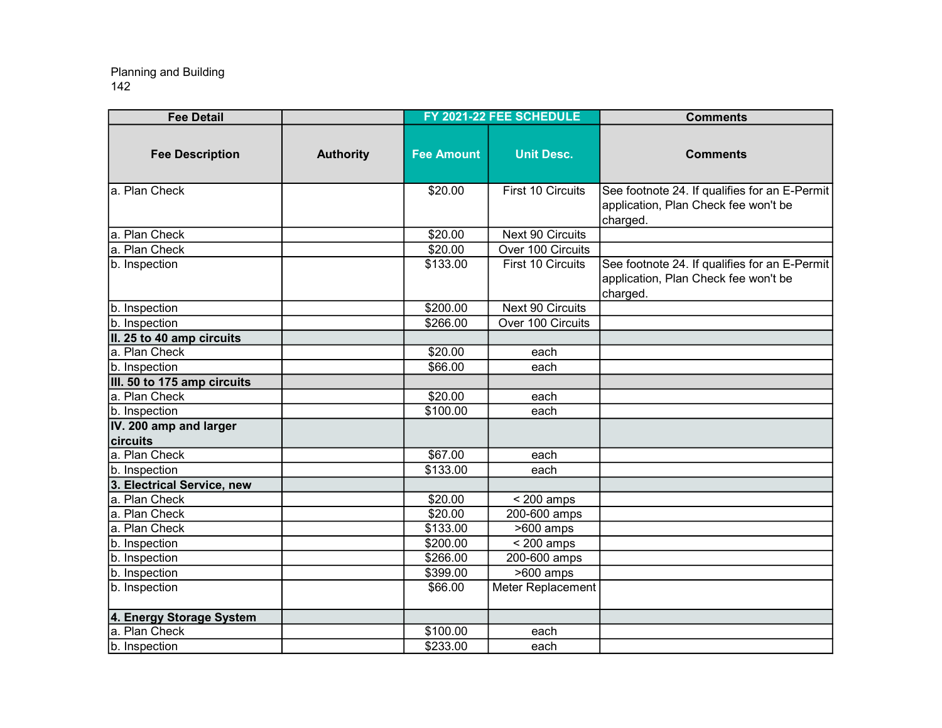| <b>Fee Detail</b>                  |                  |                   | FY 2021-22 FEE SCHEDULE  | <b>Comments</b>                                                                                   |
|------------------------------------|------------------|-------------------|--------------------------|---------------------------------------------------------------------------------------------------|
| <b>Fee Description</b>             | <b>Authority</b> | <b>Fee Amount</b> | <b>Unit Desc.</b>        | <b>Comments</b>                                                                                   |
| a. Plan Check                      |                  | \$20.00           | First 10 Circuits        | See footnote 24. If qualifies for an E-Permit<br>application, Plan Check fee won't be<br>charged. |
| a. Plan Check                      |                  | \$20.00           | Next 90 Circuits         |                                                                                                   |
| a. Plan Check                      |                  | \$20.00           | Over 100 Circuits        |                                                                                                   |
| b. Inspection                      |                  | \$133.00          | <b>First 10 Circuits</b> | See footnote 24. If qualifies for an E-Permit<br>application, Plan Check fee won't be<br>charged. |
| b. Inspection                      |                  | \$200.00          | Next 90 Circuits         |                                                                                                   |
| b. Inspection                      |                  | \$266.00          | Over 100 Circuits        |                                                                                                   |
| II. 25 to 40 amp circuits          |                  |                   |                          |                                                                                                   |
| a. Plan Check                      |                  | \$20.00           | each                     |                                                                                                   |
| b. Inspection                      |                  | \$66.00           | each                     |                                                                                                   |
| III. 50 to 175 amp circuits        |                  |                   |                          |                                                                                                   |
| a. Plan Check                      |                  | \$20.00           | each                     |                                                                                                   |
| b. Inspection                      |                  | \$100.00          | each                     |                                                                                                   |
| IV. 200 amp and larger<br>circuits |                  |                   |                          |                                                                                                   |
| a. Plan Check                      |                  | \$67.00           | each                     |                                                                                                   |
| b. Inspection                      |                  | \$133.00          | each                     |                                                                                                   |
| 3. Electrical Service, new         |                  |                   |                          |                                                                                                   |
| a. Plan Check                      |                  | \$20.00           | $<$ 200 amps             |                                                                                                   |
| a. Plan Check                      |                  | \$20.00           | 200-600 amps             |                                                                                                   |
| a. Plan Check                      |                  | \$133.00          | $>600$ amps              |                                                                                                   |
| b. Inspection                      |                  | \$200.00          | $<$ 200 amps             |                                                                                                   |
| b. Inspection                      |                  | \$266.00          | 200-600 amps             |                                                                                                   |
| b. Inspection                      |                  | \$399.00          | $5600$ amps              |                                                                                                   |
| b. Inspection                      |                  | \$66.00           | Meter Replacement        |                                                                                                   |
| 4. Energy Storage System           |                  |                   |                          |                                                                                                   |
| a. Plan Check                      |                  | \$100.00          | each                     |                                                                                                   |
| b. Inspection                      |                  | \$233.00          | each                     |                                                                                                   |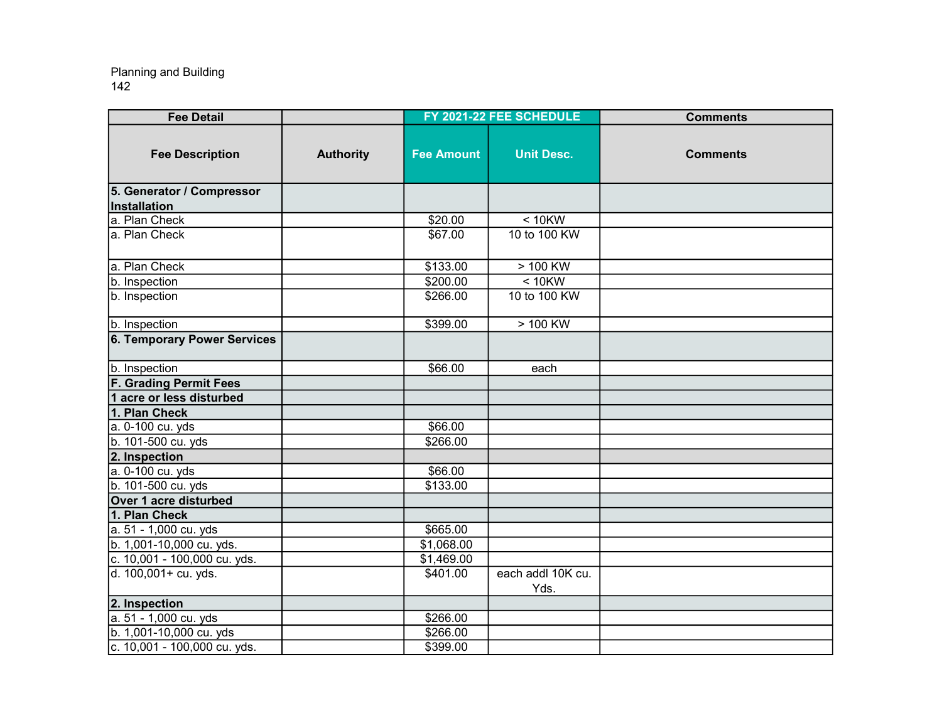| <b>Fee Detail</b>                  |                  |                   | FY 2021-22 FEE SCHEDULE   | <b>Comments</b> |
|------------------------------------|------------------|-------------------|---------------------------|-----------------|
| <b>Fee Description</b>             | <b>Authority</b> | <b>Fee Amount</b> | <b>Unit Desc.</b>         | <b>Comments</b> |
| 5. Generator / Compressor          |                  |                   |                           |                 |
| Installation                       |                  |                   |                           |                 |
| a. Plan Check                      |                  | \$20.00           | $< 10$ KW                 |                 |
| a. Plan Check                      |                  | \$67.00           | 10 to 100 KW              |                 |
| a. Plan Check                      |                  | \$133.00          | > 100 KW                  |                 |
| b. Inspection                      |                  | \$200.00          | $< 10$ KW                 |                 |
| b. Inspection                      |                  | \$266.00          | 10 to 100 KW              |                 |
| b. Inspection                      |                  | \$399.00          | $> 100$ KW                |                 |
| <b>6. Temporary Power Services</b> |                  |                   |                           |                 |
| b. Inspection                      |                  | \$66.00           | each                      |                 |
| <b>F. Grading Permit Fees</b>      |                  |                   |                           |                 |
| 1 acre or less disturbed           |                  |                   |                           |                 |
| 1. Plan Check                      |                  |                   |                           |                 |
| a. 0-100 cu. yds                   |                  | \$66.00           |                           |                 |
| b. 101-500 cu. yds                 |                  | \$266.00          |                           |                 |
| 2. Inspection                      |                  |                   |                           |                 |
| a. 0-100 cu. yds                   |                  | \$66.00           |                           |                 |
| b. 101-500 cu. yds                 |                  | \$133.00          |                           |                 |
| Over 1 acre disturbed              |                  |                   |                           |                 |
| 1. Plan Check                      |                  |                   |                           |                 |
| a. 51 - 1,000 cu. yds              |                  | \$665.00          |                           |                 |
| b. 1,001-10,000 cu. yds.           |                  | \$1,068.00        |                           |                 |
| c. 10,001 - 100,000 cu. yds.       |                  | \$1,469.00        |                           |                 |
| d. 100,001+ cu. yds.               |                  | \$401.00          | each addl 10K cu.<br>Yds. |                 |
| 2. Inspection                      |                  |                   |                           |                 |
| a. 51 - 1,000 cu. yds              |                  | \$266.00          |                           |                 |
| b. 1,001-10,000 cu. yds            |                  | \$266.00          |                           |                 |
| c. 10,001 - 100,000 cu. yds.       |                  | \$399.00          |                           |                 |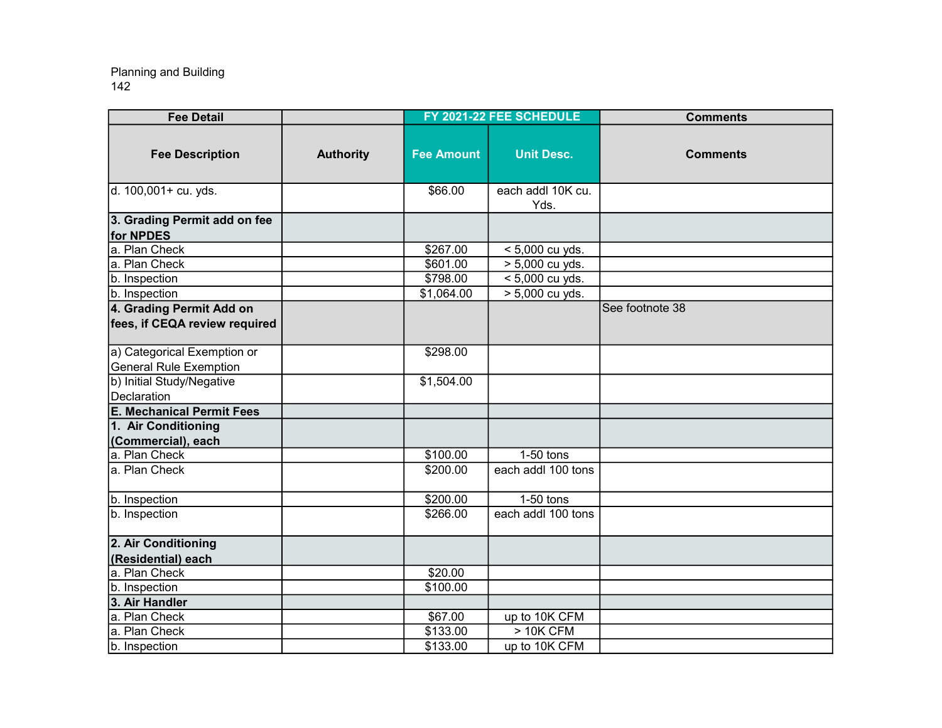| <b>Fee Detail</b>                                            |                  |                         | FY 2021-22 FEE SCHEDULE   | <b>Comments</b> |
|--------------------------------------------------------------|------------------|-------------------------|---------------------------|-----------------|
| <b>Fee Description</b>                                       | <b>Authority</b> | <b>Fee Amount</b>       | <b>Unit Desc.</b>         | <b>Comments</b> |
| d. 100,001+ cu. yds.                                         |                  | \$66.00                 | each addl 10K cu.<br>Yds. |                 |
| 3. Grading Permit add on fee<br>for NPDES                    |                  |                         |                           |                 |
| a. Plan Check                                                |                  | \$267.00                | $< 5,000$ cu yds.         |                 |
| a. Plan Check                                                |                  | \$601.00                | > 5,000 cu yds.           |                 |
| b. Inspection                                                |                  | \$798.00                | < 5,000 cu yds.           |                 |
| b. Inspection                                                |                  | \$1,064.00              | > 5,000 cu yds.           |                 |
| 4. Grading Permit Add on<br>fees, if CEQA review required    |                  |                         |                           | See footnote 38 |
| a) Categorical Exemption or<br><b>General Rule Exemption</b> |                  | \$298.00                |                           |                 |
| b) Initial Study/Negative<br>Declaration                     |                  | $\overline{\$1,504.00}$ |                           |                 |
| <b>E. Mechanical Permit Fees</b>                             |                  |                         |                           |                 |
| 1. Air Conditioning<br>(Commercial), each                    |                  |                         |                           |                 |
| a. Plan Check                                                |                  | \$100.00                | $1-50$ tons               |                 |
| a. Plan Check                                                |                  | $\overline{$}200.00$    | each addl 100 tons        |                 |
| b. Inspection                                                |                  | \$200.00                | $1-50$ tons               |                 |
| b. Inspection                                                |                  | \$266.00                | each addl 100 tons        |                 |
| 2. Air Conditioning                                          |                  |                         |                           |                 |
| (Residential) each<br>a. Plan Check                          |                  | \$20.00                 |                           |                 |
| b. Inspection                                                |                  | \$100.00                |                           |                 |
| 3. Air Handler                                               |                  |                         |                           |                 |
| a. Plan Check                                                |                  | \$67.00                 | up to 10K CFM             |                 |
| a. Plan Check                                                |                  | \$133.00                | $>10K$ CFM                |                 |
| b. Inspection                                                |                  | \$133.00                | up to 10K CFM             |                 |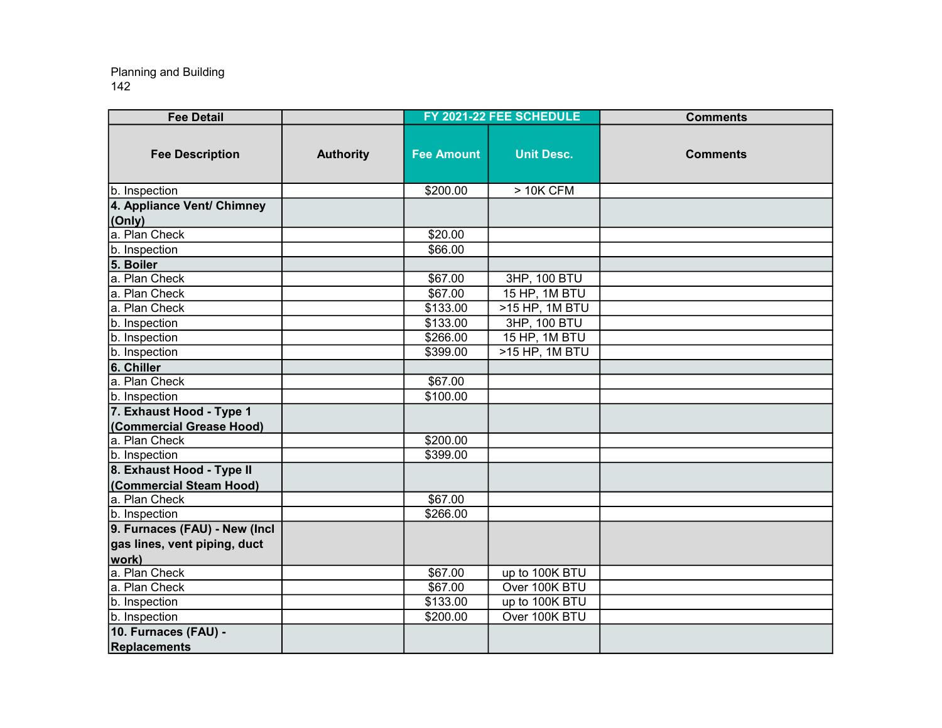| <b>Fee Detail</b>             |                  |                     | FY 2021-22 FEE SCHEDULE | <b>Comments</b> |
|-------------------------------|------------------|---------------------|-------------------------|-----------------|
| <b>Fee Description</b>        | <b>Authority</b> | <b>Fee Amount</b>   | <b>Unit Desc.</b>       | <b>Comments</b> |
| b. Inspection                 |                  | \$200.00            | $>10K$ CFM              |                 |
| 4. Appliance Vent/ Chimney    |                  |                     |                         |                 |
| (Only)                        |                  |                     |                         |                 |
| a. Plan Check                 |                  | \$20.00             |                         |                 |
| b. Inspection                 |                  | \$66.00             |                         |                 |
| 5. Boiler                     |                  |                     |                         |                 |
| a. Plan Check                 |                  | \$67.00             | 3HP, 100 BTU            |                 |
| a. Plan Check                 |                  | \$67.00             | 15 HP, 1M BTU           |                 |
| a. Plan Check                 |                  | \$133.00            | >15 HP, 1M BTU          |                 |
| b. Inspection                 |                  | \$133.00            | 3HP, 100 BTU            |                 |
| b. Inspection                 |                  | \$266.00            | 15 HP, 1M BTU           |                 |
| b. Inspection                 |                  | \$399.00            | >15 HP, 1M BTU          |                 |
| 6. Chiller                    |                  |                     |                         |                 |
| a. Plan Check                 |                  | \$67.00             |                         |                 |
| b. Inspection                 |                  | \$100.00            |                         |                 |
| 7. Exhaust Hood - Type 1      |                  |                     |                         |                 |
| (Commercial Grease Hood)      |                  |                     |                         |                 |
| a. Plan Check                 |                  | \$200.00            |                         |                 |
| b. Inspection                 |                  | \$399.00            |                         |                 |
| 8. Exhaust Hood - Type II     |                  |                     |                         |                 |
| (Commercial Steam Hood)       |                  |                     |                         |                 |
| a. Plan Check                 |                  | \$67.00             |                         |                 |
| b. Inspection                 |                  | \$266.00            |                         |                 |
| 9. Furnaces (FAU) - New (Incl |                  |                     |                         |                 |
| gas lines, vent piping, duct  |                  |                     |                         |                 |
| work)                         |                  |                     |                         |                 |
| a. Plan Check                 |                  | \$67.00             | up to 100K BTU          |                 |
| a. Plan Check                 |                  | $\overline{$67.00}$ | Over 100K BTU           |                 |
| b. Inspection                 |                  | \$133.00            | up to 100K BTU          |                 |
| b. Inspection                 |                  | \$200.00            | Over 100K BTU           |                 |
| 10. Furnaces (FAU) -          |                  |                     |                         |                 |
| Replacements                  |                  |                     |                         |                 |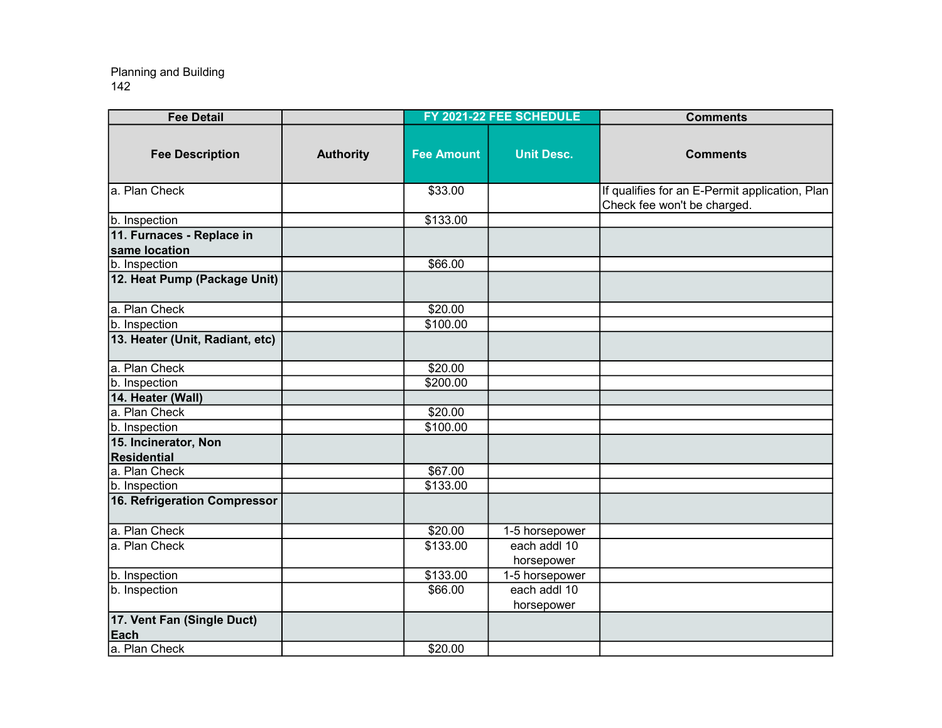| <b>Fee Detail</b>                          |                  |                   | FY 2021-22 FEE SCHEDULE    | <b>Comments</b>                                                               |
|--------------------------------------------|------------------|-------------------|----------------------------|-------------------------------------------------------------------------------|
| <b>Fee Description</b>                     | <b>Authority</b> | <b>Fee Amount</b> | <b>Unit Desc.</b>          | <b>Comments</b>                                                               |
| a. Plan Check                              |                  | \$33.00           |                            | If qualifies for an E-Permit application, Plan<br>Check fee won't be charged. |
| b. Inspection                              |                  | \$133.00          |                            |                                                                               |
| 11. Furnaces - Replace in<br>same location |                  |                   |                            |                                                                               |
| b. Inspection                              |                  | \$66.00           |                            |                                                                               |
| 12. Heat Pump (Package Unit)               |                  |                   |                            |                                                                               |
| a. Plan Check                              |                  | \$20.00           |                            |                                                                               |
| b. Inspection                              |                  | \$100.00          |                            |                                                                               |
| 13. Heater (Unit, Radiant, etc)            |                  |                   |                            |                                                                               |
| a. Plan Check                              |                  | \$20.00           |                            |                                                                               |
| b. Inspection                              |                  | \$200.00          |                            |                                                                               |
| 14. Heater (Wall)                          |                  |                   |                            |                                                                               |
| a. Plan Check                              |                  | \$20.00           |                            |                                                                               |
| b. Inspection                              |                  | \$100.00          |                            |                                                                               |
| 15. Incinerator, Non                       |                  |                   |                            |                                                                               |
| Residential                                |                  |                   |                            |                                                                               |
| a. Plan Check                              |                  | \$67.00           |                            |                                                                               |
| b. Inspection                              |                  | \$133.00          |                            |                                                                               |
| 16. Refrigeration Compressor               |                  |                   |                            |                                                                               |
| a. Plan Check                              |                  | \$20.00           | 1-5 horsepower             |                                                                               |
| a. Plan Check                              |                  | \$133.00          | each addl 10<br>horsepower |                                                                               |
| b. Inspection                              |                  | \$133.00          | 1-5 horsepower             |                                                                               |
| b. Inspection                              |                  | \$66.00           | each addl 10<br>horsepower |                                                                               |
| 17. Vent Fan (Single Duct)<br>Each         |                  |                   |                            |                                                                               |
| a. Plan Check                              |                  | \$20.00           |                            |                                                                               |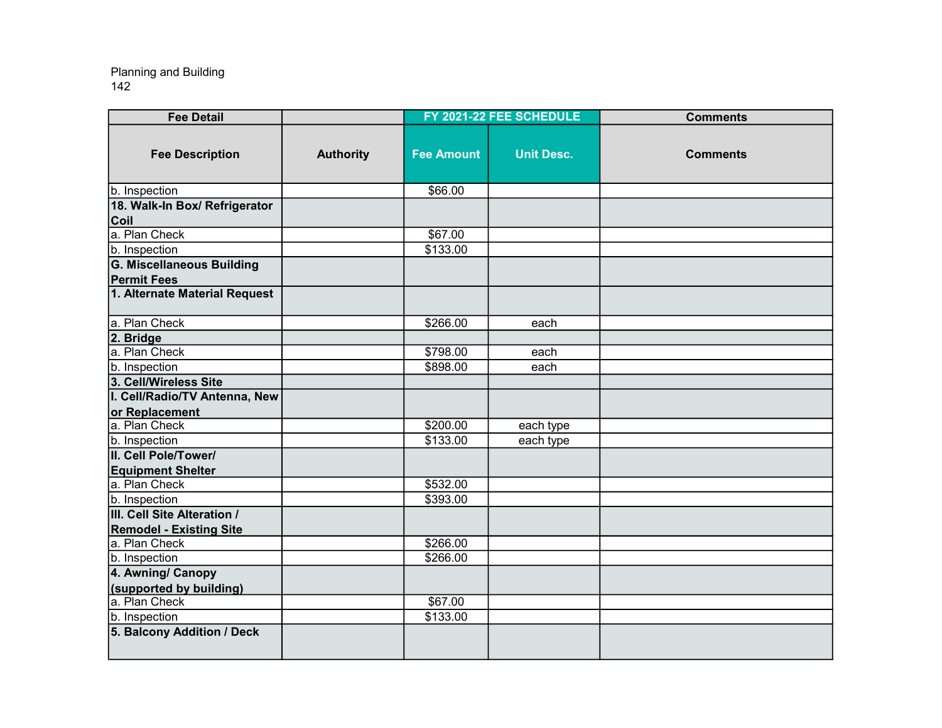| <b>Fee Detail</b>                |                  |                   | FY 2021-22 FEE SCHEDULE | <b>Comments</b> |
|----------------------------------|------------------|-------------------|-------------------------|-----------------|
| <b>Fee Description</b>           | <b>Authority</b> | <b>Fee Amount</b> | <b>Unit Desc.</b>       | <b>Comments</b> |
| b. Inspection                    |                  | \$66.00           |                         |                 |
| 18. Walk-In Box/ Refrigerator    |                  |                   |                         |                 |
| Coil                             |                  |                   |                         |                 |
| a. Plan Check                    |                  | \$67.00           |                         |                 |
| b. Inspection                    |                  | \$133.00          |                         |                 |
| <b>G. Miscellaneous Building</b> |                  |                   |                         |                 |
| <b>Permit Fees</b>               |                  |                   |                         |                 |
| 1. Alternate Material Request    |                  |                   |                         |                 |
| a. Plan Check                    |                  | \$266.00          | each                    |                 |
| 2. Bridge                        |                  |                   |                         |                 |
| a. Plan Check                    |                  | \$798.00          | each                    |                 |
| b. Inspection                    |                  | \$898.00          | each                    |                 |
| 3. Cell/Wireless Site            |                  |                   |                         |                 |
| I. Cell/Radio/TV Antenna, New    |                  |                   |                         |                 |
| or Replacement                   |                  |                   |                         |                 |
| a. Plan Check                    |                  | \$200.00          | each type               |                 |
| b. Inspection                    |                  | \$133.00          | each type               |                 |
| II. Cell Pole/Tower/             |                  |                   |                         |                 |
| <b>Equipment Shelter</b>         |                  |                   |                         |                 |
| a. Plan Check                    |                  | \$532.00          |                         |                 |
| b. Inspection                    |                  | \$393.00          |                         |                 |
| III. Cell Site Alteration /      |                  |                   |                         |                 |
| <b>Remodel - Existing Site</b>   |                  |                   |                         |                 |
| a. Plan Check                    |                  | \$266.00          |                         |                 |
| b. Inspection                    |                  | \$266.00          |                         |                 |
| 4. Awning/ Canopy                |                  |                   |                         |                 |
| (supported by building)          |                  |                   |                         |                 |
| a. Plan Check                    |                  | \$67.00           |                         |                 |
| b. Inspection                    |                  | \$133.00          |                         |                 |
| 5. Balcony Addition / Deck       |                  |                   |                         |                 |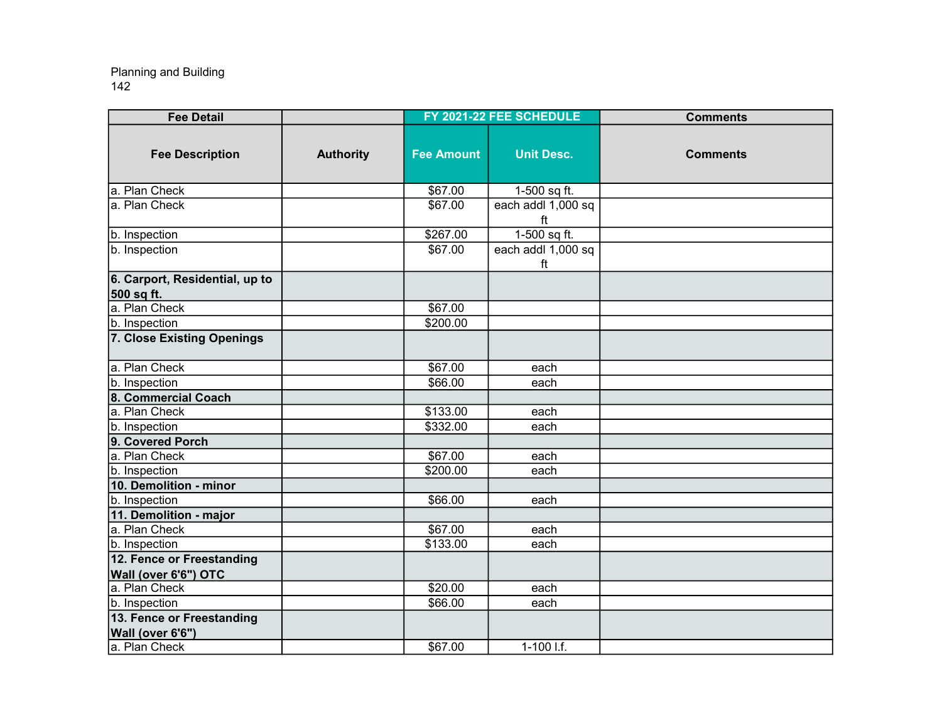| <b>Fee Detail</b>                            |                  |                   | FY 2021-22 FEE SCHEDULE  | <b>Comments</b> |
|----------------------------------------------|------------------|-------------------|--------------------------|-----------------|
| <b>Fee Description</b>                       | <b>Authority</b> | <b>Fee Amount</b> | <b>Unit Desc.</b>        | <b>Comments</b> |
| a. Plan Check                                |                  | \$67.00           | 1-500 sq ft.             |                 |
| a. Plan Check                                |                  | \$67.00           | each addl 1,000 sq<br>ft |                 |
| b. Inspection                                |                  | \$267.00          | $1-500$ sq ft.           |                 |
| b. Inspection                                |                  | \$67.00           | each addl 1,000 sq<br>ft |                 |
| 6. Carport, Residential, up to<br>500 sq ft. |                  |                   |                          |                 |
| a. Plan Check                                |                  | \$67.00           |                          |                 |
| b. Inspection                                |                  | \$200.00          |                          |                 |
| 7. Close Existing Openings                   |                  |                   |                          |                 |
| a. Plan Check                                |                  | \$67.00           | each                     |                 |
| b. Inspection                                |                  | \$66.00           | each                     |                 |
| 8. Commercial Coach                          |                  |                   |                          |                 |
| a. Plan Check                                |                  | \$133.00          | each                     |                 |
| b. Inspection                                |                  | \$332.00          | each                     |                 |
| 9. Covered Porch                             |                  |                   |                          |                 |
| a. Plan Check                                |                  | \$67.00           | each                     |                 |
| b. Inspection                                |                  | \$200.00          | each                     |                 |
| 10. Demolition - minor                       |                  |                   |                          |                 |
| b. Inspection                                |                  | \$66.00           | each                     |                 |
| 11. Demolition - major                       |                  |                   |                          |                 |
| a. Plan Check                                |                  | \$67.00           | each                     |                 |
| b. Inspection                                |                  | \$133.00          | each                     |                 |
| 12. Fence or Freestanding                    |                  |                   |                          |                 |
| Wall (over 6'6") OTC                         |                  |                   |                          |                 |
| a. Plan Check                                |                  | \$20.00           | each                     |                 |
| b. Inspection                                |                  | \$66.00           | each                     |                 |
| 13. Fence or Freestanding                    |                  |                   |                          |                 |
| Wall (over 6'6")                             |                  |                   |                          |                 |
| a. Plan Check                                |                  | \$67.00           | $1-100$ I.f.             |                 |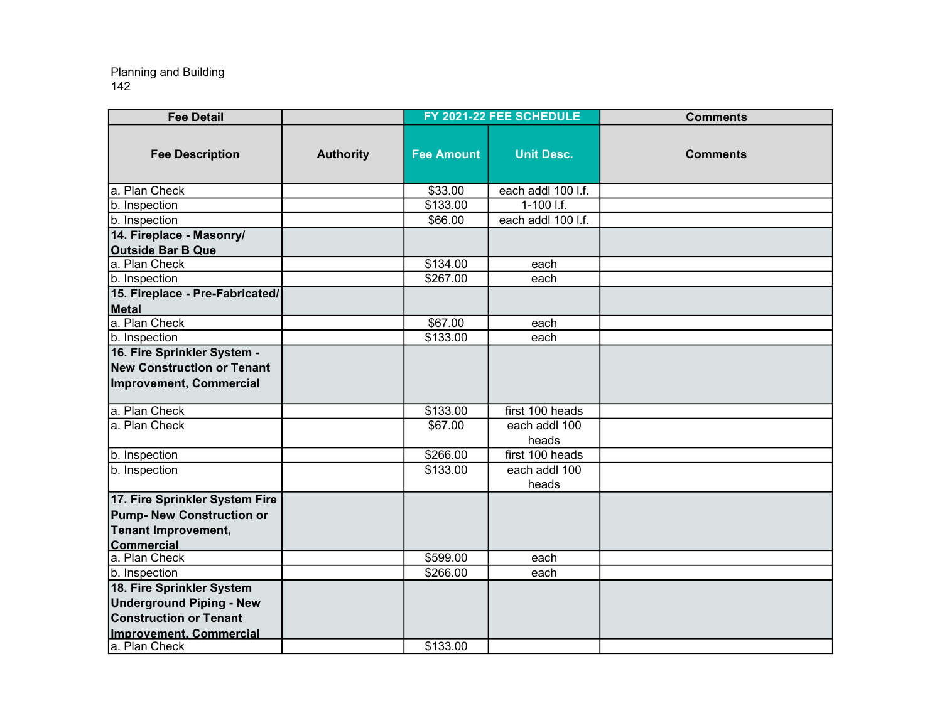| <b>Fee Detail</b>                                                                                                               |                  |                   | FY 2021-22 FEE SCHEDULE | <b>Comments</b> |
|---------------------------------------------------------------------------------------------------------------------------------|------------------|-------------------|-------------------------|-----------------|
| <b>Fee Description</b>                                                                                                          | <b>Authority</b> | <b>Fee Amount</b> | <b>Unit Desc.</b>       | <b>Comments</b> |
| a. Plan Check                                                                                                                   |                  | \$33.00           | each addl 100 l.f.      |                 |
| b. Inspection                                                                                                                   |                  | \$133.00          | 1-100 l.f.              |                 |
| b. Inspection                                                                                                                   |                  | \$66.00           | each addl 100 l.f.      |                 |
| 14. Fireplace - Masonry/<br><b>Outside Bar B Que</b>                                                                            |                  |                   |                         |                 |
| a. Plan Check                                                                                                                   |                  | \$134.00          | each                    |                 |
| b. Inspection                                                                                                                   |                  | \$267.00          | each                    |                 |
| 15. Fireplace - Pre-Fabricated/<br>Metal                                                                                        |                  |                   |                         |                 |
| a. Plan Check                                                                                                                   |                  | \$67.00           | each                    |                 |
| b. Inspection                                                                                                                   |                  | \$133.00          | each                    |                 |
| 16. Fire Sprinkler System -<br><b>New Construction or Tenant</b><br>Improvement, Commercial                                     |                  |                   |                         |                 |
| a. Plan Check                                                                                                                   |                  | \$133.00          | first 100 heads         |                 |
| a. Plan Check                                                                                                                   |                  | \$67.00           | each addl 100<br>heads  |                 |
| b. Inspection                                                                                                                   |                  | \$266.00          | first 100 heads         |                 |
| b. Inspection                                                                                                                   |                  | \$133.00          | each addl 100<br>heads  |                 |
| 17. Fire Sprinkler System Fire<br><b>Pump- New Construction or</b><br><b>Tenant Improvement,</b><br>Commercial                  |                  |                   |                         |                 |
| a. Plan Check                                                                                                                   |                  | \$599.00          | each                    |                 |
| b. Inspection                                                                                                                   |                  | \$266.00          | each                    |                 |
| 18. Fire Sprinkler System<br><b>Underground Piping - New</b><br><b>Construction or Tenant</b><br><b>Improvement, Commercial</b> |                  |                   |                         |                 |
| a. Plan Check                                                                                                                   |                  | \$133.00          |                         |                 |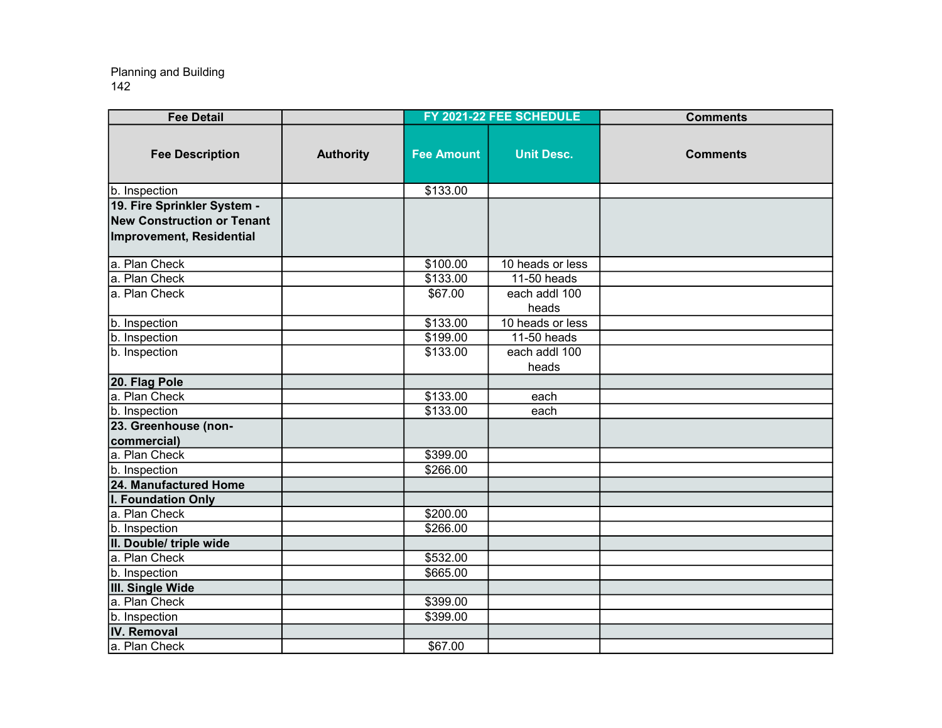| <b>Fee Detail</b>                                                                            |                  |                      | FY 2021-22 FEE SCHEDULE | <b>Comments</b> |
|----------------------------------------------------------------------------------------------|------------------|----------------------|-------------------------|-----------------|
| <b>Fee Description</b>                                                                       | <b>Authority</b> | <b>Fee Amount</b>    | <b>Unit Desc.</b>       | <b>Comments</b> |
| b. Inspection                                                                                |                  | \$133.00             |                         |                 |
| 19. Fire Sprinkler System -<br><b>New Construction or Tenant</b><br>Improvement, Residential |                  |                      |                         |                 |
| a. Plan Check                                                                                |                  | \$100.00             | 10 heads or less        |                 |
| a. Plan Check                                                                                |                  | \$133.00             | 11-50 heads             |                 |
| a. Plan Check                                                                                |                  | \$67.00              | each addl 100<br>heads  |                 |
| b. Inspection                                                                                |                  | \$133.00             | 10 heads or less        |                 |
| b. Inspection                                                                                |                  | \$199.00             | 11-50 heads             |                 |
| b. Inspection                                                                                |                  | \$133.00             | each addl 100<br>heads  |                 |
| 20. Flag Pole                                                                                |                  |                      |                         |                 |
| a. Plan Check                                                                                |                  | \$133.00             | each                    |                 |
| b. Inspection                                                                                |                  | \$133.00             | each                    |                 |
| 23. Greenhouse (non-<br>commercial)                                                          |                  |                      |                         |                 |
| a. Plan Check                                                                                |                  | \$399.00             |                         |                 |
| b. Inspection                                                                                |                  | \$266.00             |                         |                 |
| 24. Manufactured Home                                                                        |                  |                      |                         |                 |
| I. Foundation Only                                                                           |                  |                      |                         |                 |
| a. Plan Check                                                                                |                  | \$200.00             |                         |                 |
| b. Inspection                                                                                |                  | $\overline{$}266.00$ |                         |                 |
| II. Double/ triple wide                                                                      |                  |                      |                         |                 |
| a. Plan Check                                                                                |                  | \$532.00             |                         |                 |
| b. Inspection                                                                                |                  | \$665.00             |                         |                 |
| III. Single Wide                                                                             |                  |                      |                         |                 |
| a. Plan Check                                                                                |                  | \$399.00             |                         |                 |
| b. Inspection                                                                                |                  | \$399.00             |                         |                 |
| <b>IV.</b> Removal                                                                           |                  |                      |                         |                 |
| a. Plan Check                                                                                |                  | \$67.00              |                         |                 |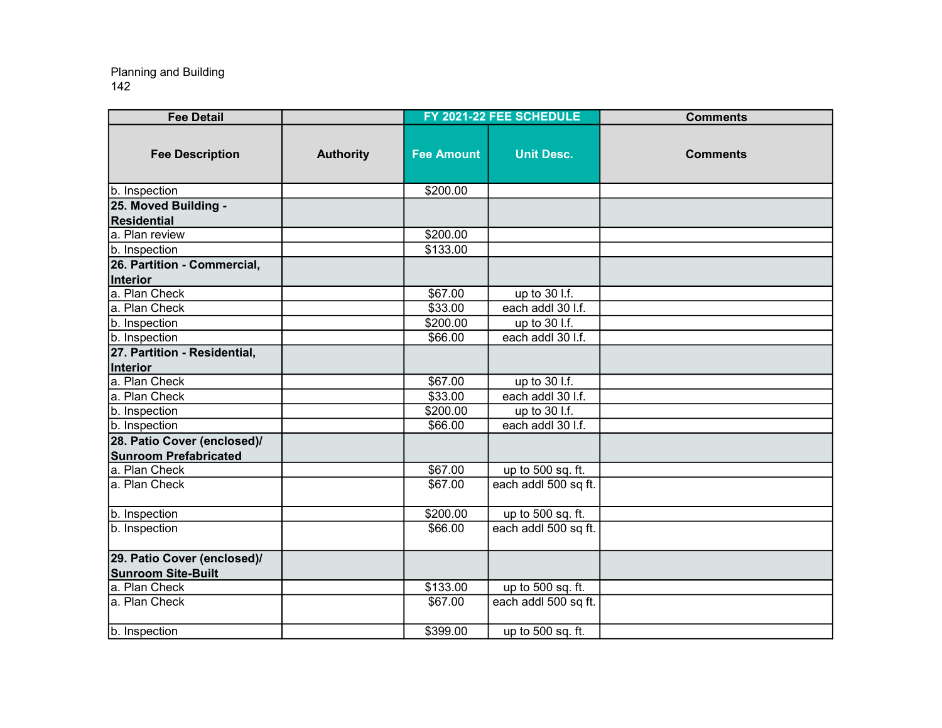| <b>Fee Detail</b>            |                  |                   | FY 2021-22 FEE SCHEDULE | <b>Comments</b> |
|------------------------------|------------------|-------------------|-------------------------|-----------------|
| <b>Fee Description</b>       | <b>Authority</b> | <b>Fee Amount</b> | <b>Unit Desc.</b>       | <b>Comments</b> |
| b. Inspection                |                  | \$200.00          |                         |                 |
| 25. Moved Building -         |                  |                   |                         |                 |
| Residential                  |                  |                   |                         |                 |
| a. Plan review               |                  | \$200.00          |                         |                 |
| b. Inspection                |                  | \$133.00          |                         |                 |
| 26. Partition - Commercial,  |                  |                   |                         |                 |
| Interior                     |                  |                   |                         |                 |
| a. Plan Check                |                  | \$67.00           | up to 30 l.f.           |                 |
| a. Plan Check                |                  | \$33.00           | each addl 30 l.f.       |                 |
| b. Inspection                |                  | \$200.00          | up to 30 l.f.           |                 |
| b. Inspection                |                  | \$66.00           | each addl 30 l.f.       |                 |
| 27. Partition - Residential, |                  |                   |                         |                 |
| Interior                     |                  |                   |                         |                 |
| a. Plan Check                |                  | \$67.00           | up to 30 l.f.           |                 |
| a. Plan Check                |                  | \$33.00           | each addl 30 l.f.       |                 |
| b. Inspection                |                  | \$200.00          | up to 30 l.f.           |                 |
| b. Inspection                |                  | \$66.00           | each addl 30 l.f.       |                 |
| 28. Patio Cover (enclosed)/  |                  |                   |                         |                 |
| <b>Sunroom Prefabricated</b> |                  |                   |                         |                 |
| a. Plan Check                |                  | \$67.00           | up to 500 sq. ft.       |                 |
| a. Plan Check                |                  | \$67.00           | each addl 500 sq ft.    |                 |
| b. Inspection                |                  | \$200.00          | up to 500 sq. ft.       |                 |
| b. Inspection                |                  | \$66.00           | each addl 500 sq ft.    |                 |
| 29. Patio Cover (enclosed)/  |                  |                   |                         |                 |
| <b>Sunroom Site-Built</b>    |                  |                   |                         |                 |
| a. Plan Check                |                  | \$133.00          | up to 500 sq. ft.       |                 |
| a. Plan Check                |                  | \$67.00           | each addl 500 sq ft.    |                 |
| b. Inspection                |                  | \$399.00          | up to 500 sq. ft.       |                 |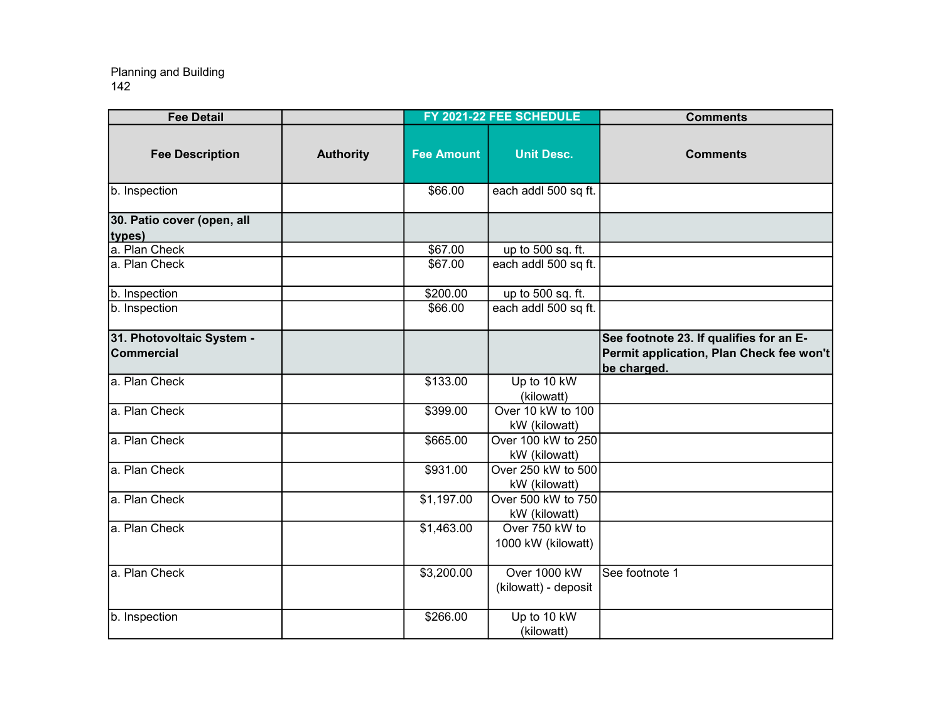| <b>Fee Detail</b>                              |                  |                   | FY 2021-22 FEE SCHEDULE              | <b>Comments</b>                                                                                    |
|------------------------------------------------|------------------|-------------------|--------------------------------------|----------------------------------------------------------------------------------------------------|
| <b>Fee Description</b>                         | <b>Authority</b> | <b>Fee Amount</b> | <b>Unit Desc.</b>                    | <b>Comments</b>                                                                                    |
| b. Inspection                                  |                  | \$66.00           | each addl 500 sq ft.                 |                                                                                                    |
| 30. Patio cover (open, all<br>types)           |                  |                   |                                      |                                                                                                    |
| a. Plan Check                                  |                  | \$67.00           | up to 500 sq. ft.                    |                                                                                                    |
| a. Plan Check                                  |                  | \$67.00           | each addl 500 sq ft.                 |                                                                                                    |
| b. Inspection                                  |                  | \$200.00          | up to 500 sq. ft.                    |                                                                                                    |
| b. Inspection                                  |                  | \$66.00           | each addl 500 sq ft.                 |                                                                                                    |
| 31. Photovoltaic System -<br><b>Commercial</b> |                  |                   |                                      | See footnote 23. If qualifies for an E-<br>Permit application, Plan Check fee won't<br>be charged. |
| a. Plan Check                                  |                  | \$133.00          | Up to 10 kW<br>(kilowatt)            |                                                                                                    |
| a. Plan Check                                  |                  | \$399.00          | Over 10 kW to 100<br>kW (kilowatt)   |                                                                                                    |
| a. Plan Check                                  |                  | \$665.00          | Over 100 kW to 250<br>kW (kilowatt)  |                                                                                                    |
| a. Plan Check                                  |                  | \$931.00          | Over 250 kW to 500<br>kW (kilowatt)  |                                                                                                    |
| a. Plan Check                                  |                  | \$1,197.00        | Over 500 kW to 750<br>kW (kilowatt)  |                                                                                                    |
| a. Plan Check                                  |                  | \$1,463.00        | Over 750 kW to<br>1000 kW (kilowatt) |                                                                                                    |
| a. Plan Check                                  |                  | \$3,200.00        | Over 1000 kW<br>(kilowatt) - deposit | See footnote 1                                                                                     |
| b. Inspection                                  |                  | \$266.00          | Up to 10 kW<br>(kilowatt)            |                                                                                                    |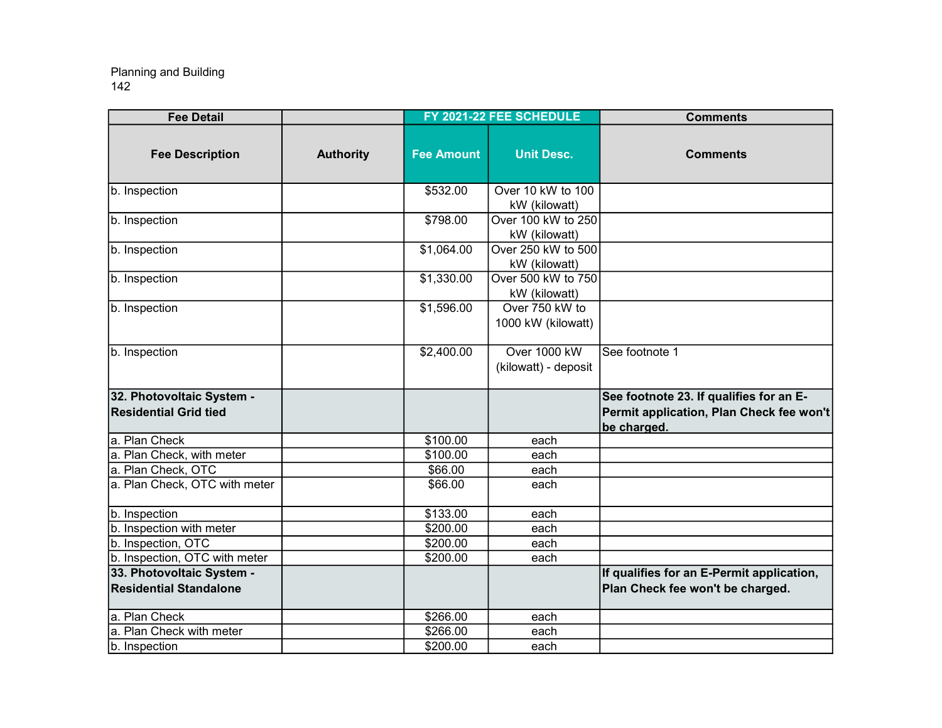| <b>Fee Detail</b>                                          |                  |                   | FY 2021-22 FEE SCHEDULE              | <b>Comments</b>                                                                                    |
|------------------------------------------------------------|------------------|-------------------|--------------------------------------|----------------------------------------------------------------------------------------------------|
| <b>Fee Description</b>                                     | <b>Authority</b> | <b>Fee Amount</b> | <b>Unit Desc.</b>                    | <b>Comments</b>                                                                                    |
| b. Inspection                                              |                  | \$532.00          | Over 10 kW to 100<br>kW (kilowatt)   |                                                                                                    |
| b. Inspection                                              |                  | \$798.00          | Over 100 kW to 250<br>kW (kilowatt)  |                                                                                                    |
| b. Inspection                                              |                  | \$1,064.00        | Over 250 kW to 500<br>kW (kilowatt)  |                                                                                                    |
| b. Inspection                                              |                  | \$1,330.00        | Over 500 kW to 750<br>kW (kilowatt)  |                                                                                                    |
| b. Inspection                                              |                  | \$1,596.00        | Over 750 kW to<br>1000 kW (kilowatt) |                                                                                                    |
| b. Inspection                                              |                  | \$2,400.00        | Over 1000 kW<br>(kilowatt) - deposit | See footnote 1                                                                                     |
| 32. Photovoltaic System -<br><b>Residential Grid tied</b>  |                  |                   |                                      | See footnote 23. If qualifies for an E-<br>Permit application, Plan Check fee won't<br>be charged. |
| a. Plan Check                                              |                  | \$100.00          | each                                 |                                                                                                    |
| a. Plan Check, with meter                                  |                  | \$100.00          | each                                 |                                                                                                    |
| a. Plan Check, OTC                                         |                  | \$66.00           | each                                 |                                                                                                    |
| a. Plan Check, OTC with meter                              |                  | \$66.00           | each                                 |                                                                                                    |
| b. Inspection                                              |                  | \$133.00          | each                                 |                                                                                                    |
| b. Inspection with meter                                   |                  | \$200.00          | each                                 |                                                                                                    |
| b. Inspection, OTC                                         |                  | \$200.00          | each                                 |                                                                                                    |
| b. Inspection, OTC with meter                              |                  | \$200.00          | each                                 |                                                                                                    |
| 33. Photovoltaic System -<br><b>Residential Standalone</b> |                  |                   |                                      | If qualifies for an E-Permit application,<br>Plan Check fee won't be charged.                      |
| a. Plan Check                                              |                  | \$266.00          | each                                 |                                                                                                    |
| a. Plan Check with meter                                   |                  | \$266.00          | each                                 |                                                                                                    |
| b. Inspection                                              |                  | \$200.00          | each                                 |                                                                                                    |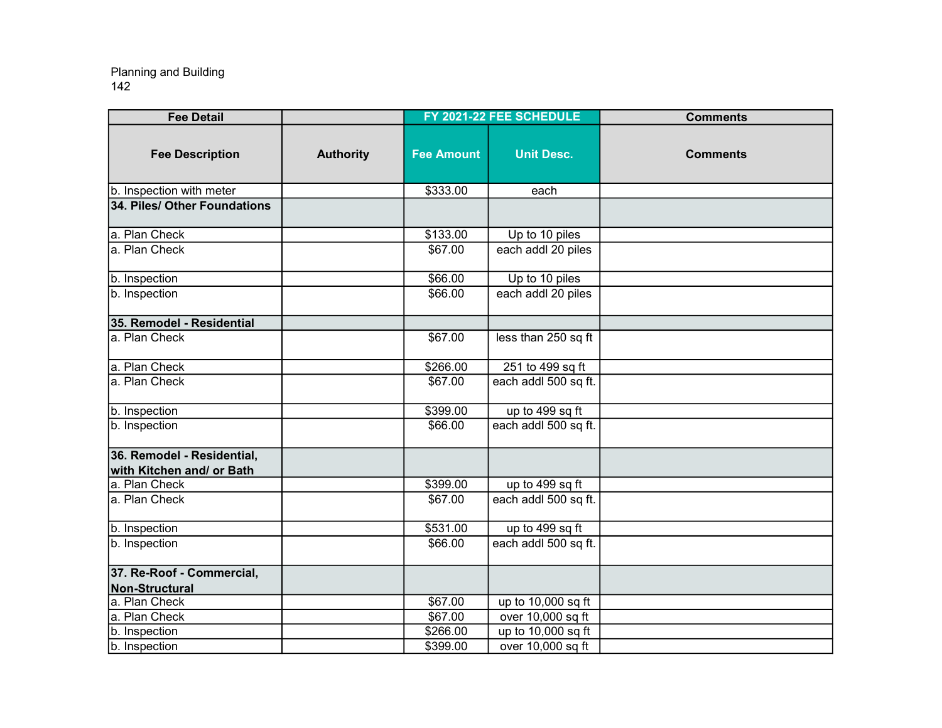| <b>Fee Detail</b>                                       |                  |                   | FY 2021-22 FEE SCHEDULE | <b>Comments</b> |
|---------------------------------------------------------|------------------|-------------------|-------------------------|-----------------|
| <b>Fee Description</b>                                  | <b>Authority</b> | <b>Fee Amount</b> | <b>Unit Desc.</b>       | <b>Comments</b> |
| b. Inspection with meter                                |                  | \$333.00          | each                    |                 |
| 34. Piles/ Other Foundations                            |                  |                   |                         |                 |
| a. Plan Check                                           |                  | \$133.00          | Up to 10 piles          |                 |
| a. Plan Check                                           |                  | \$67.00           | each addl 20 piles      |                 |
| b. Inspection                                           |                  | \$66.00           | Up to 10 piles          |                 |
| b. Inspection                                           |                  | \$66.00           | each addl 20 piles      |                 |
| 35. Remodel - Residential                               |                  |                   |                         |                 |
| a. Plan Check                                           |                  | \$67.00           | less than 250 sq ft     |                 |
| a. Plan Check                                           |                  | \$266.00          | 251 to 499 sq ft        |                 |
| a. Plan Check                                           |                  | \$67.00           | each addl 500 sq ft.    |                 |
| b. Inspection                                           |                  | \$399.00          | up to 499 sq ft         |                 |
| b. Inspection                                           |                  | \$66.00           | each addl 500 sq ft.    |                 |
| 36. Remodel - Residential,<br>with Kitchen and/ or Bath |                  |                   |                         |                 |
| a. Plan Check                                           |                  | \$399.00          | up to 499 sq ft         |                 |
| a. Plan Check                                           |                  | \$67.00           | each addl 500 sq ft.    |                 |
| b. Inspection                                           |                  | \$531.00          | up to 499 sq ft         |                 |
| b. Inspection                                           |                  | \$66.00           | each addl 500 sq ft.    |                 |
| 37. Re-Roof - Commercial,<br>Non-Structural             |                  |                   |                         |                 |
| a. Plan Check                                           |                  | \$67.00           | up to 10,000 sq ft      |                 |
| a. Plan Check                                           |                  | \$67.00           | over 10,000 sq ft       |                 |
| b. Inspection                                           |                  | \$266.00          | up to 10,000 sq ft      |                 |
| b. Inspection                                           |                  | \$399.00          | over 10,000 sq ft       |                 |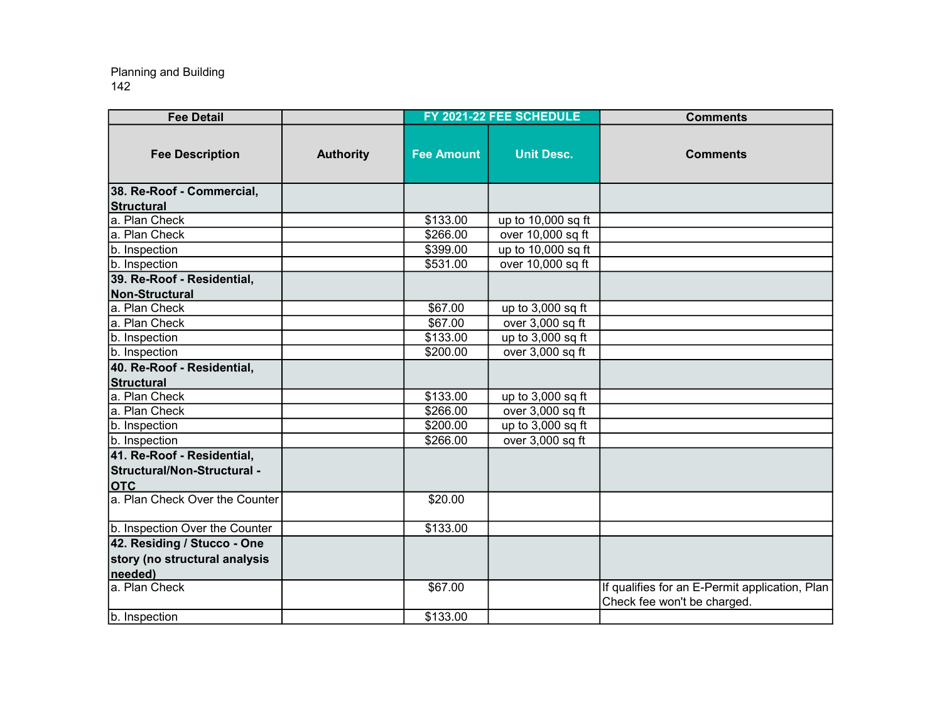| <b>Fee Detail</b>              |                  |                   | FY 2021-22 FEE SCHEDULE | <b>Comments</b>                                                               |
|--------------------------------|------------------|-------------------|-------------------------|-------------------------------------------------------------------------------|
| <b>Fee Description</b>         | <b>Authority</b> | <b>Fee Amount</b> | <b>Unit Desc.</b>       | <b>Comments</b>                                                               |
| 38. Re-Roof - Commercial,      |                  |                   |                         |                                                                               |
| Structural                     |                  |                   |                         |                                                                               |
| a. Plan Check                  |                  | \$133.00          | up to 10,000 sq ft      |                                                                               |
| a. Plan Check                  |                  | \$266.00          | over 10,000 sq ft       |                                                                               |
| b. Inspection                  |                  | \$399.00          | up to 10,000 sq ft      |                                                                               |
| b. Inspection                  |                  | \$531.00          | over 10,000 sq ft       |                                                                               |
| 39. Re-Roof - Residential,     |                  |                   |                         |                                                                               |
| Non-Structural                 |                  |                   |                         |                                                                               |
| a. Plan Check                  |                  | \$67.00           | up to $3,000$ sq ft     |                                                                               |
| a. Plan Check                  |                  | \$67.00           | over 3,000 sq ft        |                                                                               |
| b. Inspection                  |                  | \$133.00          | up to $3,000$ sq ft     |                                                                               |
| b. Inspection                  |                  | \$200.00          | over 3,000 sq ft        |                                                                               |
| 40. Re-Roof - Residential,     |                  |                   |                         |                                                                               |
| <b>Structural</b>              |                  |                   |                         |                                                                               |
| a. Plan Check                  |                  | \$133.00          | up to 3,000 sq ft       |                                                                               |
| la. Plan Check                 |                  | \$266.00          | over 3,000 sq ft        |                                                                               |
| b. Inspection                  |                  | \$200.00          | up to 3,000 sq ft       |                                                                               |
| b. Inspection                  |                  | \$266.00          | over 3,000 sq ft        |                                                                               |
| 41. Re-Roof - Residential,     |                  |                   |                         |                                                                               |
| Structural/Non-Structural -    |                  |                   |                         |                                                                               |
| <b>OTC</b>                     |                  |                   |                         |                                                                               |
| a. Plan Check Over the Counter |                  | \$20.00           |                         |                                                                               |
| b. Inspection Over the Counter |                  | \$133.00          |                         |                                                                               |
| 42. Residing / Stucco - One    |                  |                   |                         |                                                                               |
| story (no structural analysis  |                  |                   |                         |                                                                               |
| needed)                        |                  |                   |                         |                                                                               |
| a. Plan Check                  |                  | \$67.00           |                         | If qualifies for an E-Permit application, Plan<br>Check fee won't be charged. |
| b. Inspection                  |                  | \$133.00          |                         |                                                                               |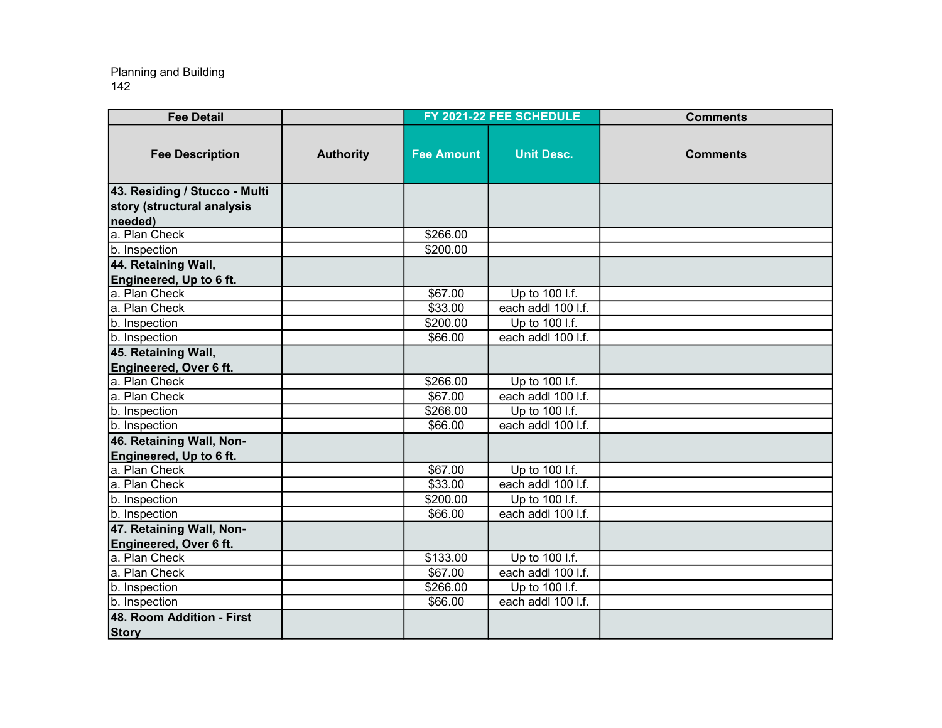| <b>Fee Detail</b>                                   |                  |                   | FY 2021-22 FEE SCHEDULE | <b>Comments</b> |
|-----------------------------------------------------|------------------|-------------------|-------------------------|-----------------|
| <b>Fee Description</b>                              | <b>Authority</b> | <b>Fee Amount</b> | <b>Unit Desc.</b>       | <b>Comments</b> |
| 43. Residing / Stucco - Multi                       |                  |                   |                         |                 |
| story (structural analysis                          |                  |                   |                         |                 |
| needed)                                             |                  |                   |                         |                 |
| a. Plan Check                                       |                  | \$266.00          |                         |                 |
| <b>b.</b> Inspection                                |                  | \$200.00          |                         |                 |
| 44. Retaining Wall,                                 |                  |                   |                         |                 |
| Engineered, Up to 6 ft.                             |                  |                   |                         |                 |
| a. Plan Check                                       |                  | \$67.00           | Up to 100 I.f.          |                 |
| a. Plan Check                                       |                  | \$33.00           | each addl 100 l.f.      |                 |
| b. Inspection                                       |                  | \$200.00          | Up to 100 l.f.          |                 |
| b. Inspection                                       |                  | \$66.00           | each addl 100 l.f.      |                 |
| 45. Retaining Wall,                                 |                  |                   |                         |                 |
| Engineered, Over 6 ft.                              |                  |                   |                         |                 |
| a. Plan Check                                       |                  | \$266.00          | Up to 100 l.f.          |                 |
| a. Plan Check                                       |                  | \$67.00           | each addl 100 l.f.      |                 |
| b. Inspection                                       |                  | \$266.00          | Up to 100 l.f.          |                 |
| b. Inspection                                       |                  | \$66.00           | each addl 100 l.f.      |                 |
| 46. Retaining Wall, Non-<br>Engineered, Up to 6 ft. |                  |                   |                         |                 |
| a. Plan Check                                       |                  | \$67.00           | Up to 100 l.f.          |                 |
| a. Plan Check                                       |                  | \$33.00           | each addl 100 I.f.      |                 |
| b. Inspection                                       |                  | \$200.00          | Up to 100 l.f.          |                 |
| b. Inspection                                       |                  | \$66.00           | each addl 100 l.f.      |                 |
| 47. Retaining Wall, Non-                            |                  |                   |                         |                 |
| Engineered, Over 6 ft.                              |                  |                   |                         |                 |
| a. Plan Check                                       |                  | \$133.00          | Up to 100 l.f.          |                 |
| a. Plan Check                                       |                  | \$67.00           | each addl 100 l.f.      |                 |
| b. Inspection                                       |                  | \$266.00          | Up to 100 l.f.          |                 |
| b. Inspection                                       |                  | \$66.00           | each addl 100 l.f.      |                 |
| 48. Room Addition - First                           |                  |                   |                         |                 |
| <b>Story</b>                                        |                  |                   |                         |                 |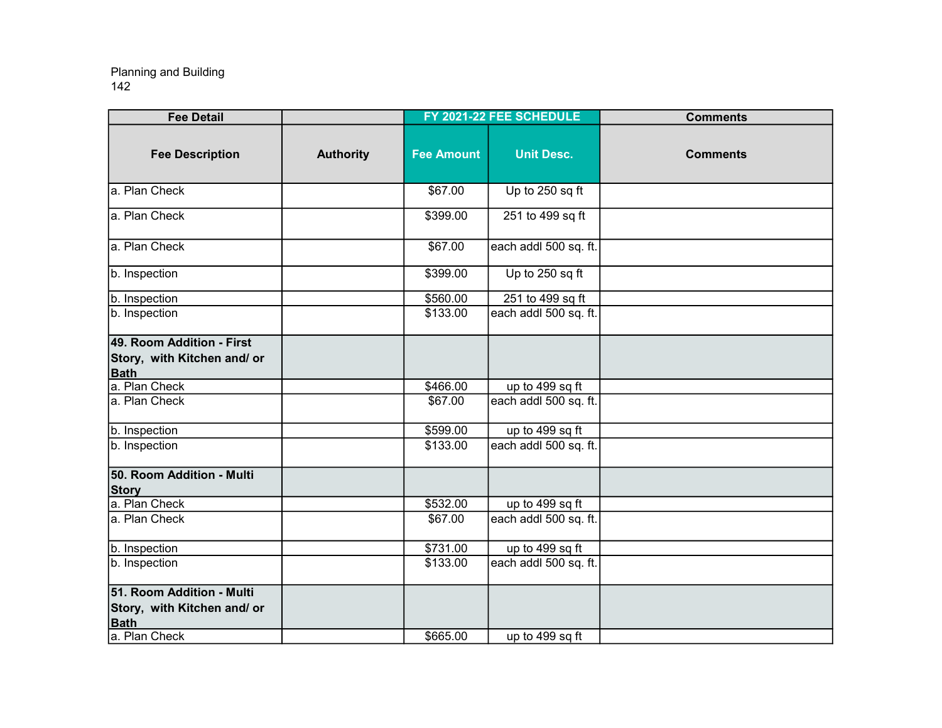| <b>Fee Detail</b>                                                                        |                  |                   | FY 2021-22 FEE SCHEDULE | <b>Comments</b> |
|------------------------------------------------------------------------------------------|------------------|-------------------|-------------------------|-----------------|
| <b>Fee Description</b>                                                                   | <b>Authority</b> | <b>Fee Amount</b> | <b>Unit Desc.</b>       | <b>Comments</b> |
| a. Plan Check                                                                            |                  | \$67.00           | Up to 250 sq ft         |                 |
| a. Plan Check                                                                            |                  | \$399.00          | 251 to 499 sq ft        |                 |
| a. Plan Check                                                                            |                  | \$67.00           | each addl 500 sq. ft.   |                 |
| b. Inspection                                                                            |                  | \$399.00          | Up to 250 sq ft         |                 |
| b. Inspection                                                                            |                  | \$560.00          | 251 to 499 sq ft        |                 |
| b. Inspection                                                                            |                  | \$133.00          | each addl 500 sq. ft.   |                 |
| 49. Room Addition - First<br>Story, with Kitchen and/ or<br><b>Bath</b>                  |                  |                   |                         |                 |
| a. Plan Check                                                                            |                  | \$466.00          | up to 499 sq ft         |                 |
| a. Plan Check                                                                            |                  | \$67.00           | each addl 500 sq. ft.   |                 |
| b. Inspection                                                                            |                  | \$599.00          | up to 499 sq ft         |                 |
| b. Inspection                                                                            |                  | \$133.00          | each addl 500 sq. ft.   |                 |
| 50. Room Addition - Multi<br><b>Story</b>                                                |                  |                   |                         |                 |
| a. Plan Check                                                                            |                  | \$532.00          | up to 499 sq ft         |                 |
| a. Plan Check                                                                            |                  | \$67.00           | each addl 500 sq. ft.   |                 |
| b. Inspection                                                                            |                  | \$731.00          | up to 499 sq ft         |                 |
| b. Inspection                                                                            |                  | \$133.00          | each addl 500 sq. ft.   |                 |
| 51. Room Addition - Multi<br>Story, with Kitchen and/ or<br><b>Bath</b><br>a. Plan Check |                  | \$665.00          | up to 499 sq ft         |                 |
|                                                                                          |                  |                   |                         |                 |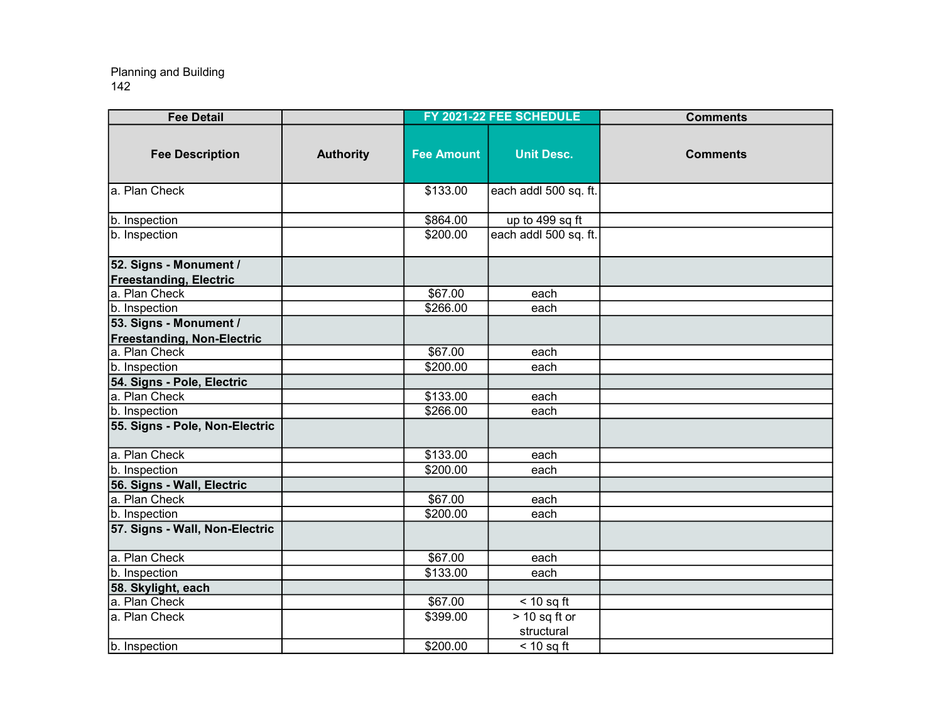| <b>Fee Detail</b>                                           |                  |                   | FY 2021-22 FEE SCHEDULE | <b>Comments</b> |
|-------------------------------------------------------------|------------------|-------------------|-------------------------|-----------------|
| <b>Fee Description</b>                                      | <b>Authority</b> | <b>Fee Amount</b> | <b>Unit Desc.</b>       | <b>Comments</b> |
| a. Plan Check                                               |                  | \$133.00          | each addl 500 sq. ft.   |                 |
| b. Inspection                                               |                  | \$864.00          | up to 499 sq ft         |                 |
| b. Inspection                                               |                  | \$200.00          | each addl 500 sq. ft.   |                 |
| 52. Signs - Monument /                                      |                  |                   |                         |                 |
| <b>Freestanding, Electric</b>                               |                  |                   |                         |                 |
| a. Plan Check                                               |                  | \$67.00           | each                    |                 |
| b. Inspection                                               |                  | \$266.00          | each                    |                 |
| 53. Signs - Monument /<br><b>Freestanding, Non-Electric</b> |                  |                   |                         |                 |
| a. Plan Check                                               |                  | \$67.00           | each                    |                 |
| b. Inspection                                               |                  | \$200.00          | each                    |                 |
| 54. Signs - Pole, Electric                                  |                  |                   |                         |                 |
| a. Plan Check                                               |                  | \$133.00          | each                    |                 |
| b. Inspection                                               |                  | \$266.00          | each                    |                 |
| 55. Signs - Pole, Non-Electric                              |                  |                   |                         |                 |
| a. Plan Check                                               |                  | \$133.00          | each                    |                 |
| b. Inspection                                               |                  | \$200.00          | each                    |                 |
| 56. Signs - Wall, Electric                                  |                  |                   |                         |                 |
| a. Plan Check                                               |                  | \$67.00           | each                    |                 |
| b. Inspection                                               |                  | $\sqrt{$200.00}$  | each                    |                 |
| 57. Signs - Wall, Non-Electric                              |                  |                   |                         |                 |
| a. Plan Check                                               |                  | \$67.00           | each                    |                 |
| b. Inspection                                               |                  | \$133.00          | each                    |                 |
| 58. Skylight, each                                          |                  |                   |                         |                 |
| a. Plan Check                                               |                  | \$67.00           | $< 10$ sq ft            |                 |
| a. Plan Check                                               |                  | \$399.00          | $> 10$ sq ft or         |                 |
|                                                             |                  |                   | structural              |                 |
| b. Inspection                                               |                  | \$200.00          | $<$ 10 sq ft            |                 |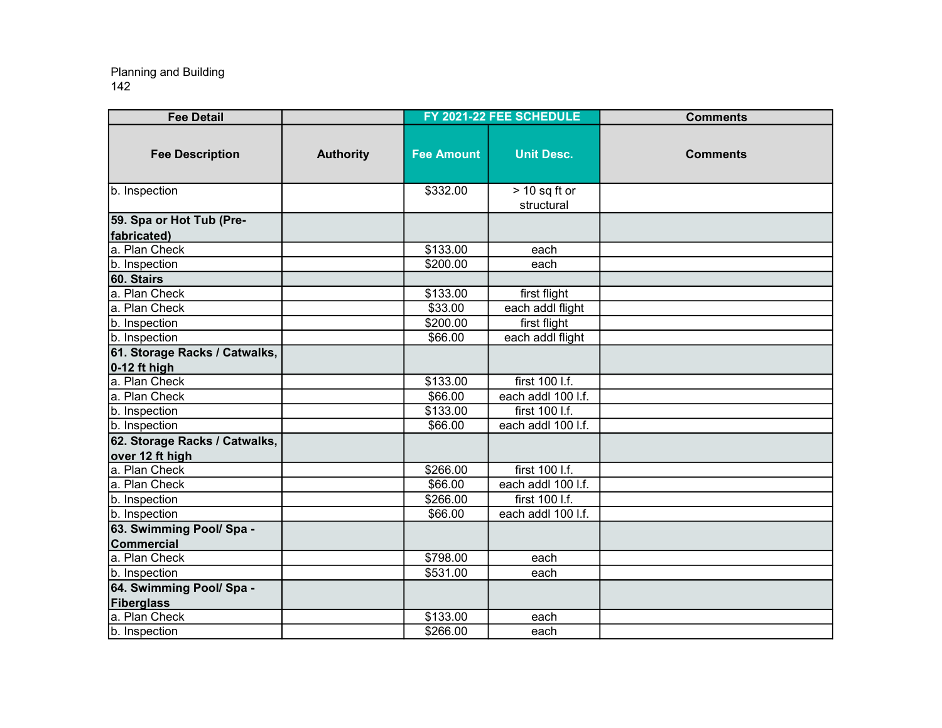| <b>Fee Detail</b>                                |                  |                      | FY 2021-22 FEE SCHEDULE       | <b>Comments</b> |
|--------------------------------------------------|------------------|----------------------|-------------------------------|-----------------|
| <b>Fee Description</b>                           | <b>Authority</b> | <b>Fee Amount</b>    | <b>Unit Desc.</b>             | <b>Comments</b> |
| b. Inspection                                    |                  | \$332.00             | $> 10$ sq ft or<br>structural |                 |
| 59. Spa or Hot Tub (Pre-<br>fabricated)          |                  |                      |                               |                 |
| a. Plan Check                                    |                  | \$133.00             | each                          |                 |
| b. Inspection                                    |                  | \$200.00             | each                          |                 |
| 60. Stairs                                       |                  |                      |                               |                 |
| a. Plan Check                                    |                  | \$133.00             | first flight                  |                 |
| a. Plan Check                                    |                  | \$33.00              | each addl flight              |                 |
| b. Inspection                                    |                  | \$200.00             | first flight                  |                 |
| b. Inspection                                    |                  | \$66.00              | each addl flight              |                 |
| 61. Storage Racks / Catwalks,<br>$0-12$ ft high  |                  |                      |                               |                 |
| a. Plan Check                                    |                  | \$133.00             | first 100 l.f.                |                 |
| a. Plan Check                                    |                  | \$66.00              | each addl 100 l.f.            |                 |
| b. Inspection                                    |                  | $\overline{$}133.00$ | first 100 l.f.                |                 |
| b. Inspection                                    |                  | \$66.00              | each addl 100 l.f.            |                 |
| 62. Storage Racks / Catwalks,<br>over 12 ft high |                  |                      |                               |                 |
| a. Plan Check                                    |                  | \$266.00             | first 100 l.f.                |                 |
| a. Plan Check                                    |                  | \$66.00              | each addl 100 l.f.            |                 |
| b. Inspection                                    |                  | \$266.00             | first 100 l.f.                |                 |
| b. Inspection                                    |                  | \$66.00              | each addl 100 l.f.            |                 |
| 63. Swimming Pool/ Spa -                         |                  |                      |                               |                 |
| <b>Commercial</b>                                |                  |                      |                               |                 |
| a. Plan Check                                    |                  | \$798.00             | each                          |                 |
| b. Inspection                                    |                  | \$531.00             | each                          |                 |
| 64. Swimming Pool/ Spa -                         |                  |                      |                               |                 |
| Fiberglass                                       |                  |                      |                               |                 |
| a. Plan Check                                    |                  | \$133.00             | each                          |                 |
| b. Inspection                                    |                  | \$266.00             | each                          |                 |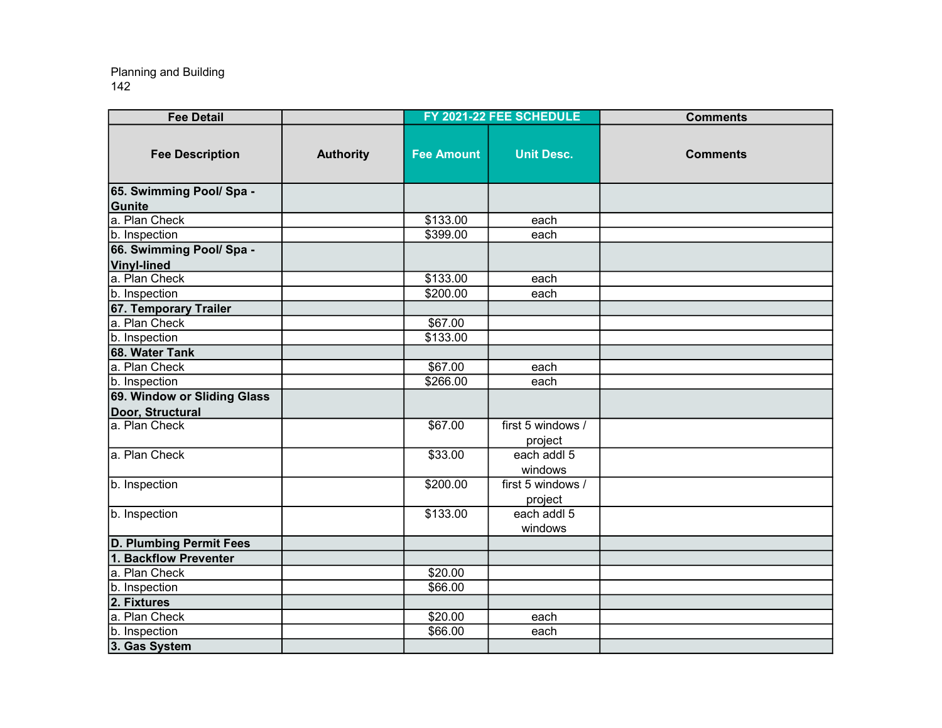| <b>Fee Detail</b>              |                  |                   | FY 2021-22 FEE SCHEDULE | <b>Comments</b> |
|--------------------------------|------------------|-------------------|-------------------------|-----------------|
| <b>Fee Description</b>         | <b>Authority</b> | <b>Fee Amount</b> | <b>Unit Desc.</b>       | <b>Comments</b> |
| 65. Swimming Pool/ Spa -       |                  |                   |                         |                 |
| Gunite                         |                  |                   |                         |                 |
| a. Plan Check                  |                  | \$133.00          | each                    |                 |
| b. Inspection                  |                  | \$399.00          | each                    |                 |
| 66. Swimming Pool/ Spa -       |                  |                   |                         |                 |
| <b>Vinyl-lined</b>             |                  |                   |                         |                 |
| a. Plan Check                  |                  | \$133.00          | each                    |                 |
| b. Inspection                  |                  | \$200.00          | each                    |                 |
| 67. Temporary Trailer          |                  |                   |                         |                 |
| a. Plan Check                  |                  | \$67.00           |                         |                 |
| b. Inspection                  |                  | \$133.00          |                         |                 |
| 68. Water Tank                 |                  |                   |                         |                 |
| a. Plan Check                  |                  | \$67.00           | each                    |                 |
| b. Inspection                  |                  | \$266.00          | each                    |                 |
| 69. Window or Sliding Glass    |                  |                   |                         |                 |
| Door, Structural               |                  |                   |                         |                 |
| a. Plan Check                  |                  | \$67.00           | first 5 windows /       |                 |
|                                |                  |                   | project                 |                 |
| a. Plan Check                  |                  | \$33.00           | each addl 5             |                 |
|                                |                  |                   | windows                 |                 |
| b. Inspection                  |                  | \$200.00          | first 5 windows /       |                 |
|                                |                  |                   | project                 |                 |
| b. Inspection                  |                  | \$133.00          | each addl 5             |                 |
|                                |                  |                   | windows                 |                 |
| <b>D. Plumbing Permit Fees</b> |                  |                   |                         |                 |
| 1. Backflow Preventer          |                  |                   |                         |                 |
| a. Plan Check                  |                  | \$20.00           |                         |                 |
| b. Inspection                  |                  | \$66.00           |                         |                 |
| 2. Fixtures                    |                  |                   |                         |                 |
| a. Plan Check                  |                  | \$20.00           | each                    |                 |
| b. Inspection                  |                  | \$66.00           | each                    |                 |
| 3. Gas System                  |                  |                   |                         |                 |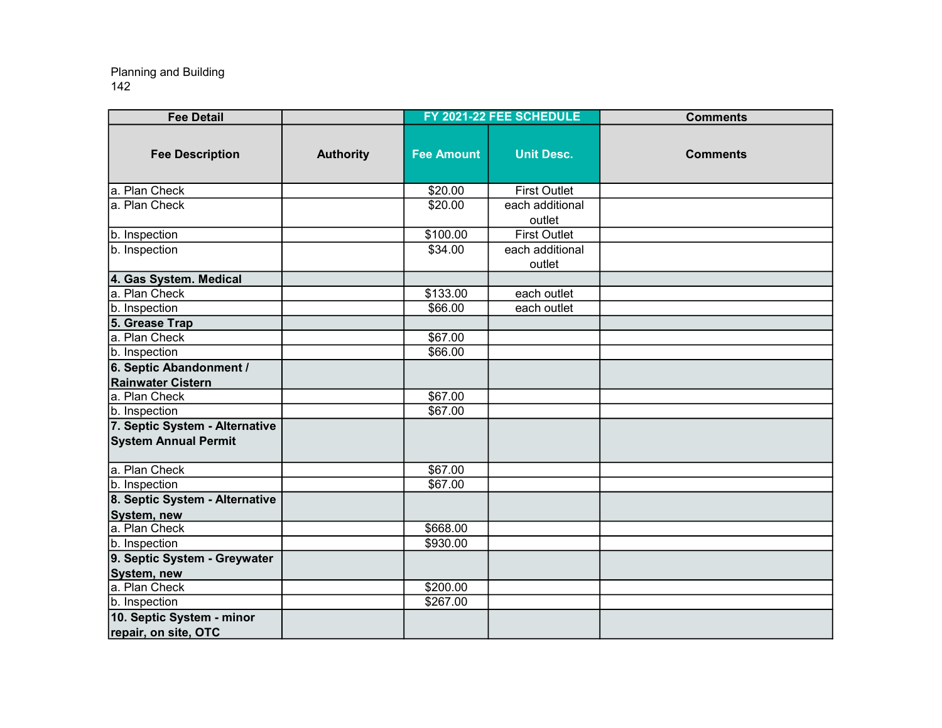| <b>Fee Detail</b>                           |                  |                   | FY 2021-22 FEE SCHEDULE   | <b>Comments</b> |
|---------------------------------------------|------------------|-------------------|---------------------------|-----------------|
| <b>Fee Description</b>                      | <b>Authority</b> | <b>Fee Amount</b> | <b>Unit Desc.</b>         | <b>Comments</b> |
| a. Plan Check                               |                  | \$20.00           | <b>First Outlet</b>       |                 |
| a. Plan Check                               |                  | \$20.00           | each additional<br>outlet |                 |
| b. Inspection                               |                  | \$100.00          | <b>First Outlet</b>       |                 |
| b. Inspection                               |                  | \$34.00           | each additional<br>outlet |                 |
| 4. Gas System. Medical                      |                  |                   |                           |                 |
| a. Plan Check                               |                  | \$133.00          | each outlet               |                 |
| b. Inspection                               |                  | \$66.00           | each outlet               |                 |
| 5. Grease Trap                              |                  |                   |                           |                 |
| a. Plan Check                               |                  | \$67.00           |                           |                 |
| b. Inspection                               |                  | \$66.00           |                           |                 |
| 6. Septic Abandonment /                     |                  |                   |                           |                 |
| <b>Rainwater Cistern</b>                    |                  |                   |                           |                 |
| a. Plan Check                               |                  | \$67.00           |                           |                 |
| b. Inspection                               |                  | \$67.00           |                           |                 |
| 7. Septic System - Alternative              |                  |                   |                           |                 |
| <b>System Annual Permit</b>                 |                  |                   |                           |                 |
| a. Plan Check                               |                  | \$67.00           |                           |                 |
| b. Inspection                               |                  | \$67.00           |                           |                 |
| 8. Septic System - Alternative              |                  |                   |                           |                 |
| System, new                                 |                  |                   |                           |                 |
| a. Plan Check                               |                  | \$668.00          |                           |                 |
| b. Inspection                               |                  | \$930.00          |                           |                 |
| 9. Septic System - Greywater<br>System, new |                  |                   |                           |                 |
| a. Plan Check                               |                  | \$200.00          |                           |                 |
| b. Inspection                               |                  | \$267.00          |                           |                 |
| 10. Septic System - minor                   |                  |                   |                           |                 |
| repair, on site, OTC                        |                  |                   |                           |                 |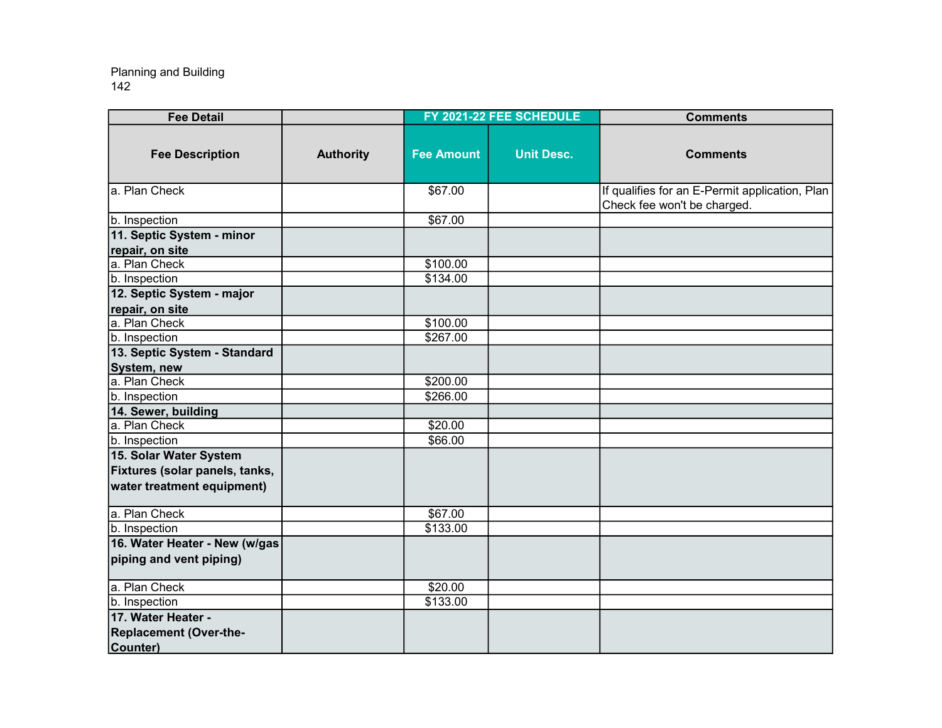| <b>Fee Detail</b>                                                                      |                  |                   | FY 2021-22 FEE SCHEDULE | <b>Comments</b>                                                               |
|----------------------------------------------------------------------------------------|------------------|-------------------|-------------------------|-------------------------------------------------------------------------------|
| <b>Fee Description</b>                                                                 | <b>Authority</b> | <b>Fee Amount</b> | <b>Unit Desc.</b>       | <b>Comments</b>                                                               |
| a. Plan Check                                                                          |                  | \$67.00           |                         | If qualifies for an E-Permit application, Plan<br>Check fee won't be charged. |
| b. Inspection                                                                          |                  | \$67.00           |                         |                                                                               |
| 11. Septic System - minor<br>repair, on site                                           |                  |                   |                         |                                                                               |
| a. Plan Check                                                                          |                  | \$100.00          |                         |                                                                               |
| b. Inspection                                                                          |                  | \$134.00          |                         |                                                                               |
| 12. Septic System - major                                                              |                  |                   |                         |                                                                               |
| repair, on site                                                                        |                  |                   |                         |                                                                               |
| a. Plan Check                                                                          |                  | \$100.00          |                         |                                                                               |
| b. Inspection                                                                          |                  | \$267.00          |                         |                                                                               |
| 13. Septic System - Standard                                                           |                  |                   |                         |                                                                               |
| System, new                                                                            |                  |                   |                         |                                                                               |
| a. Plan Check                                                                          |                  | \$200.00          |                         |                                                                               |
| b. Inspection                                                                          |                  | \$266.00          |                         |                                                                               |
| 14. Sewer, building                                                                    |                  |                   |                         |                                                                               |
| a. Plan Check                                                                          |                  | \$20.00           |                         |                                                                               |
| b. Inspection                                                                          |                  | \$66.00           |                         |                                                                               |
| 15. Solar Water System<br>Fixtures (solar panels, tanks,<br>water treatment equipment) |                  |                   |                         |                                                                               |
| a. Plan Check                                                                          |                  | \$67.00           |                         |                                                                               |
| b. Inspection                                                                          |                  | \$133.00          |                         |                                                                               |
| 16. Water Heater - New (w/gas<br>piping and vent piping)                               |                  |                   |                         |                                                                               |
| a. Plan Check                                                                          |                  | \$20.00           |                         |                                                                               |
| b. Inspection                                                                          |                  | \$133.00          |                         |                                                                               |
| 17. Water Heater -<br><b>Replacement (Over-the-</b>                                    |                  |                   |                         |                                                                               |
| Counter)                                                                               |                  |                   |                         |                                                                               |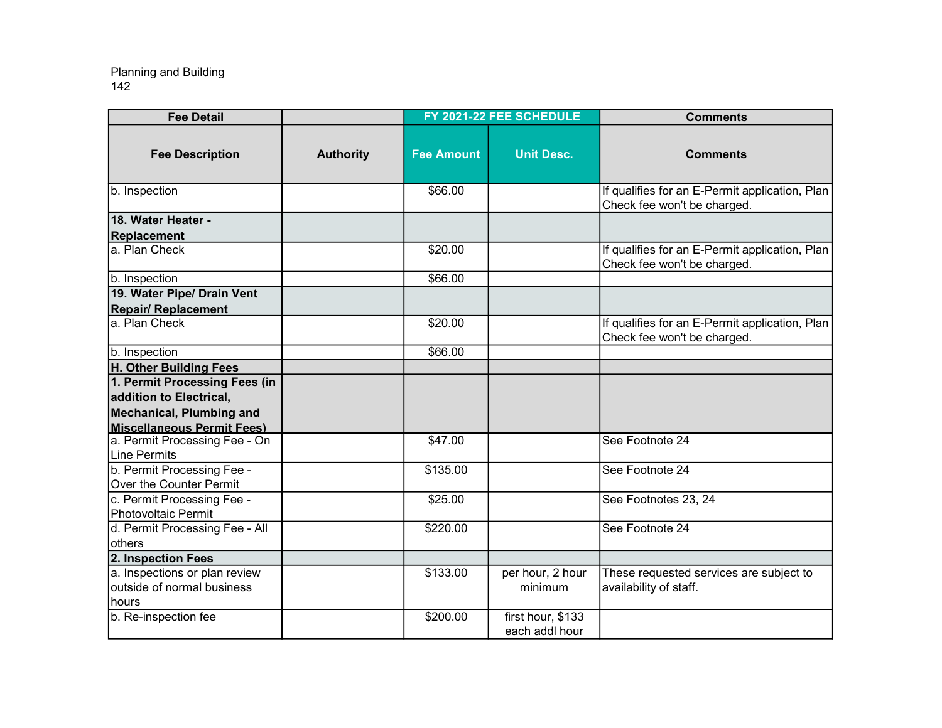| <b>Fee Detail</b>                                                    |                  |                   | FY 2021-22 FEE SCHEDULE             | <b>Comments</b>                                                               |
|----------------------------------------------------------------------|------------------|-------------------|-------------------------------------|-------------------------------------------------------------------------------|
| <b>Fee Description</b>                                               | <b>Authority</b> | <b>Fee Amount</b> | <b>Unit Desc.</b>                   | <b>Comments</b>                                                               |
| b. Inspection                                                        |                  | \$66.00           |                                     | If qualifies for an E-Permit application, Plan<br>Check fee won't be charged. |
| 18. Water Heater -<br>Replacement                                    |                  |                   |                                     |                                                                               |
| a. Plan Check                                                        |                  | \$20.00           |                                     | If qualifies for an E-Permit application, Plan<br>Check fee won't be charged. |
| b. Inspection                                                        |                  | \$66.00           |                                     |                                                                               |
| 19. Water Pipe/ Drain Vent                                           |                  |                   |                                     |                                                                               |
| <b>Repair/ Replacement</b>                                           |                  |                   |                                     |                                                                               |
| a. Plan Check                                                        |                  | \$20.00           |                                     | If qualifies for an E-Permit application, Plan<br>Check fee won't be charged. |
| b. Inspection                                                        |                  | \$66.00           |                                     |                                                                               |
| H. Other Building Fees                                               |                  |                   |                                     |                                                                               |
| 1. Permit Processing Fees (in                                        |                  |                   |                                     |                                                                               |
| addition to Electrical,                                              |                  |                   |                                     |                                                                               |
| Mechanical, Plumbing and                                             |                  |                   |                                     |                                                                               |
| <b>Miscellaneous Permit Fees)</b>                                    |                  |                   |                                     |                                                                               |
| a. Permit Processing Fee - On<br>Line Permits                        |                  | \$47.00           |                                     | See Footnote 24                                                               |
| b. Permit Processing Fee -<br>Over the Counter Permit                |                  | \$135.00          |                                     | See Footnote 24                                                               |
| c. Permit Processing Fee -<br>Photovoltaic Permit                    |                  | \$25.00           |                                     | See Footnotes 23, 24                                                          |
| d. Permit Processing Fee - All<br>lothers                            |                  | \$220.00          |                                     | See Footnote 24                                                               |
| 2. Inspection Fees                                                   |                  |                   |                                     |                                                                               |
| a. Inspections or plan review<br>outside of normal business<br>hours |                  | \$133.00          | per hour, 2 hour<br>minimum         | These requested services are subject to<br>availability of staff.             |
| b. Re-inspection fee                                                 |                  | \$200.00          | first hour, \$133<br>each addl hour |                                                                               |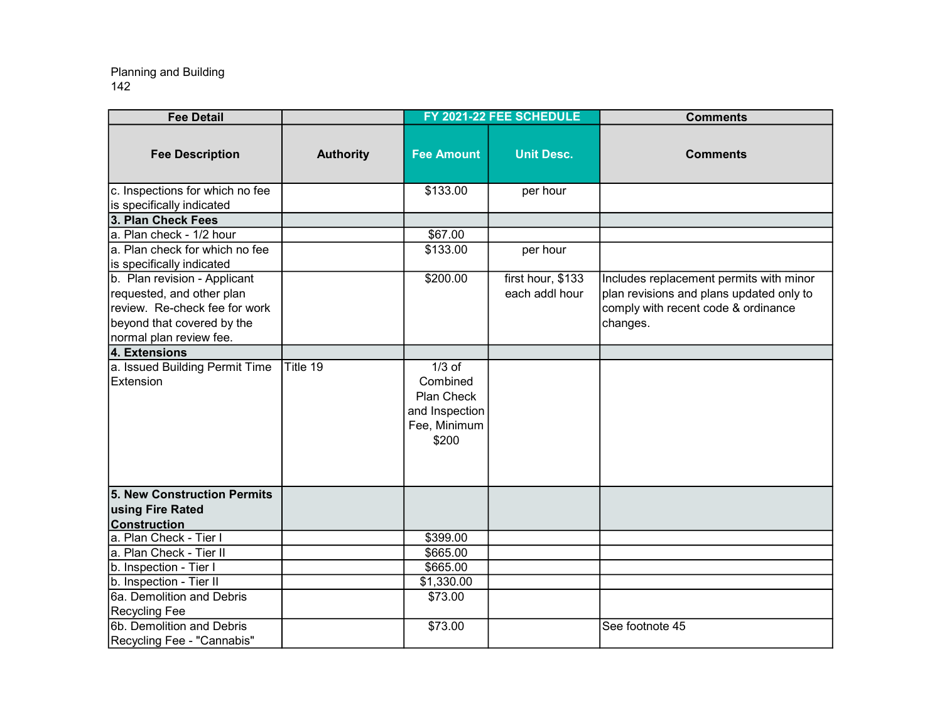| <b>Fee Detail</b>                                                                                                                                   |                  |                                                                               | FY 2021-22 FEE SCHEDULE             | <b>Comments</b>                                                                                                                        |
|-----------------------------------------------------------------------------------------------------------------------------------------------------|------------------|-------------------------------------------------------------------------------|-------------------------------------|----------------------------------------------------------------------------------------------------------------------------------------|
| <b>Fee Description</b>                                                                                                                              | <b>Authority</b> | <b>Fee Amount</b>                                                             | <b>Unit Desc.</b>                   | <b>Comments</b>                                                                                                                        |
| c. Inspections for which no fee<br>is specifically indicated                                                                                        |                  | \$133.00                                                                      | per hour                            |                                                                                                                                        |
| 3. Plan Check Fees                                                                                                                                  |                  |                                                                               |                                     |                                                                                                                                        |
| a. Plan check - 1/2 hour                                                                                                                            |                  | \$67.00                                                                       |                                     |                                                                                                                                        |
| a. Plan check for which no fee<br>is specifically indicated                                                                                         |                  | \$133.00                                                                      | per hour                            |                                                                                                                                        |
| b. Plan revision - Applicant<br>requested, and other plan<br>review. Re-check fee for work<br>beyond that covered by the<br>normal plan review fee. |                  | \$200.00                                                                      | first hour, \$133<br>each addl hour | Includes replacement permits with minor<br>plan revisions and plans updated only to<br>comply with recent code & ordinance<br>changes. |
| 4. Extensions                                                                                                                                       |                  |                                                                               |                                     |                                                                                                                                        |
| a. Issued Building Permit Time<br>Extension                                                                                                         | Title 19         | $1/3$ of<br>Combined<br>Plan Check<br>and Inspection<br>Fee, Minimum<br>\$200 |                                     |                                                                                                                                        |
| 5. New Construction Permits                                                                                                                         |                  |                                                                               |                                     |                                                                                                                                        |
| using Fire Rated                                                                                                                                    |                  |                                                                               |                                     |                                                                                                                                        |
| <b>Construction</b>                                                                                                                                 |                  |                                                                               |                                     |                                                                                                                                        |
| a. Plan Check - Tier I                                                                                                                              |                  | \$399.00                                                                      |                                     |                                                                                                                                        |
| a. Plan Check - Tier II                                                                                                                             |                  | \$665.00                                                                      |                                     |                                                                                                                                        |
| b. Inspection - Tier I                                                                                                                              |                  | \$665.00                                                                      |                                     |                                                                                                                                        |
| b. Inspection - Tier II                                                                                                                             |                  | \$1,330.00                                                                    |                                     |                                                                                                                                        |
| 6a. Demolition and Debris                                                                                                                           |                  | \$73.00                                                                       |                                     |                                                                                                                                        |
| <b>Recycling Fee</b>                                                                                                                                |                  |                                                                               |                                     |                                                                                                                                        |
| 6b. Demolition and Debris<br>Recycling Fee - "Cannabis"                                                                                             |                  | \$73.00                                                                       |                                     | See footnote 45                                                                                                                        |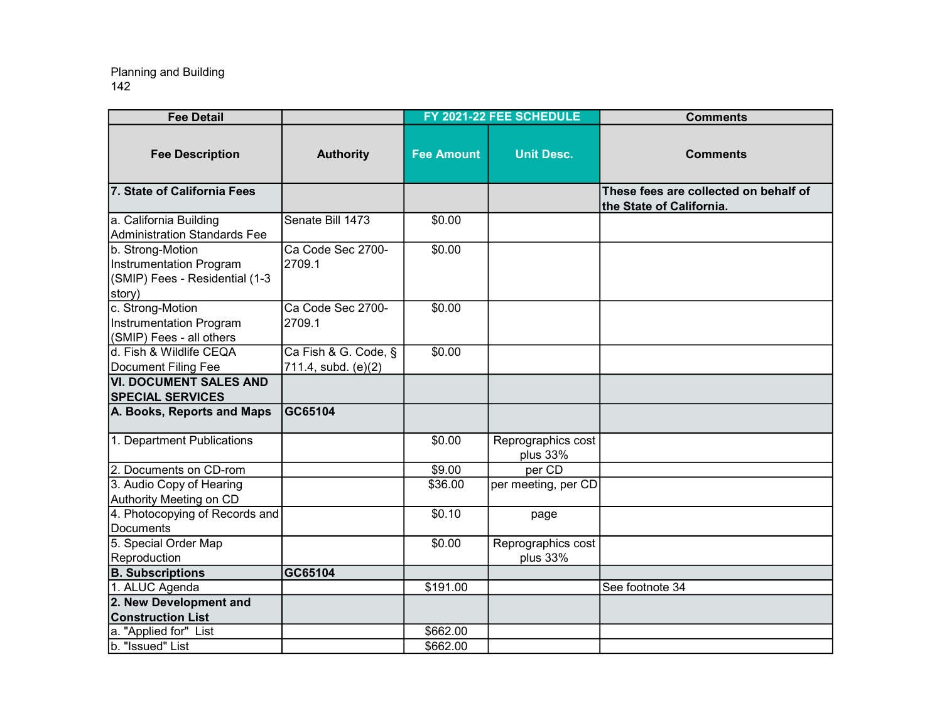| <b>Fee Detail</b>                                                                              |                                             |                   | FY 2021-22 FEE SCHEDULE        | <b>Comments</b>                                                   |
|------------------------------------------------------------------------------------------------|---------------------------------------------|-------------------|--------------------------------|-------------------------------------------------------------------|
| <b>Fee Description</b>                                                                         | <b>Authority</b>                            | <b>Fee Amount</b> | <b>Unit Desc.</b>              | <b>Comments</b>                                                   |
| 7. State of California Fees                                                                    |                                             |                   |                                | These fees are collected on behalf of<br>the State of California. |
| a. California Building<br>Administration Standards Fee                                         | Senate Bill 1473                            | \$0.00            |                                |                                                                   |
| b. Strong-Motion<br><b>Instrumentation Program</b><br>(SMIP) Fees - Residential (1-3<br>story) | Ca Code Sec 2700-<br>2709.1                 | \$0.00            |                                |                                                                   |
| c. Strong-Motion<br><b>Instrumentation Program</b><br>(SMIP) Fees - all others                 | Ca Code Sec 2700-<br>2709.1                 | \$0.00            |                                |                                                                   |
| d. Fish & Wildlife CEQA<br>Document Filing Fee                                                 | Ca Fish & G. Code, §<br>711.4, subd. (e)(2) | \$0.00            |                                |                                                                   |
| VI. DOCUMENT SALES AND<br><b>SPECIAL SERVICES</b>                                              |                                             |                   |                                |                                                                   |
| A. Books, Reports and Maps                                                                     | GC65104                                     |                   |                                |                                                                   |
| 1. Department Publications                                                                     |                                             | \$0.00            | Reprographics cost<br>plus 33% |                                                                   |
| 2. Documents on CD-rom                                                                         |                                             | \$9.00            | per CD                         |                                                                   |
| 3. Audio Copy of Hearing<br>Authority Meeting on CD                                            |                                             | \$36.00           | per meeting, per CD            |                                                                   |
| 4. Photocopying of Records and<br>Documents                                                    |                                             | \$0.10            | page                           |                                                                   |
| 5. Special Order Map<br>Reproduction                                                           |                                             | \$0.00            | Reprographics cost<br>plus 33% |                                                                   |
| <b>B.</b> Subscriptions                                                                        | GC65104                                     |                   |                                |                                                                   |
| 1. ALUC Agenda                                                                                 |                                             | \$191.00          |                                | See footnote 34                                                   |
| 2. New Development and                                                                         |                                             |                   |                                |                                                                   |
| <b>Construction List</b>                                                                       |                                             |                   |                                |                                                                   |
| a. "Applied for" List                                                                          |                                             | \$662.00          |                                |                                                                   |
| b. "Issued" List                                                                               |                                             | \$662.00          |                                |                                                                   |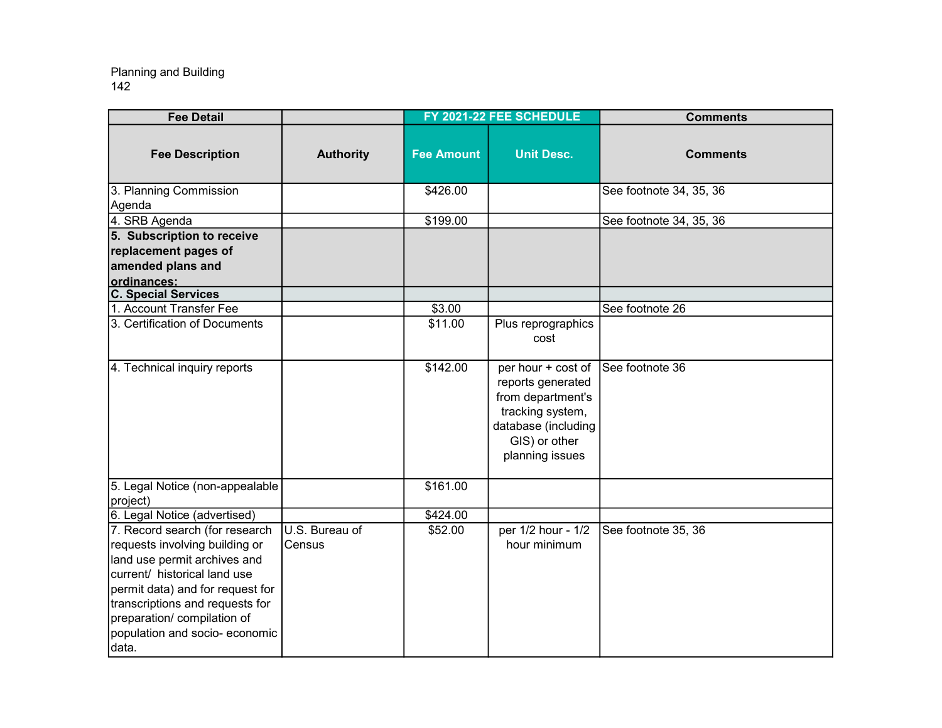| <b>Fee Detail</b>                                                                                                                                                                                       |                          |                   | FY 2021-22 FEE SCHEDULE                                                                                                                     | <b>Comments</b>         |
|---------------------------------------------------------------------------------------------------------------------------------------------------------------------------------------------------------|--------------------------|-------------------|---------------------------------------------------------------------------------------------------------------------------------------------|-------------------------|
| <b>Fee Description</b>                                                                                                                                                                                  | <b>Authority</b>         | <b>Fee Amount</b> | <b>Unit Desc.</b>                                                                                                                           | <b>Comments</b>         |
| 3. Planning Commission<br>Agenda                                                                                                                                                                        |                          | \$426.00          |                                                                                                                                             | See footnote 34, 35, 36 |
| 4. SRB Agenda                                                                                                                                                                                           |                          | \$199.00          |                                                                                                                                             | See footnote 34, 35, 36 |
| 5. Subscription to receive                                                                                                                                                                              |                          |                   |                                                                                                                                             |                         |
| replacement pages of                                                                                                                                                                                    |                          |                   |                                                                                                                                             |                         |
| amended plans and                                                                                                                                                                                       |                          |                   |                                                                                                                                             |                         |
| ordinances:                                                                                                                                                                                             |                          |                   |                                                                                                                                             |                         |
| <b>C. Special Services</b>                                                                                                                                                                              |                          |                   |                                                                                                                                             |                         |
| 1. Account Transfer Fee                                                                                                                                                                                 |                          | \$3.00            |                                                                                                                                             | See footnote 26         |
| 3. Certification of Documents                                                                                                                                                                           |                          | \$11.00           | Plus reprographics<br>cost                                                                                                                  |                         |
| 4. Technical inquiry reports                                                                                                                                                                            |                          | \$142.00          | per hour + cost of<br>reports generated<br>from department's<br>tracking system,<br>database (including<br>GIS) or other<br>planning issues | See footnote 36         |
| 5. Legal Notice (non-appealable<br>project)                                                                                                                                                             |                          | \$161.00          |                                                                                                                                             |                         |
| 6. Legal Notice (advertised)                                                                                                                                                                            |                          | \$424.00          |                                                                                                                                             |                         |
| 7. Record search (for research<br>requests involving building or<br>land use permit archives and<br>current/ historical land use<br>permit data) and for request for<br>transcriptions and requests for | U.S. Bureau of<br>Census | \$52.00           | per 1/2 hour - 1/2<br>hour minimum                                                                                                          | See footnote 35, 36     |
| preparation/ compilation of<br>population and socio-economic<br>data.                                                                                                                                   |                          |                   |                                                                                                                                             |                         |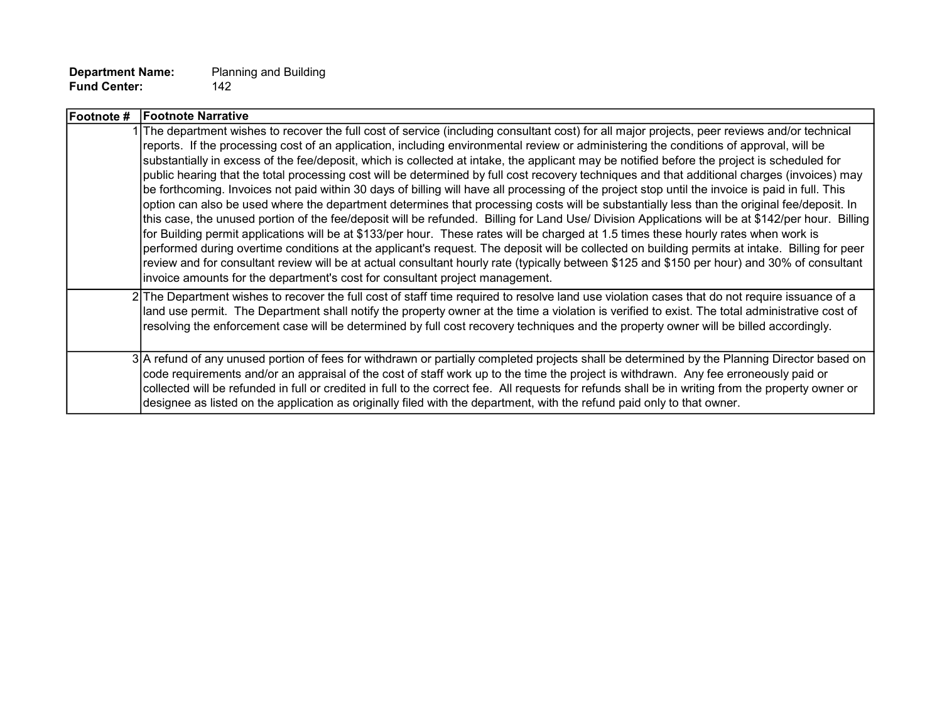| Footnote # | <b>Footnote Narrative</b>                                                                                                                                                                                                                                                                                                                                                                                                                                                                                                                                                                                                                                                                                                                                                                                                                                                                                                                                                                                                                                                                                                                                                                                                                                                                                                                                                                                                                                                                                                                                               |
|------------|-------------------------------------------------------------------------------------------------------------------------------------------------------------------------------------------------------------------------------------------------------------------------------------------------------------------------------------------------------------------------------------------------------------------------------------------------------------------------------------------------------------------------------------------------------------------------------------------------------------------------------------------------------------------------------------------------------------------------------------------------------------------------------------------------------------------------------------------------------------------------------------------------------------------------------------------------------------------------------------------------------------------------------------------------------------------------------------------------------------------------------------------------------------------------------------------------------------------------------------------------------------------------------------------------------------------------------------------------------------------------------------------------------------------------------------------------------------------------------------------------------------------------------------------------------------------------|
|            | 1 The department wishes to recover the full cost of service (including consultant cost) for all major projects, peer reviews and/or technical<br>reports. If the processing cost of an application, including environmental review or administering the conditions of approval, will be<br>substantially in excess of the fee/deposit, which is collected at intake, the applicant may be notified before the project is scheduled for<br>public hearing that the total processing cost will be determined by full cost recovery techniques and that additional charges (invoices) may<br>be forthcoming. Invoices not paid within 30 days of billing will have all processing of the project stop until the invoice is paid in full. This<br>option can also be used where the department determines that processing costs will be substantially less than the original fee/deposit. In<br>this case, the unused portion of the fee/deposit will be refunded. Billing for Land Use/ Division Applications will be at \$142/per hour. Billing<br>for Building permit applications will be at \$133/per hour. These rates will be charged at 1.5 times these hourly rates when work is<br>performed during overtime conditions at the applicant's request. The deposit will be collected on building permits at intake. Billing for peer<br>review and for consultant review will be at actual consultant hourly rate (typically between \$125 and \$150 per hour) and 30% of consultant<br>invoice amounts for the department's cost for consultant project management. |
|            | 2 The Department wishes to recover the full cost of staff time required to resolve land use violation cases that do not require issuance of a<br>land use permit. The Department shall notify the property owner at the time a violation is verified to exist. The total administrative cost of<br>resolving the enforcement case will be determined by full cost recovery techniques and the property owner will be billed accordingly.                                                                                                                                                                                                                                                                                                                                                                                                                                                                                                                                                                                                                                                                                                                                                                                                                                                                                                                                                                                                                                                                                                                                |
|            | 3 A refund of any unused portion of fees for withdrawn or partially completed projects shall be determined by the Planning Director based on<br>code requirements and/or an appraisal of the cost of staff work up to the time the project is withdrawn. Any fee erroneously paid or<br>collected will be refunded in full or credited in full to the correct fee. All requests for refunds shall be in writing from the property owner or<br>designee as listed on the application as originally filed with the department, with the refund paid only to that owner.                                                                                                                                                                                                                                                                                                                                                                                                                                                                                                                                                                                                                                                                                                                                                                                                                                                                                                                                                                                                   |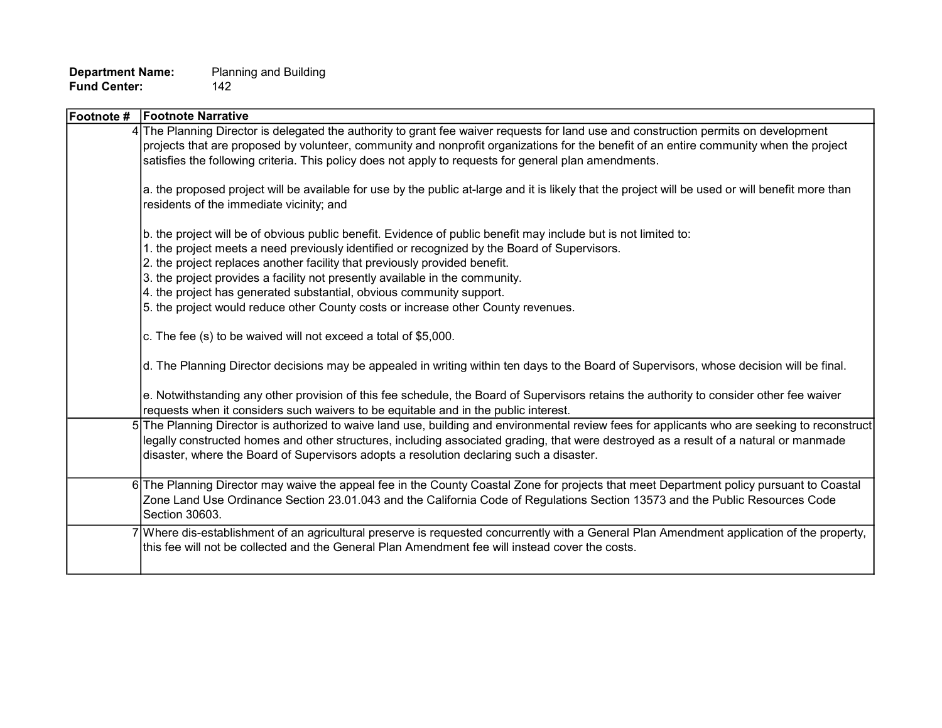| Footnote # | <b>Footnote Narrative</b>                                                                                                                                                                                                                                                                                                                                                                                                                                                                                                                  |
|------------|--------------------------------------------------------------------------------------------------------------------------------------------------------------------------------------------------------------------------------------------------------------------------------------------------------------------------------------------------------------------------------------------------------------------------------------------------------------------------------------------------------------------------------------------|
|            | 4 The Planning Director is delegated the authority to grant fee waiver requests for land use and construction permits on development<br>projects that are proposed by volunteer, community and nonprofit organizations for the benefit of an entire community when the project<br>satisfies the following criteria. This policy does not apply to requests for general plan amendments.                                                                                                                                                    |
|            | a. the proposed project will be available for use by the public at-large and it is likely that the project will be used or will benefit more than<br>residents of the immediate vicinity; and                                                                                                                                                                                                                                                                                                                                              |
|            | b. the project will be of obvious public benefit. Evidence of public benefit may include but is not limited to:<br>1. the project meets a need previously identified or recognized by the Board of Supervisors.<br>2. the project replaces another facility that previously provided benefit.<br>3. the project provides a facility not presently available in the community.<br>4. the project has generated substantial, obvious community support.<br>5. the project would reduce other County costs or increase other County revenues. |
|            | c. The fee (s) to be waived will not exceed a total of \$5,000.                                                                                                                                                                                                                                                                                                                                                                                                                                                                            |
|            | d. The Planning Director decisions may be appealed in writing within ten days to the Board of Supervisors, whose decision will be final.                                                                                                                                                                                                                                                                                                                                                                                                   |
|            | e. Notwithstanding any other provision of this fee schedule, the Board of Supervisors retains the authority to consider other fee waiver<br>requests when it considers such waivers to be equitable and in the public interest.                                                                                                                                                                                                                                                                                                            |
|            | 5 The Planning Director is authorized to waive land use, building and environmental review fees for applicants who are seeking to reconstruct<br>legally constructed homes and other structures, including associated grading, that were destroyed as a result of a natural or manmade<br>disaster, where the Board of Supervisors adopts a resolution declaring such a disaster.                                                                                                                                                          |
|            | 6 The Planning Director may waive the appeal fee in the County Coastal Zone for projects that meet Department policy pursuant to Coastal<br>Zone Land Use Ordinance Section 23.01.043 and the California Code of Regulations Section 13573 and the Public Resources Code<br>Section 30603.                                                                                                                                                                                                                                                 |
|            | 7 Where dis-establishment of an agricultural preserve is requested concurrently with a General Plan Amendment application of the property,<br>this fee will not be collected and the General Plan Amendment fee will instead cover the costs.                                                                                                                                                                                                                                                                                              |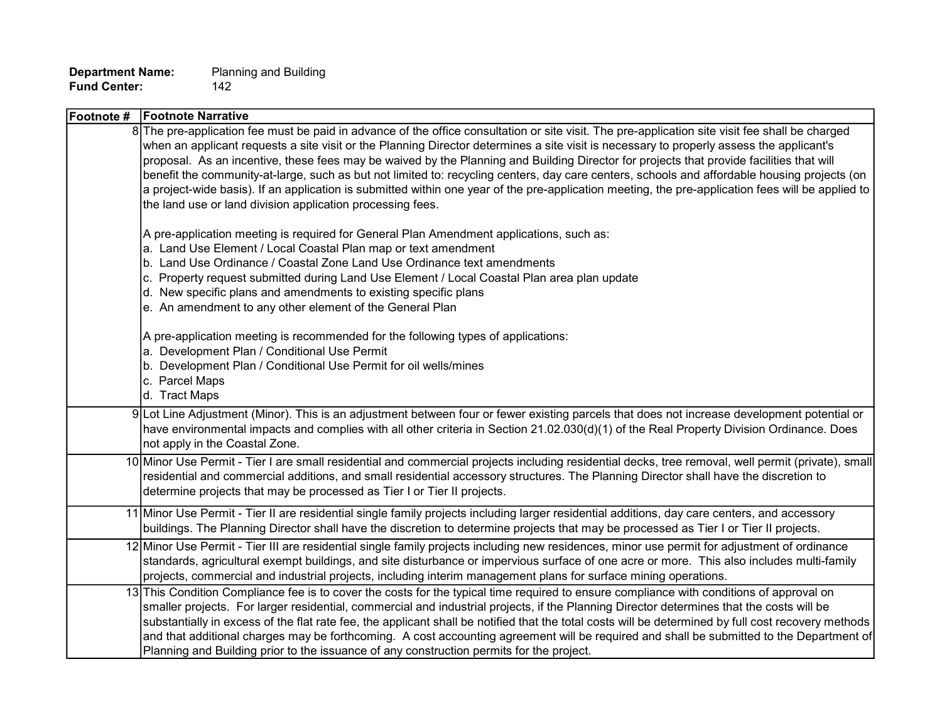| <b>Footnote Narrative</b><br>Footnote #                                                                                                                                                                                                                                                                                                                                                                                                                                                                                                                                                                                                                                                                                                                                                                    |
|------------------------------------------------------------------------------------------------------------------------------------------------------------------------------------------------------------------------------------------------------------------------------------------------------------------------------------------------------------------------------------------------------------------------------------------------------------------------------------------------------------------------------------------------------------------------------------------------------------------------------------------------------------------------------------------------------------------------------------------------------------------------------------------------------------|
| 8 The pre-application fee must be paid in advance of the office consultation or site visit. The pre-application site visit fee shall be charged<br>when an applicant requests a site visit or the Planning Director determines a site visit is necessary to properly assess the applicant's<br>proposal. As an incentive, these fees may be waived by the Planning and Building Director for projects that provide facilities that will<br>benefit the community-at-large, such as but not limited to: recycling centers, day care centers, schools and affordable housing projects (on<br>a project-wide basis). If an application is submitted within one year of the pre-application meeting, the pre-application fees will be applied to<br>the land use or land division application processing fees. |
| A pre-application meeting is required for General Plan Amendment applications, such as:<br>a. Land Use Element / Local Coastal Plan map or text amendment<br>b. Land Use Ordinance / Coastal Zone Land Use Ordinance text amendments<br>c. Property request submitted during Land Use Element / Local Coastal Plan area plan update<br>d. New specific plans and amendments to existing specific plans<br>e. An amendment to any other element of the General Plan                                                                                                                                                                                                                                                                                                                                         |
| A pre-application meeting is recommended for the following types of applications:<br>a. Development Plan / Conditional Use Permit<br>b. Development Plan / Conditional Use Permit for oil wells/mines<br>c. Parcel Maps<br>d. Tract Maps                                                                                                                                                                                                                                                                                                                                                                                                                                                                                                                                                                   |
| 9 Lot Line Adjustment (Minor). This is an adjustment between four or fewer existing parcels that does not increase development potential or<br>have environmental impacts and complies with all other criteria in Section 21.02.030(d)(1) of the Real Property Division Ordinance. Does<br>not apply in the Coastal Zone.                                                                                                                                                                                                                                                                                                                                                                                                                                                                                  |
| 10 Minor Use Permit - Tier I are small residential and commercial projects including residential decks, tree removal, well permit (private), small<br>residential and commercial additions, and small residential accessory structures. The Planning Director shall have the discretion to<br>determine projects that may be processed as Tier I or Tier II projects.                                                                                                                                                                                                                                                                                                                                                                                                                                      |
| 11 Minor Use Permit - Tier II are residential single family projects including larger residential additions, day care centers, and accessory<br>buildings. The Planning Director shall have the discretion to determine projects that may be processed as Tier I or Tier II projects.                                                                                                                                                                                                                                                                                                                                                                                                                                                                                                                      |
| 12 Minor Use Permit - Tier III are residential single family projects including new residences, minor use permit for adjustment of ordinance<br>standards, agricultural exempt buildings, and site disturbance or impervious surface of one acre or more. This also includes multi-family<br>projects, commercial and industrial projects, including interim management plans for surface mining operations.                                                                                                                                                                                                                                                                                                                                                                                               |
| 13 This Condition Compliance fee is to cover the costs for the typical time required to ensure compliance with conditions of approval on<br>smaller projects. For larger residential, commercial and industrial projects, if the Planning Director determines that the costs will be<br>substantially in excess of the flat rate fee, the applicant shall be notified that the total costs will be determined by full cost recovery methods<br>and that additional charges may be forthcoming. A cost accounting agreement will be required and shall be submitted to the Department of<br>Planning and Building prior to the issuance of any construction permits for the project.                                                                                                                        |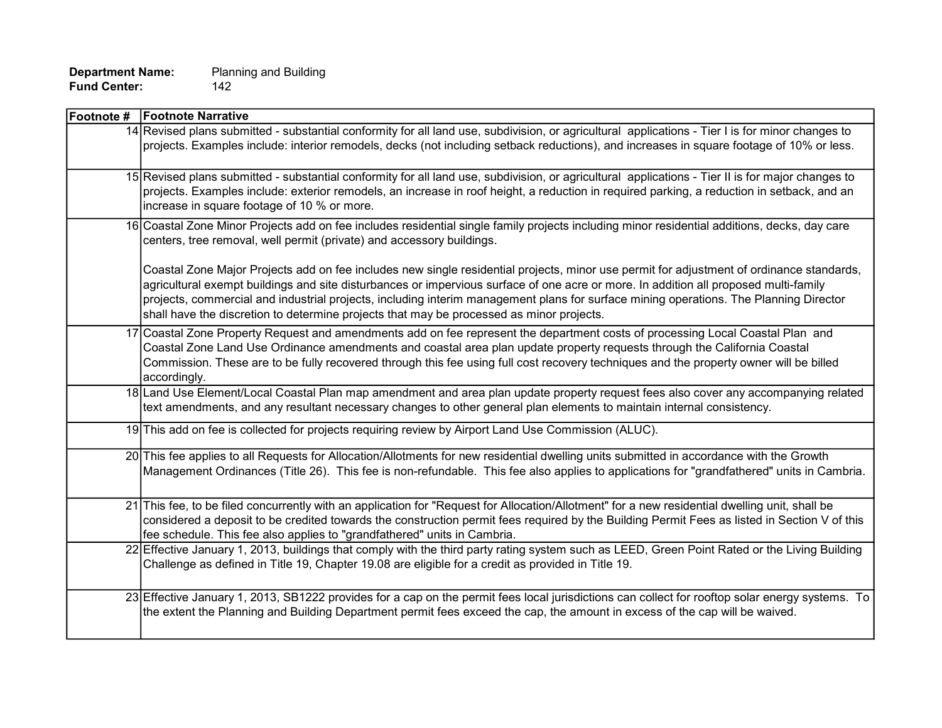| Footnote # Footnote Narrative                                                                                                                                                                                                                                                                                                                                                                                                                                                                                         |
|-----------------------------------------------------------------------------------------------------------------------------------------------------------------------------------------------------------------------------------------------------------------------------------------------------------------------------------------------------------------------------------------------------------------------------------------------------------------------------------------------------------------------|
| 14 Revised plans submitted - substantial conformity for all land use, subdivision, or agricultural applications - Tier I is for minor changes to<br>projects. Examples include: interior remodels, decks (not including setback reductions), and increases in square footage of 10% or less.                                                                                                                                                                                                                          |
| 15 Revised plans submitted - substantial conformity for all land use, subdivision, or agricultural applications - Tier II is for major changes to<br>projects. Examples include: exterior remodels, an increase in roof height, a reduction in required parking, a reduction in setback, and an<br>increase in square footage of 10 % or more.                                                                                                                                                                        |
| 16 Coastal Zone Minor Projects add on fee includes residential single family projects including minor residential additions, decks, day care<br>centers, tree removal, well permit (private) and accessory buildings.                                                                                                                                                                                                                                                                                                 |
| Coastal Zone Major Projects add on fee includes new single residential projects, minor use permit for adjustment of ordinance standards,<br>agricultural exempt buildings and site disturbances or impervious surface of one acre or more. In addition all proposed multi-family<br>projects, commercial and industrial projects, including interim management plans for surface mining operations. The Planning Director<br>shall have the discretion to determine projects that may be processed as minor projects. |
| 17 Coastal Zone Property Request and amendments add on fee represent the department costs of processing Local Coastal Plan and<br>Coastal Zone Land Use Ordinance amendments and coastal area plan update property requests through the California Coastal<br>Commission. These are to be fully recovered through this fee using full cost recovery techniques and the property owner will be billed<br>accordingly.                                                                                                  |
| 18 Land Use Element/Local Coastal Plan map amendment and area plan update property request fees also cover any accompanying related<br>text amendments, and any resultant necessary changes to other general plan elements to maintain internal consistency.                                                                                                                                                                                                                                                          |
| 19 This add on fee is collected for projects requiring review by Airport Land Use Commission (ALUC).                                                                                                                                                                                                                                                                                                                                                                                                                  |
| 20 This fee applies to all Requests for Allocation/Allotments for new residential dwelling units submitted in accordance with the Growth<br>Management Ordinances (Title 26). This fee is non-refundable. This fee also applies to applications for "grandfathered" units in Cambria.                                                                                                                                                                                                                                 |
| 21 This fee, to be filed concurrently with an application for "Request for Allocation/Allotment" for a new residential dwelling unit, shall be<br>considered a deposit to be credited towards the construction permit fees required by the Building Permit Fees as listed in Section V of this<br>fee schedule. This fee also applies to "grandfathered" units in Cambria.                                                                                                                                            |
| 22 Effective January 1, 2013, buildings that comply with the third party rating system such as LEED, Green Point Rated or the Living Building<br>Challenge as defined in Title 19, Chapter 19.08 are eligible for a credit as provided in Title 19.                                                                                                                                                                                                                                                                   |
| 23 Effective January 1, 2013, SB1222 provides for a cap on the permit fees local jurisdictions can collect for rooftop solar energy systems. To<br>the extent the Planning and Building Department permit fees exceed the cap, the amount in excess of the cap will be waived.                                                                                                                                                                                                                                        |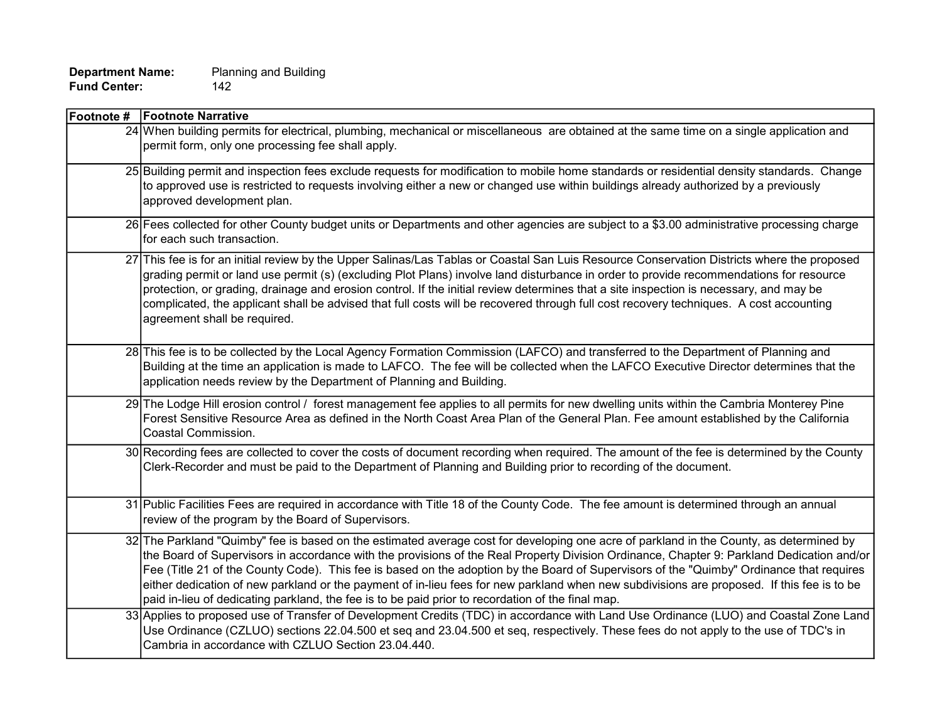| <b>Footnote # Footnote Narrative</b>                                                                                                                                                                                                                                                                                                                                                                                                                                                                                                                                                                                                                                                |
|-------------------------------------------------------------------------------------------------------------------------------------------------------------------------------------------------------------------------------------------------------------------------------------------------------------------------------------------------------------------------------------------------------------------------------------------------------------------------------------------------------------------------------------------------------------------------------------------------------------------------------------------------------------------------------------|
| 24 When building permits for electrical, plumbing, mechanical or miscellaneous are obtained at the same time on a single application and<br>permit form, only one processing fee shall apply.                                                                                                                                                                                                                                                                                                                                                                                                                                                                                       |
| 25 Building permit and inspection fees exclude requests for modification to mobile home standards or residential density standards. Change<br>to approved use is restricted to requests involving either a new or changed use within buildings already authorized by a previously<br>approved development plan.                                                                                                                                                                                                                                                                                                                                                                     |
| 26 Fees collected for other County budget units or Departments and other agencies are subject to a \$3.00 administrative processing charge<br>for each such transaction.                                                                                                                                                                                                                                                                                                                                                                                                                                                                                                            |
| 27 This fee is for an initial review by the Upper Salinas/Las Tablas or Coastal San Luis Resource Conservation Districts where the proposed<br>grading permit or land use permit (s) (excluding Plot Plans) involve land disturbance in order to provide recommendations for resource<br>protection, or grading, drainage and erosion control. If the initial review determines that a site inspection is necessary, and may be<br>complicated, the applicant shall be advised that full costs will be recovered through full cost recovery techniques. A cost accounting<br>agreement shall be required.                                                                           |
| 28 This fee is to be collected by the Local Agency Formation Commission (LAFCO) and transferred to the Department of Planning and<br>Building at the time an application is made to LAFCO. The fee will be collected when the LAFCO Executive Director determines that the<br>application needs review by the Department of Planning and Building.                                                                                                                                                                                                                                                                                                                                  |
| 29 The Lodge Hill erosion control / forest management fee applies to all permits for new dwelling units within the Cambria Monterey Pine<br>Forest Sensitive Resource Area as defined in the North Coast Area Plan of the General Plan. Fee amount established by the California<br>Coastal Commission.                                                                                                                                                                                                                                                                                                                                                                             |
| 30 Recording fees are collected to cover the costs of document recording when required. The amount of the fee is determined by the County<br>Clerk-Recorder and must be paid to the Department of Planning and Building prior to recording of the document.                                                                                                                                                                                                                                                                                                                                                                                                                         |
| 31 Public Facilities Fees are required in accordance with Title 18 of the County Code. The fee amount is determined through an annual<br>review of the program by the Board of Supervisors.                                                                                                                                                                                                                                                                                                                                                                                                                                                                                         |
| 32 The Parkland "Quimby" fee is based on the estimated average cost for developing one acre of parkland in the County, as determined by<br>the Board of Supervisors in accordance with the provisions of the Real Property Division Ordinance, Chapter 9: Parkland Dedication and/or<br>Fee (Title 21 of the County Code). This fee is based on the adoption by the Board of Supervisors of the "Quimby" Ordinance that requires<br>either dedication of new parkland or the payment of in-lieu fees for new parkland when new subdivisions are proposed. If this fee is to be<br>paid in-lieu of dedicating parkland, the fee is to be paid prior to recordation of the final map. |
| 33 Applies to proposed use of Transfer of Development Credits (TDC) in accordance with Land Use Ordinance (LUO) and Coastal Zone Land<br>Use Ordinance (CZLUO) sections 22.04.500 et seq and 23.04.500 et seq, respectively. These fees do not apply to the use of TDC's in<br>Cambria in accordance with CZLUO Section 23.04.440.                                                                                                                                                                                                                                                                                                                                                  |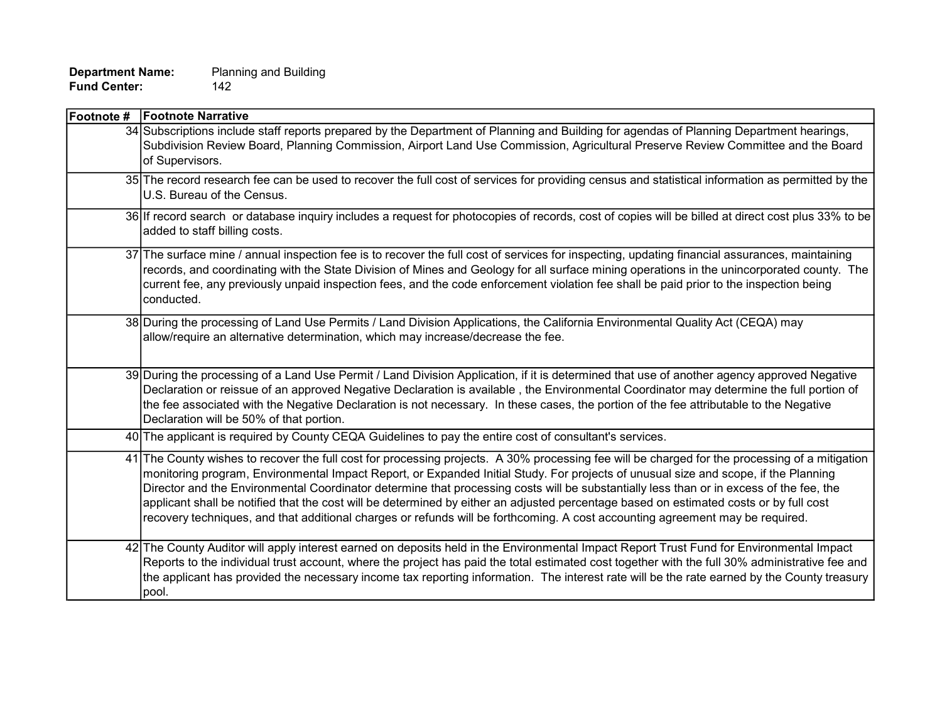| <b>Footnote # Footnote Narrative</b>                                                                                                                                                                                                                                                                                                                                                                                                                                                                                                                                                                                                                                                                        |
|-------------------------------------------------------------------------------------------------------------------------------------------------------------------------------------------------------------------------------------------------------------------------------------------------------------------------------------------------------------------------------------------------------------------------------------------------------------------------------------------------------------------------------------------------------------------------------------------------------------------------------------------------------------------------------------------------------------|
| 34 Subscriptions include staff reports prepared by the Department of Planning and Building for agendas of Planning Department hearings,<br>Subdivision Review Board, Planning Commission, Airport Land Use Commission, Agricultural Preserve Review Committee and the Board<br>of Supervisors.                                                                                                                                                                                                                                                                                                                                                                                                              |
| 35 The record research fee can be used to recover the full cost of services for providing census and statistical information as permitted by the<br>U.S. Bureau of the Census.                                                                                                                                                                                                                                                                                                                                                                                                                                                                                                                              |
| 36 If record search or database inquiry includes a request for photocopies of records, cost of copies will be billed at direct cost plus 33% to be<br>added to staff billing costs.                                                                                                                                                                                                                                                                                                                                                                                                                                                                                                                         |
| 37 The surface mine / annual inspection fee is to recover the full cost of services for inspecting, updating financial assurances, maintaining<br>records, and coordinating with the State Division of Mines and Geology for all surface mining operations in the unincorporated county. The<br>current fee, any previously unpaid inspection fees, and the code enforcement violation fee shall be paid prior to the inspection being<br>conducted.                                                                                                                                                                                                                                                        |
| 38 During the processing of Land Use Permits / Land Division Applications, the California Environmental Quality Act (CEQA) may<br>allow/require an alternative determination, which may increase/decrease the fee.                                                                                                                                                                                                                                                                                                                                                                                                                                                                                          |
| 39 During the processing of a Land Use Permit / Land Division Application, if it is determined that use of another agency approved Negative<br>Declaration or reissue of an approved Negative Declaration is available, the Environmental Coordinator may determine the full portion of<br>the fee associated with the Negative Declaration is not necessary. In these cases, the portion of the fee attributable to the Negative<br>Declaration will be 50% of that portion.                                                                                                                                                                                                                               |
| 40 The applicant is required by County CEQA Guidelines to pay the entire cost of consultant's services.                                                                                                                                                                                                                                                                                                                                                                                                                                                                                                                                                                                                     |
| 41 The County wishes to recover the full cost for processing projects. A 30% processing fee will be charged for the processing of a mitigation<br>monitoring program, Environmental Impact Report, or Expanded Initial Study. For projects of unusual size and scope, if the Planning<br>Director and the Environmental Coordinator determine that processing costs will be substantially less than or in excess of the fee, the<br>applicant shall be notified that the cost will be determined by either an adjusted percentage based on estimated costs or by full cost<br>recovery techniques, and that additional charges or refunds will be forthcoming. A cost accounting agreement may be required. |
| 42 The County Auditor will apply interest earned on deposits held in the Environmental Impact Report Trust Fund for Environmental Impact<br>Reports to the individual trust account, where the project has paid the total estimated cost together with the full 30% administrative fee and<br>the applicant has provided the necessary income tax reporting information. The interest rate will be the rate earned by the County treasury<br>pool.                                                                                                                                                                                                                                                          |